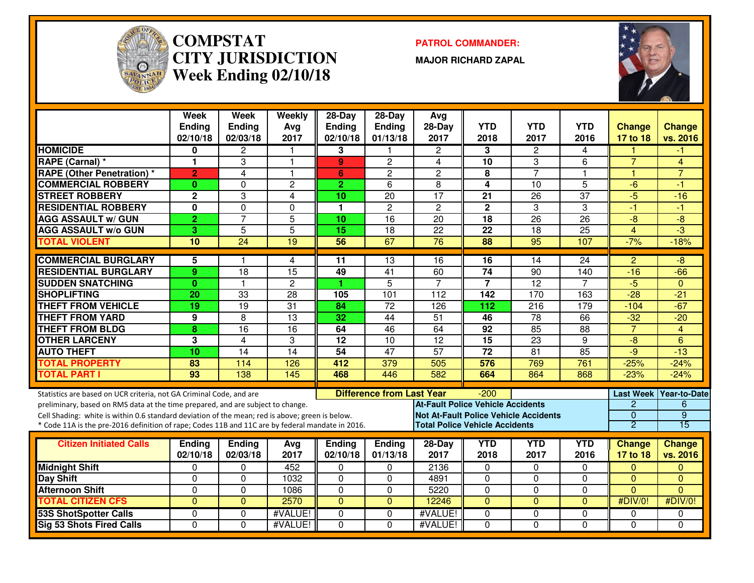

#### **COMPSTAT PATROL COMMANDER: CITY JURISDICTIONWeek Ending 02/10/18**

**MAJOR RICHARD ZAPAL**



|                                                                                                  | Week<br>Ending<br>02/10/18 | <b>Week</b><br><b>Ending</b><br>02/03/18 | Weekly<br>Avg<br>2017 | 28-Day<br><b>Ending</b><br>02/10/18 | $28-Day$<br>Ending<br>01/13/18   | Avg<br>28-Day<br>2017                        | <b>YTD</b><br>2018 | <b>YTD</b><br>2017 | <b>YTD</b><br>2016 | <b>Change</b><br>17 to 18 | <b>Change</b><br>vs. 2016 |
|--------------------------------------------------------------------------------------------------|----------------------------|------------------------------------------|-----------------------|-------------------------------------|----------------------------------|----------------------------------------------|--------------------|--------------------|--------------------|---------------------------|---------------------------|
| <b>HOMICIDE</b>                                                                                  | 0                          | 2                                        |                       | 3                                   |                                  | 2                                            | 3                  | 2                  | 4                  |                           |                           |
| <b>RAPE (Carnal) *</b>                                                                           | 1                          | $\overline{3}$                           | $\overline{1}$        | 9                                   | $\overline{2}$                   | 4                                            | 10                 | $\overline{3}$     | 6                  | $\overline{7}$            | $\overline{4}$            |
| <b>RAPE (Other Penetration) *</b>                                                                | $\overline{2}$             | $\overline{4}$                           | $\overline{1}$        | 6                                   | $\overline{2}$                   | $\overline{2}$                               | 8                  | $\overline{7}$     | $\mathbf{1}$       | $\overline{1}$            | $\overline{7}$            |
| <b>COMMERCIAL ROBBERY</b>                                                                        | $\mathbf{0}$               | $\Omega$                                 | $\overline{c}$        | $\overline{2}$                      | 6                                | 8                                            | 4                  | $\overline{10}$    | $\overline{5}$     | $-6$                      | -1                        |
| <b>STREET ROBBERY</b>                                                                            | $\overline{2}$             | 3                                        | 4                     | 10                                  | $\overline{20}$                  | $\overline{17}$                              | 21                 | $\overline{26}$    | $\overline{37}$    | $-5$                      | $-16$                     |
| <b>RESIDENTIAL ROBBERY</b>                                                                       | 0                          | $\mathbf 0$                              | $\Omega$              | 1                                   | $\overline{2}$                   | $\overline{2}$                               | $\overline{2}$     | $\overline{3}$     | 3                  | $-1$                      | -1                        |
| <b>AGG ASSAULT w/ GUN</b>                                                                        | $\overline{2}$             | $\overline{7}$                           | $\overline{5}$        | 10                                  | $\overline{16}$                  | 20                                           | $\overline{18}$    | $\overline{26}$    | $\overline{26}$    | $\overline{-8}$           | -8                        |
| <b>AGG ASSAULT w/o GUN</b>                                                                       | 3                          | $\overline{5}$                           | $\overline{5}$        | 15                                  | $\overline{18}$                  | $\overline{22}$                              | $\overline{22}$    | $\overline{18}$    | $\overline{25}$    | $\overline{4}$            | $-3$                      |
| <b>TOTAL VIOLENT</b>                                                                             | 10                         | $\overline{24}$                          | $\overline{19}$       | 56                                  | 67                               | $\overline{76}$                              | $\overline{88}$    | $\overline{95}$    | 107                | $-7%$                     | $-18%$                    |
| <b>COMMERCIAL BURGLARY</b>                                                                       | 5                          | 1                                        | 4                     | 11                                  | 13                               | 16                                           | 16                 | 14                 | 24                 | $\overline{2}$            | -8                        |
| <b>RESIDENTIAL BURGLARY</b>                                                                      | 9                          | $\overline{18}$                          | $\overline{15}$       | 49                                  | $\overline{41}$                  | 60                                           | $\overline{74}$    | 90                 | 140                | $-16$                     | $-66$                     |
| <b>SUDDEN SNATCHING</b>                                                                          | $\mathbf{0}$               | $\mathbf{1}$                             | $\mathbf{2}$          | 1                                   | $\overline{5}$                   | $\overline{7}$                               | $\overline{7}$     | $\overline{12}$    | $\overline{7}$     | $-5$                      | $\Omega$                  |
| <b>SHOPLIFTING</b>                                                                               | 20                         | $\overline{33}$                          | $\overline{28}$       | 105                                 | 101                              | $\overline{112}$                             | $\overline{142}$   | $\overline{170}$   | 163                | $\overline{-28}$          | $-21$                     |
| <b>THEFT FROM VEHICLE</b>                                                                        | 19                         | $\overline{19}$                          | 31                    | $\overline{84}$                     | $\overline{72}$                  | 126                                          | 112                | $\overline{216}$   | 179                | $-104$                    | $-67$                     |
| <b>THEFT FROM YARD</b>                                                                           | 9                          | 8                                        | 13                    | 32                                  | 44                               | $\overline{51}$                              | 46                 | 78                 | 66                 | $-32$                     | $-20$                     |
| <b>THEFT FROM BLDG</b>                                                                           | 8                          | 16                                       | 16                    | 64                                  | 46                               | 64                                           | 92                 | 85                 | 88                 | $\overline{7}$            | $\overline{4}$            |
| <b>OTHER LARCENY</b>                                                                             | 3                          | $\overline{4}$                           | 3                     | 12                                  | 10                               | $\overline{12}$                              | $\overline{15}$    | $\overline{23}$    | 9                  | -8                        | 6                         |
| <b>AUTO THEFT</b>                                                                                | 10                         | $\overline{14}$                          | 14                    | $\overline{54}$                     | $\overline{47}$                  | 57                                           | $\overline{72}$    | $\overline{81}$    | 85                 | $-9$                      | $-13$                     |
| <b>TOTAL PROPERTY</b>                                                                            | 83                         | 114                                      | 126                   | 412                                 | 379                              | 505                                          | 576                | 769                | 761                | $-25%$                    | $-24%$                    |
| <b>TOTAL PART I</b>                                                                              | 93                         | 138                                      | 145                   | 468                                 | 446                              | 582                                          | 664                | 864                | 868                | $-23%$                    | $-24%$                    |
| Statistics are based on UCR criteria, not GA Criminal Code, and are                              |                            |                                          |                       |                                     | <b>Difference from Last Year</b> |                                              | $-200$             |                    |                    | <b>Last Week</b>          | <b>Year-to-Date</b>       |
| preliminary, based on RMS data at the time prepared, and are subject to change.                  |                            |                                          |                       |                                     |                                  | <b>At-Fault Police Vehicle Accidents</b>     |                    |                    |                    | $\overline{c}$            | 6                         |
| Cell Shading: white is within 0.6 standard deviation of the mean; red is above; green is below.  |                            |                                          |                       |                                     |                                  | <b>Not At-Fault Police Vehicle Accidents</b> |                    |                    |                    | $\Omega$                  | $\overline{9}$            |
| * Code 11A is the pre-2016 definition of rape; Codes 11B and 11C are by federal mandate in 2016. |                            |                                          |                       |                                     |                                  | <b>Total Police Vehicle Accidents</b>        |                    |                    |                    | $\overline{2}$            | $\overline{15}$           |
| <b>Citizen Initiated Calls</b>                                                                   | Ending                     | <b>Ending</b>                            | Avg                   | <b>Ending</b>                       | <b>Ending</b>                    | 28-Day                                       | <b>YTD</b>         | <b>YTD</b>         | <b>YTD</b>         | <b>Change</b>             | <b>Change</b>             |
|                                                                                                  | 02/10/18                   | 02/03/18                                 | 2017                  | 02/10/18                            | 01/13/18                         | 2017                                         | 2018               | 2017               | 2016               | 17 to 18                  | vs. 2016                  |
| <b>Midnight Shift</b>                                                                            | 0                          | $\mathbf 0$                              | 452                   | 0                                   | 0                                | 2136                                         | 0                  | $\mathbf 0$        | 0                  | $\mathbf{0}$              | $\mathbf{0}$              |
| Day Shift                                                                                        | $\Omega$                   | $\Omega$                                 | 1032                  | 0                                   | $\Omega$                         | 4891                                         | 0                  | $\Omega$           | $\mathbf 0$        | $\Omega$                  | $\Omega$                  |
| <b>Afternoon Shift</b>                                                                           | $\Omega$                   | $\mathbf 0$                              | 1086                  | 0                                   | $\mathbf 0$                      | 5220                                         | 0                  | $\Omega$           | 0                  | $\overline{0}$            | $\Omega$                  |
| <b>TOTAL CITIZEN CFS</b>                                                                         | $\Omega$                   | $\Omega$                                 | 2570                  | $\Omega$                            | $\mathbf{0}$                     | 12246                                        | $\mathbf{0}$       | $\Omega$           | $\Omega$           | #DIV/0!                   | #DIV/0!                   |
| <b>53S ShotSpotter Calls</b>                                                                     | $\Omega$                   | $\Omega$                                 | #VALUE!               | 0                                   | $\Omega$                         | #VALUE!                                      | $\Omega$           | $\Omega$           | $\Omega$           | $\Omega$                  | $\Omega$                  |
| <b>Sig 53 Shots Fired Calls</b>                                                                  | $\Omega$                   | $\Omega$                                 | #VALUE!               | $\Omega$                            | $\overline{0}$                   | #VALUE!                                      | $\Omega$           | $\Omega$           | $\Omega$           | $\Omega$                  | $\Omega$                  |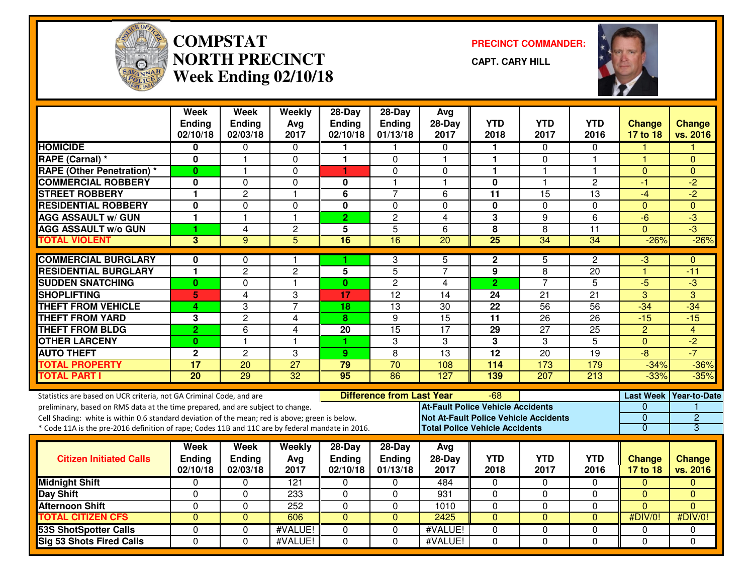

#### **COMPSTAT PRECINCT COMMANDER: NORTH PRECINCTWeek Ending 02/10/18**

**CAPT. CARY HILL**



|                                                                                                                                                                                                                                                                                                                                                               | <b>Week</b><br><b>Ending</b><br>02/10/18 | <b>Week</b><br><b>Ending</b><br>02/03/18 | Weekly<br>Avg<br>2017   | $28-Day$<br><b>Ending</b><br>02/10/18 | $28-Day$<br>Ending<br>01/13/18   | Avg<br>$28-Day$<br>2017                                                                                                           | <b>YTD</b><br>2018 | <b>YTD</b><br>2017      | <b>YTD</b><br>2016 | Change<br>17 to 18                    | <b>Change</b><br>vs. 2016                       |
|---------------------------------------------------------------------------------------------------------------------------------------------------------------------------------------------------------------------------------------------------------------------------------------------------------------------------------------------------------------|------------------------------------------|------------------------------------------|-------------------------|---------------------------------------|----------------------------------|-----------------------------------------------------------------------------------------------------------------------------------|--------------------|-------------------------|--------------------|---------------------------------------|-------------------------------------------------|
| <b>HOMICIDE</b>                                                                                                                                                                                                                                                                                                                                               | 0                                        | 0                                        | $\mathbf{0}$            |                                       |                                  | $\Omega$                                                                                                                          | 1                  | $\Omega$                | $\Omega$           |                                       |                                                 |
| <b>RAPE (Carnal) *</b>                                                                                                                                                                                                                                                                                                                                        | 0                                        | $\mathbf 1$                              | $\mathbf 0$             | $\mathbf{1}$                          | $\Omega$                         | $\mathbf{1}$                                                                                                                      | $\mathbf{1}$       | $\mathbf 0$             | 1                  | $\overline{\mathbf{1}}$               | $\Omega$                                        |
| <b>RAPE (Other Penetration) *</b>                                                                                                                                                                                                                                                                                                                             | $\bf{0}$                                 | 1                                        | 0                       | 1                                     | 0                                | $\Omega$                                                                                                                          | $\mathbf{1}$       | $\mathbf{1}$            | 1                  | $\mathbf{0}$                          | $\Omega$                                        |
| <b>COMMERCIAL ROBBERY</b>                                                                                                                                                                                                                                                                                                                                     | $\mathbf{0}$                             | $\Omega$                                 | $\Omega$                | $\bf{0}$                              | 1                                | -1                                                                                                                                | $\mathbf 0$        | $\overline{\mathbf{1}}$ | $\overline{2}$     | $-1$                                  | $-2$                                            |
| <b>STREET ROBBERY</b>                                                                                                                                                                                                                                                                                                                                         | 1                                        | $\overline{c}$                           | $\mathbf{1}$            | 6                                     | $\overline{7}$                   | 6                                                                                                                                 | 11                 | 15                      | 13                 | $-4$                                  | $-2$                                            |
| <b>RESIDENTIAL ROBBERY</b>                                                                                                                                                                                                                                                                                                                                    | 0                                        | $\Omega$                                 | 0                       | 0                                     | $\Omega$                         | $\Omega$                                                                                                                          | 0                  | 0                       | $\Omega$           | $\mathbf{0}$                          | $\Omega$                                        |
| <b>AGG ASSAULT w/ GUN</b>                                                                                                                                                                                                                                                                                                                                     | 1                                        | $\overline{\mathbf{1}}$                  | $\mathbf{1}$            | $\overline{2}$                        | $\overline{2}$                   | $\overline{\mathbf{4}}$                                                                                                           | $\overline{3}$     | $\overline{9}$          | $\overline{6}$     | $-\overline{6}$                       | $-3$                                            |
| <b>AGG ASSAULT w/o GUN</b>                                                                                                                                                                                                                                                                                                                                    | 1                                        | 4                                        | $\overline{c}$          | 5                                     | 5                                | 6                                                                                                                                 | 8                  | 8                       | 11                 | $\overline{0}$                        | $\overline{\cdot}$                              |
| <b>TOTAL VIOLENT</b>                                                                                                                                                                                                                                                                                                                                          | 3                                        | 9                                        | $\overline{5}$          | $\overline{16}$                       | $\overline{16}$                  | $\overline{20}$                                                                                                                   | $\overline{25}$    | $\overline{34}$         | $\overline{34}$    | $-26%$                                | $-26%$                                          |
| <b>COMMERCIAL BURGLARY</b>                                                                                                                                                                                                                                                                                                                                    | 0                                        | 0                                        | 1                       |                                       | 3                                | 5                                                                                                                                 | $\mathbf{2}$       | 5                       | $\overline{c}$     | -3                                    | $\Omega$                                        |
| <b>RESIDENTIAL BURGLARY</b>                                                                                                                                                                                                                                                                                                                                   | $\mathbf{1}$                             | $\overline{2}$                           | $\overline{c}$          | $\overline{5}$                        | $\overline{5}$                   | $\overline{7}$                                                                                                                    | 9                  | 8                       | 20                 | $\overline{1}$                        | $-11$                                           |
| <b>SUDDEN SNATCHING</b>                                                                                                                                                                                                                                                                                                                                       | $\bf{0}$                                 | $\Omega$                                 | $\mathbf{1}$            | $\mathbf{0}$                          | $\overline{c}$                   | 4                                                                                                                                 | $\overline{2}$     | $\overline{7}$          | 5                  | $-5$                                  | $-3$                                            |
| <b>SHOPLIFTING</b>                                                                                                                                                                                                                                                                                                                                            | 5                                        | 4                                        | 3                       | 17                                    | $\overline{12}$                  | 14                                                                                                                                | $\overline{24}$    | $\overline{21}$         | $\overline{21}$    | $\overline{3}$                        | $\overline{3}$                                  |
| <b>THEFT FROM VEHICLE</b>                                                                                                                                                                                                                                                                                                                                     | 4                                        | 3                                        | $\overline{7}$          | 18                                    | 13                               | 30                                                                                                                                | 22                 | 56                      | 56                 | $-34$                                 | $-34$                                           |
| <b>THEFT FROM YARD</b>                                                                                                                                                                                                                                                                                                                                        | 3                                        | $\overline{2}$                           | $\overline{4}$          | 8                                     | 9                                | $\overline{15}$                                                                                                                   | $\overline{11}$    | 26                      | $\overline{26}$    | $-15$                                 | $-15$                                           |
| <b>THEFT FROM BLDG</b>                                                                                                                                                                                                                                                                                                                                        | $\overline{2}$                           | $\overline{6}$                           | $\overline{\mathbf{4}}$ | $\overline{20}$                       | 15                               | $\overline{17}$                                                                                                                   | 29                 | $\overline{27}$         | $\overline{25}$    | $\overline{2}$                        | $\overline{4}$                                  |
| <b>OTHER LARCENY</b>                                                                                                                                                                                                                                                                                                                                          | $\bf{0}$                                 | $\overline{1}$                           | $\mathbf{1}$            | 1                                     | 3                                | 3                                                                                                                                 | 3                  | 3                       | $\overline{5}$     | $\mathbf{0}$                          | $-2$                                            |
| <b>AUTO THEFT</b>                                                                                                                                                                                                                                                                                                                                             | $\mathbf 2$                              | $\overline{2}$                           | 3                       | 9                                     | 8                                | $\overline{13}$                                                                                                                   | $\overline{12}$    | $\overline{20}$         | $\overline{19}$    | $-8$                                  | $-7$                                            |
| <b>TOTAL PROPERTY</b>                                                                                                                                                                                                                                                                                                                                         | $\overline{17}$                          | $\overline{20}$                          | $\overline{27}$         | 79                                    | $\overline{70}$                  | 108                                                                                                                               | $\frac{114}{114}$  | 173                     | 179                | $-34%$                                | $-36%$                                          |
| <b>TOTAL PART I</b>                                                                                                                                                                                                                                                                                                                                           | $\overline{20}$                          | 29                                       | 32                      | 95                                    | 86                               | 127                                                                                                                               | 139                | $\overline{207}$        | 213                | $-33%$                                | $-35%$                                          |
| Statistics are based on UCR criteria, not GA Criminal Code, and are<br>preliminary, based on RMS data at the time prepared, and are subject to change.<br>Cell Shading: white is within 0.6 standard deviation of the mean; red is above; green is below.<br>* Code 11A is the pre-2016 definition of rape; Codes 11B and 11C are by federal mandate in 2016. |                                          |                                          |                         |                                       | <b>Difference from Last Year</b> | <b>At-Fault Police Vehicle Accidents</b><br><b>Not At-Fault Police Vehicle Accidents</b><br><b>Total Police Vehicle Accidents</b> | -68                |                         |                    | 0<br>$\overline{0}$<br>$\overline{0}$ | Last Week   Year-to-Date<br>$\overline{2}$<br>3 |
| <b>Citizen Initiated Calls</b>                                                                                                                                                                                                                                                                                                                                | Week<br><b>Ending</b><br>02/10/18        | <b>Week</b><br><b>Ending</b><br>02/03/18 | Weekly<br>Avg<br>2017   | $28-Day$<br><b>Ending</b><br>02/10/18 | $28-Day$<br>Ending<br>01/13/18   | Avg<br>$28-Day$<br>2017                                                                                                           | <b>YTD</b><br>2018 | <b>YTD</b><br>2017      | <b>YTD</b><br>2016 | Change<br>17 to 18                    | <b>Change</b><br>vs. 2016                       |
| <b>Midnight Shift</b>                                                                                                                                                                                                                                                                                                                                         | $\mathbf 0$                              | 0                                        | $\overline{121}$        | 0                                     | 0                                | 484                                                                                                                               | 0                  | $\mathbf 0$             | 0                  | $\mathbf{0}$                          | $\Omega$                                        |
| <b>Day Shift</b>                                                                                                                                                                                                                                                                                                                                              | $\mathbf 0$                              | $\mathbf 0$                              | 233                     | $\Omega$                              | $\mathbf 0$                      | 931                                                                                                                               | $\mathbf 0$        | $\mathbf 0$             | 0                  | $\Omega$                              | $\Omega$                                        |
| <b>Afternoon Shift</b>                                                                                                                                                                                                                                                                                                                                        | $\mathbf 0$                              | $\Omega$                                 | 252                     | $\Omega$                              | $\mathbf 0$                      | 1010                                                                                                                              | 0                  | $\mathbf 0$             | 0                  | $\Omega$                              | $\Omega$                                        |
| <b>TOTAL CITIZEN CFS</b>                                                                                                                                                                                                                                                                                                                                      | $\Omega$                                 | $\Omega$                                 | 606                     | $\Omega$                              | $\Omega$                         | 2425                                                                                                                              | $\Omega$           | $\Omega$                | $\Omega$           | #DIV/0!                               | #DIV/0!                                         |
| <b>53S ShotSpotter Calls</b>                                                                                                                                                                                                                                                                                                                                  | $\Omega$                                 | $\Omega$                                 | #VALUE!                 | $\Omega$                              | $\Omega$                         | #VALUE!                                                                                                                           | 0                  | 0                       | $\Omega$           | 0                                     | 0                                               |
| Sig 53 Shots Fired Calls                                                                                                                                                                                                                                                                                                                                      | $\mathbf 0$                              | $\Omega$                                 | #VALUE!                 | $\Omega$                              | $\Omega$                         | #VALUE!                                                                                                                           | $\Omega$           | $\Omega$                | $\Omega$           | $\Omega$                              | $\Omega$                                        |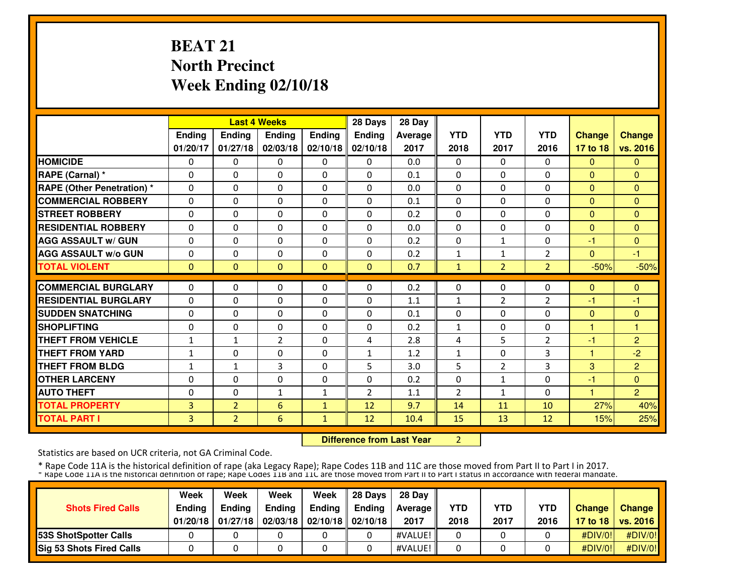# **BEAT 21 North PrecinctWeek Ending 02/10/18**

|                                   |               |                | <b>Last 4 Weeks</b> |               | 28 Days        | 28 Day  |                |                |                |               |                |
|-----------------------------------|---------------|----------------|---------------------|---------------|----------------|---------|----------------|----------------|----------------|---------------|----------------|
|                                   | <b>Ending</b> | Ending         | <b>Ending</b>       | <b>Ending</b> | <b>Ending</b>  | Average | <b>YTD</b>     | <b>YTD</b>     | <b>YTD</b>     | <b>Change</b> | <b>Change</b>  |
|                                   | 01/20/17      | 01/27/18       | 02/03/18            | 02/10/18      | 02/10/18       | 2017    | 2018           | 2017           | 2016           | 17 to 18      | vs. 2016       |
| <b>HOMICIDE</b>                   | 0             | $\Omega$       | $\Omega$            | $\Omega$      | $\Omega$       | 0.0     | $\Omega$       | $\Omega$       | $\Omega$       | $\Omega$      | $\Omega$       |
| RAPE (Carnal) *                   | $\Omega$      | $\Omega$       | $\Omega$            | $\Omega$      | $\Omega$       | 0.1     | $\Omega$       | $\Omega$       | $\Omega$       | $\Omega$      | $\Omega$       |
| <b>RAPE (Other Penetration) *</b> | $\Omega$      | $\Omega$       | $\Omega$            | $\Omega$      | $\Omega$       | 0.0     | $\Omega$       | $\Omega$       | $\Omega$       | $\Omega$      | $\Omega$       |
| <b>COMMERCIAL ROBBERY</b>         | $\Omega$      | $\Omega$       | $\mathbf{0}$        | $\Omega$      | $\Omega$       | 0.1     | $\Omega$       | $\Omega$       | $\Omega$       | $\Omega$      | $\Omega$       |
| <b>STREET ROBBERY</b>             | $\Omega$      | $\Omega$       | $\Omega$            | $\Omega$      | $\Omega$       | 0.2     | $\Omega$       | $\Omega$       | $\Omega$       | $\Omega$      | $\Omega$       |
| <b>RESIDENTIAL ROBBERY</b>        | 0             | $\Omega$       | $\Omega$            | $\Omega$      | $\Omega$       | 0.0     | 0              | $\Omega$       | 0              | $\Omega$      | $\Omega$       |
| <b>AGG ASSAULT w/ GUN</b>         | $\Omega$      | $\Omega$       | $\mathbf{0}$        | $\Omega$      | $\Omega$       | 0.2     | $\Omega$       | 1              | $\Omega$       | -1            | $\Omega$       |
| <b>AGG ASSAULT W/o GUN</b>        | 0             | $\Omega$       | $\mathbf{0}$        | $\Omega$      | $\Omega$       | 0.2     | 1              | $\mathbf{1}$   | 2              | $\Omega$      | -1             |
| <b>TOTAL VIOLENT</b>              | $\mathbf{0}$  | $\Omega$       | $\Omega$            | $\Omega$      | $\Omega$       | 0.7     | 1              | $\overline{2}$ | $\overline{2}$ | $-50%$        | $-50%$         |
| <b>COMMERCIAL BURGLARY</b>        | $\Omega$      | $\Omega$       | $\Omega$            | $\Omega$      | $\Omega$       | 0.2     | $\Omega$       | $\Omega$       | $\Omega$       | $\mathbf{0}$  | $\Omega$       |
| <b>RESIDENTIAL BURGLARY</b>       | $\Omega$      | $\Omega$       | $\Omega$            | $\Omega$      | $\Omega$       | 1.1     | $\mathbf{1}$   | $\overline{2}$ | $\overline{2}$ | $-1$          | $-1$           |
| <b>SUDDEN SNATCHING</b>           | $\Omega$      | $\Omega$       | $\mathbf{0}$        | $\Omega$      | $\Omega$       | 0.1     | $\Omega$       | $\Omega$       | 0              | $\Omega$      | $\Omega$       |
| <b>SHOPLIFTING</b>                | 0             | $\Omega$       | $\mathbf 0$         | $\Omega$      | $\Omega$       | 0.2     | $\mathbf{1}$   | $\mathbf{0}$   | $\Omega$       | н             | 1              |
| <b>THEFT FROM VEHICLE</b>         | $\mathbf{1}$  | $\mathbf{1}$   | $\overline{2}$      | $\Omega$      | 4              | 2.8     | 4              | 5              | 2              | $-1$          | $\overline{c}$ |
| <b>THEFT FROM YARD</b>            | $\mathbf{1}$  | $\Omega$       | $\mathbf{0}$        | $\Omega$      | $\mathbf{1}$   | 1.2     | $\mathbf{1}$   | 0              | 3              | 1             | $-2$           |
| <b>THEFT FROM BLDG</b>            | $\mathbf{1}$  | $\mathbf{1}$   | 3                   | $\Omega$      | 5              | 3.0     | 5              | 2              | 3              | 3             | $\overline{2}$ |
| <b>OTHER LARCENY</b>              | 0             | $\Omega$       | $\Omega$            | $\Omega$      | $\Omega$       | 0.2     | 0              | $\mathbf{1}$   | $\Omega$       | -1            | $\Omega$       |
| <b>AUTO THEFT</b>                 | $\Omega$      | $\Omega$       | $\mathbf{1}$        | 1             | $\overline{2}$ | 1.1     | $\overline{2}$ | 1              | $\Omega$       | 4             | $\overline{2}$ |
| <b>TOTAL PROPERTY</b>             | 3             | $\overline{2}$ | 6                   | $\mathbf{1}$  | 12             | 9.7     | 14             | 11             | 10             | 27%           | 40%            |
| <b>TOTAL PART I</b>               | 3             | $\overline{2}$ | 6                   | 1             | 12             | 10.4    | 15             | 13             | 12             | 15%           | 25%            |

 **Difference from Last Year**<sup>2</sup>

Statistics are based on UCR criteria, not GA Criminal Code.

|                                 | Week          | Week          | Week          | Week                           | 28 Davs | 28 Day     |            |            |            |               |                     |
|---------------------------------|---------------|---------------|---------------|--------------------------------|---------|------------|------------|------------|------------|---------------|---------------------|
| <b>Shots Fired Calls</b>        | <b>Endina</b> | <b>Endina</b> | <b>Ending</b> | <b>Ending</b>                  | Endina  | Average II | <b>YTD</b> | <b>YTD</b> | <b>YTD</b> | <b>Change</b> | <b>Change</b>       |
|                                 | 01/20/18      | 01/27/18      |               | 02/03/18   02/10/18   02/10/18 |         | 2017       | 2018       | 2017       | 2016       |               | 17 to 18   vs. 2016 |
| <b>153S ShotSpotter Calls</b>   |               |               |               |                                |         | #VALUE!    |            |            |            | #DIV/0!       | #DIV/0!             |
| <b>Sig 53 Shots Fired Calls</b> |               |               |               |                                |         | #VALUE!    |            |            |            | #DIV/0!       | #DIV/0!             |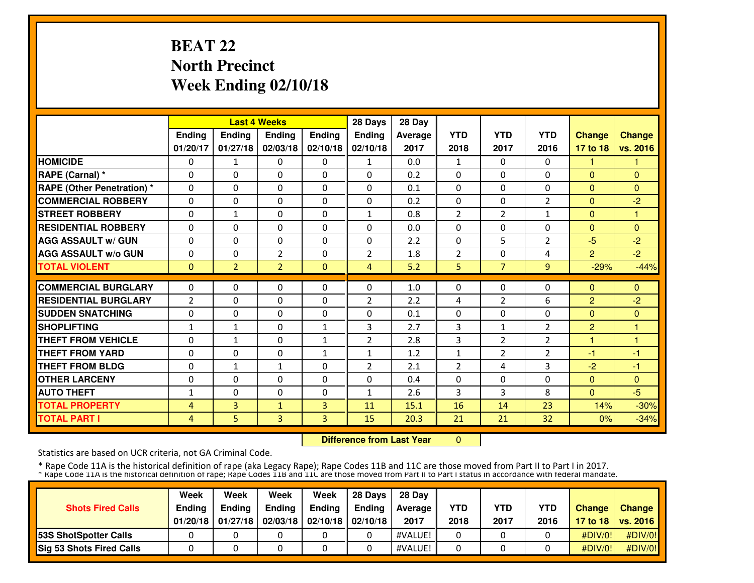# **BEAT 22 North PrecinctWeek Ending 02/10/18**

|                                  |                |                | <b>Last 4 Weeks</b> |              | 28 Days        | 28 Day  |                |                |                |                |               |
|----------------------------------|----------------|----------------|---------------------|--------------|----------------|---------|----------------|----------------|----------------|----------------|---------------|
|                                  | Ending         | Ending         | Ending              | Ending       | <b>Ending</b>  | Average | <b>YTD</b>     | <b>YTD</b>     | <b>YTD</b>     | <b>Change</b>  | <b>Change</b> |
|                                  | 01/20/17       | 01/27/18       | 02/03/18            | 02/10/18     | 02/10/18       | 2017    | 2018           | 2017           | 2016           | 17 to 18       | vs. 2016      |
| <b>HOMICIDE</b>                  | $\Omega$       | 1              | $\Omega$            | $\Omega$     | $\mathbf{1}$   | 0.0     | 1              | $\Omega$       | $\Omega$       | 1.             |               |
| RAPE (Carnal) *                  | $\Omega$       | $\Omega$       | $\Omega$            | $\Omega$     | $\Omega$       | 0.2     | $\Omega$       | $\Omega$       | $\Omega$       | $\Omega$       | $\Omega$      |
| <b>RAPE (Other Penetration)*</b> | $\Omega$       | $\Omega$       | $\Omega$            | $\Omega$     | $\Omega$       | 0.1     | $\Omega$       | $\Omega$       | $\Omega$       | $\Omega$       | $\Omega$      |
| <b>COMMERCIAL ROBBERY</b>        | $\Omega$       | 0              | $\Omega$            | $\Omega$     | $\Omega$       | 0.2     | $\Omega$       | $\Omega$       | 2              | $\Omega$       | $-2$          |
| <b>STREET ROBBERY</b>            | $\Omega$       | $\mathbf{1}$   | $\Omega$            | $\Omega$     | $\mathbf{1}$   | 0.8     | $\overline{2}$ | $\overline{2}$ | 1              | $\Omega$       | $\mathbf{1}$  |
| <b>RESIDENTIAL ROBBERY</b>       | $\Omega$       | $\Omega$       | $\Omega$            | $\Omega$     | $\Omega$       | 0.0     | $\Omega$       | 0              | $\Omega$       | $\Omega$       | $\Omega$      |
| <b>AGG ASSAULT w/ GUN</b>        | $\Omega$       | 0              | 0                   | $\Omega$     | $\Omega$       | 2.2     | $\Omega$       | 5              | $\overline{2}$ | $-5$           | $-2$          |
| <b>AGG ASSAULT w/o GUN</b>       | 0              | 0              | 2                   | $\Omega$     | $\overline{2}$ | 1.8     | $\overline{2}$ | $\Omega$       | 4              | $\overline{2}$ | $-2$          |
| <b>TOTAL VIOLENT</b>             | $\mathbf{0}$   | $\overline{2}$ | $\overline{2}$      | $\Omega$     | 4              | 5.2     | 5              | $\overline{7}$ | 9              | $-29%$         | $-44%$        |
| <b>COMMERCIAL BURGLARY</b>       | $\Omega$       | $\Omega$       | $\Omega$            | $\Omega$     | $\Omega$       | 1.0     | $\Omega$       | $\Omega$       | $\Omega$       | $\Omega$       | $\Omega$      |
|                                  |                |                |                     |              |                |         |                |                |                |                |               |
| <b>RESIDENTIAL BURGLARY</b>      | $\overline{2}$ | $\Omega$       | $\Omega$            | $\Omega$     | $\overline{2}$ | 2.2     | 4              | $\overline{2}$ | 6              | $\overline{2}$ | $-2$          |
| <b>SUDDEN SNATCHING</b>          | $\Omega$       | 0              | $\Omega$            | $\Omega$     | $\Omega$       | 0.1     | $\Omega$       | 0              | $\Omega$       | $\Omega$       | $\Omega$<br>н |
| <b>SHOPLIFTING</b>               | $\mathbf{1}$   | $\mathbf{1}$   | $\Omega$            | $\mathbf{1}$ | 3              | 2.7     | 3              | $\mathbf{1}$   | $\overline{2}$ | $\overline{2}$ | н             |
| <b>THEFT FROM VEHICLE</b>        | 0              | $\mathbf{1}$   | $\Omega$            | 1            | $\overline{2}$ | 2.8     | 3              | 2              | $\overline{2}$ | 4              |               |
| <b>THEFT FROM YARD</b>           | 0              | $\Omega$       | $\Omega$            | $\mathbf{1}$ | $\mathbf{1}$   | 1.2     | 1              | 2              | $\overline{2}$ | $-1$           | -1            |
| <b>THEFT FROM BLDG</b>           | 0              | $\mathbf{1}$   | $\mathbf{1}$        | 0            | $\overline{2}$ | 2.1     | $\overline{2}$ | 4              | 3              | $-2$           | -1            |
| <b>OTHER LARCENY</b>             | $\Omega$       | $\Omega$       | $\Omega$            | $\Omega$     | $\Omega$       | 0.4     | $\Omega$       | $\Omega$       | $\Omega$       | $\Omega$       | $\mathbf{0}$  |
| <b>AUTO THEFT</b>                | $\mathbf{1}$   | $\Omega$       | $\Omega$            | $\Omega$     | $\mathbf{1}$   | 2.6     | 3              | 3              | 8              | $\Omega$       | $-5$          |
| <b>TOTAL PROPERTY</b>            | 4              | 3              | $\mathbf{1}$        | 3            | 11             | 15.1    | 16             | 14             | 23             | 14%            | $-30%$        |
| <b>TOTAL PART I</b>              | 4              | 5.             | 3                   | 3            | 15             | 20.3    | 21             | 21             | 32             | 0%             | $-34%$        |

**Difference from Last Year** 0

Statistics are based on UCR criteria, not GA Criminal Code.

|                                 | Week          | Week          | Week          | Week                           | 28 Davs | 28 Day     |            |            |            |               |                     |
|---------------------------------|---------------|---------------|---------------|--------------------------------|---------|------------|------------|------------|------------|---------------|---------------------|
| <b>Shots Fired Calls</b>        | <b>Endina</b> | <b>Endina</b> | <b>Ending</b> | <b>Ending</b>                  | Endina  | Average II | <b>YTD</b> | <b>YTD</b> | <b>YTD</b> | <b>Change</b> | <b>Change</b>       |
|                                 | 01/20/18      | 01/27/18      |               | 02/03/18   02/10/18   02/10/18 |         | 2017       | 2018       | 2017       | 2016       |               | 17 to 18   vs. 2016 |
| <b>153S ShotSpotter Calls</b>   |               |               |               |                                |         | #VALUE!    |            |            |            | #DIV/0!       | #DIV/0!             |
| <b>Sig 53 Shots Fired Calls</b> |               |               |               |                                |         | #VALUE!    |            |            |            | #DIV/0!       | #DIV/0!             |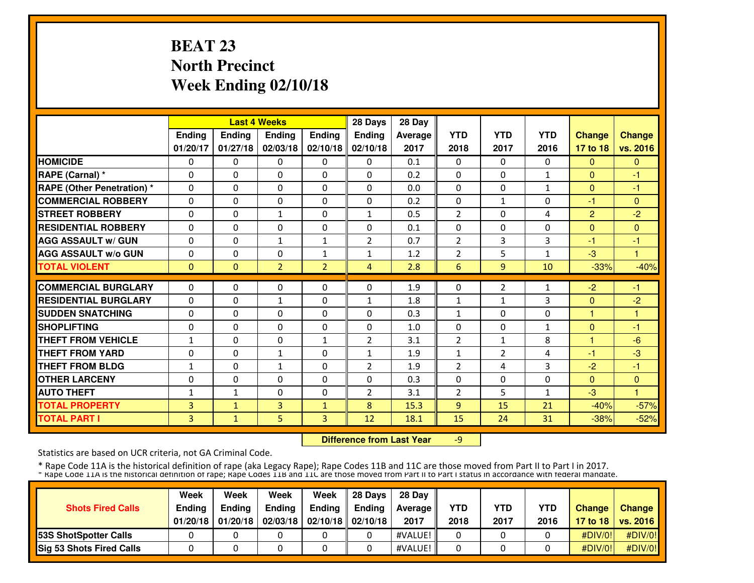# **BEAT 23 North PrecinctWeek Ending 02/10/18**

|                                  |              |              | <b>Last 4 Weeks</b> |                | 28 Days        | 28 Day  |                |                |              |                |               |
|----------------------------------|--------------|--------------|---------------------|----------------|----------------|---------|----------------|----------------|--------------|----------------|---------------|
|                                  | Ending       | Ending       | Ending              | Ending         | <b>Ending</b>  | Average | <b>YTD</b>     | <b>YTD</b>     | <b>YTD</b>   | <b>Change</b>  | <b>Change</b> |
|                                  | 01/20/17     | 01/27/18     | 02/03/18            | 02/10/18       | 02/10/18       | 2017    | 2018           | 2017           | 2016         | 17 to 18       | vs. 2016      |
| <b>HOMICIDE</b>                  | $\Omega$     | $\Omega$     | $\Omega$            | $\Omega$       | $\Omega$       | 0.1     | $\Omega$       | $\Omega$       | $\Omega$     | $\mathbf{0}$   | $\mathbf{0}$  |
| RAPE (Carnal) *                  | $\Omega$     | $\Omega$     | $\Omega$            | $\Omega$       | $\Omega$       | 0.2     | $\Omega$       | $\Omega$       | $\mathbf{1}$ | $\Omega$       | $-1$          |
| <b>RAPE (Other Penetration)*</b> | $\Omega$     | $\Omega$     | $\Omega$            | $\Omega$       | $\Omega$       | 0.0     | $\Omega$       | $\Omega$       | 1            | $\Omega$       | $-1$          |
| <b>COMMERCIAL ROBBERY</b>        | $\Omega$     | $\Omega$     | $\Omega$            | $\Omega$       | $\Omega$       | 0.2     | $\Omega$       | $\mathbf{1}$   | $\Omega$     | -1             | $\mathbf{0}$  |
| <b>STREET ROBBERY</b>            | $\Omega$     | $\Omega$     | $\mathbf{1}$        | $\Omega$       | $\mathbf{1}$   | 0.5     | $\overline{2}$ | $\Omega$       | 4            | $\overline{2}$ | $-2$          |
| <b>RESIDENTIAL ROBBERY</b>       | $\Omega$     | $\Omega$     | $\Omega$            | $\Omega$       | $\Omega$       | 0.1     | $\Omega$       | 0              | $\Omega$     | $\Omega$       | $\Omega$      |
| <b>AGG ASSAULT w/ GUN</b>        | $\Omega$     | 0            | $\mathbf{1}$        | $\mathbf{1}$   | $\overline{2}$ | 0.7     | $\overline{2}$ | 3              | 3            | -1             | $-1$          |
| <b>AGG ASSAULT W/o GUN</b>       | 0            | 0            | $\mathbf 0$         | $\mathbf{1}$   | $\mathbf{1}$   | 1.2     | $\overline{2}$ | 5              | 1            | $-3$           | и             |
| <b>TOTAL VIOLENT</b>             | $\mathbf{0}$ | $\Omega$     | $\overline{2}$      | $\overline{2}$ | 4              | 2.8     | 6              | $\overline{9}$ | 10           | $-33%$         | $-40%$        |
| <b>COMMERCIAL BURGLARY</b>       | $\Omega$     | $\Omega$     | $\Omega$            | $\Omega$       | $\Omega$       | 1.9     | $\Omega$       | $\overline{2}$ | 1            | $-2$           | $-1$          |
| <b>RESIDENTIAL BURGLARY</b>      | $\Omega$     | $\Omega$     | $\mathbf{1}$        | $\Omega$       | $\mathbf{1}$   | 1.8     | $\mathbf{1}$   | $\mathbf{1}$   | 3            | $\Omega$       | $-2$          |
| <b>SUDDEN SNATCHING</b>          | $\Omega$     | 0            | $\mathbf{0}$        | $\Omega$       | $\Omega$       | 0.3     | $\mathbf{1}$   | 0              | $\Omega$     | 1              | н             |
| <b>SHOPLIFTING</b>               | 0            | 0            | $\Omega$            | $\Omega$       | $\Omega$       | 1.0     | 0              | 0              | $\mathbf{1}$ | $\mathbf{0}$   | $-1$          |
| <b>THEFT FROM VEHICLE</b>        | $\mathbf{1}$ | 0            | $\mathbf{0}$        | 1              | $\overline{2}$ | 3.1     | 2              | $\mathbf{1}$   | 8            | 1              | $-6$          |
| <b>THEFT FROM YARD</b>           | 0            | $\Omega$     | $\mathbf{1}$        | 0              | $\mathbf{1}$   | 1.9     | 1              | 2              | 4            | $-1$           | $-3$          |
| <b>THEFT FROM BLDG</b>           | $\mathbf{1}$ | 0            | $\mathbf{1}$        | 0              | $\overline{2}$ | 1.9     | $\overline{2}$ | 4              | 3            | $-2$           | -1            |
| <b>OTHER LARCENY</b>             | $\Omega$     | $\Omega$     | $\Omega$            | $\Omega$       | $\Omega$       | 0.3     | $\Omega$       | $\Omega$       | $\Omega$     | $\Omega$       | $\mathbf{0}$  |
| <b>AUTO THEFT</b>                | $\mathbf{1}$ | $\mathbf{1}$ | $\Omega$            | $\Omega$       | $\overline{2}$ | 3.1     | $\overline{2}$ | 5              | 1            | $-3$           | 4             |
| <b>TOTAL PROPERTY</b>            | 3            | $\mathbf{1}$ | 3                   | $\mathbf{1}$   | 8              | 15.3    | 9              | 15             | 21           | $-40%$         | $-57%$        |
| <b>TOTAL PART I</b>              | 3            | $\mathbf{1}$ | 5 <sup>1</sup>      | 3              | 12             | 18.1    | 15             | 24             | 31           | $-38%$         | $-52%$        |

 **Difference from Last Year** $-9$ 

Statistics are based on UCR criteria, not GA Criminal Code.

|                                 | Week          | Week          | Week          | Week                             | 28 Davs | 28 Day     |            |            |            |               |                     |
|---------------------------------|---------------|---------------|---------------|----------------------------------|---------|------------|------------|------------|------------|---------------|---------------------|
| <b>Shots Fired Calls</b>        | <b>Endina</b> | <b>Endina</b> | <b>Ending</b> | Ending                           | Endina  | Average II | <b>YTD</b> | <b>YTD</b> | <b>YTD</b> | <b>Change</b> | <b>Change</b>       |
|                                 | 01/20/18      | 01/20/18      |               | $02/03/18$   02/10/18   02/10/18 |         | 2017       | 2018       | 2017       | 2016       |               | 17 to 18   vs. 2016 |
| <b>153S ShotSpotter Calls</b>   |               |               |               |                                  |         | #VALUE!    |            |            |            | #DIV/0!       | #DIV/0!             |
| <b>Sig 53 Shots Fired Calls</b> |               |               |               |                                  |         | #VALUE!    |            |            |            | #DIV/0!       | #DIV/0!             |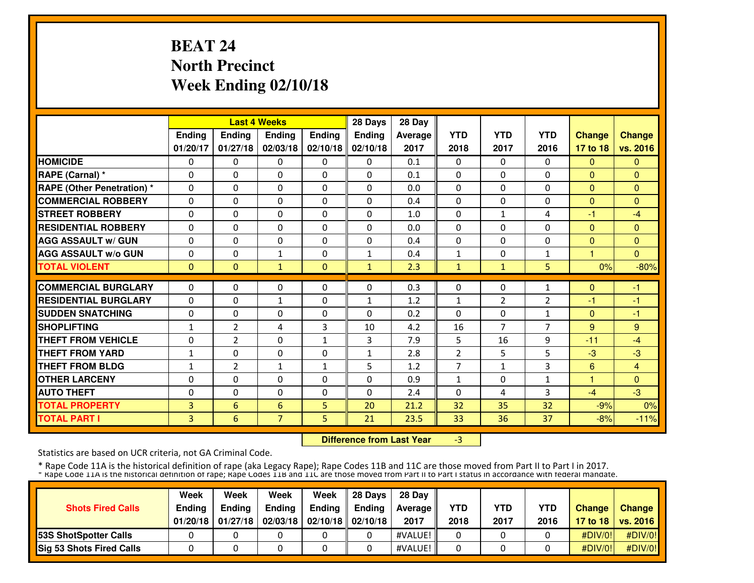# **BEAT 24 North PrecinctWeek Ending 02/10/18**

|                                  |              |                | <b>Last 4 Weeks</b> |               | 28 Days      | 28 Day  |                |                |                |                         |                |
|----------------------------------|--------------|----------------|---------------------|---------------|--------------|---------|----------------|----------------|----------------|-------------------------|----------------|
|                                  | Ending       | <b>Ending</b>  | <b>Ending</b>       | <b>Ending</b> | Ending       | Average | <b>YTD</b>     | <b>YTD</b>     | <b>YTD</b>     | <b>Change</b>           | <b>Change</b>  |
|                                  | 01/20/17     | 01/27/18       | 02/03/18            | 02/10/18      | 02/10/18     | 2017    | 2018           | 2017           | 2016           | 17 to 18                | vs. 2016       |
| <b>HOMICIDE</b>                  | 0            | $\Omega$       | $\Omega$            | $\Omega$      | $\mathbf{0}$ | 0.1     | $\Omega$       | $\Omega$       | $\Omega$       | $\mathbf{0}$            | $\Omega$       |
| RAPE (Carnal) *                  | $\Omega$     | 0              | $\Omega$            | $\Omega$      | $\Omega$     | 0.1     | $\Omega$       | 0              | $\Omega$       | $\Omega$                | $\Omega$       |
| <b>RAPE (Other Penetration)*</b> | $\Omega$     | $\Omega$       | $\Omega$            | $\Omega$      | $\Omega$     | 0.0     | $\Omega$       | $\Omega$       | $\Omega$       | $\Omega$                | $\Omega$       |
| <b>COMMERCIAL ROBBERY</b>        | $\Omega$     | $\Omega$       | $\Omega$            | $\Omega$      | $\Omega$     | 0.4     | $\Omega$       | $\Omega$       | $\Omega$       | $\Omega$                | $\Omega$       |
| <b>STREET ROBBERY</b>            | $\Omega$     | 0              | $\Omega$            | $\Omega$      | $\Omega$     | 1.0     | $\Omega$       | $\mathbf{1}$   | 4              | -1                      | $-4$           |
| <b>RESIDENTIAL ROBBERY</b>       | $\Omega$     | $\Omega$       | $\Omega$            | $\Omega$      | $\Omega$     | 0.0     | $\Omega$       | $\Omega$       | $\Omega$       | $\Omega$                | $\Omega$       |
| <b>AGG ASSAULT w/ GUN</b>        | $\Omega$     | $\Omega$       | $\Omega$            | $\Omega$      | $\Omega$     | 0.4     | $\Omega$       | $\Omega$       | $\Omega$       | $\Omega$                | $\Omega$       |
| <b>AGG ASSAULT w/o GUN</b>       | $\Omega$     | 0              | $\mathbf{1}$        | $\Omega$      | $\mathbf{1}$ | 0.4     | $\mathbf{1}$   | $\Omega$       | $\mathbf{1}$   | $\overline{\mathbf{1}}$ | $\Omega$       |
| <b>TOTAL VIOLENT</b>             | $\mathbf{0}$ | $\mathbf{0}$   | $\mathbf{1}$        | $\mathbf{0}$  | $\mathbf{1}$ | 2.3     | $\mathbf{1}$   | $\mathbf{1}$   | 5              | 0%                      | $-80%$         |
| <b>COMMERCIAL BURGLARY</b>       | $\Omega$     | $\Omega$       | $\mathbf{0}$        | $\Omega$      | $\Omega$     | 0.3     | $\Omega$       | 0              | $\mathbf{1}$   | $\Omega$                | $-1$           |
| <b>RESIDENTIAL BURGLARY</b>      | $\Omega$     | $\Omega$       | $\mathbf{1}$        | $\Omega$      | $\mathbf{1}$ | 1.2     | 1              | $\overline{2}$ | 2              | -1                      | -1             |
| <b>SUDDEN SNATCHING</b>          | 0            | $\Omega$       | $\Omega$            | $\Omega$      | $\Omega$     | 0.2     | $\Omega$       | 0              | 1              | $\Omega$                | $-1$           |
| <b>SHOPLIFTING</b>               | $\mathbf{1}$ | $\overline{2}$ | 4                   | 3             | 10           | 4.2     | 16             | $\overline{7}$ | $\overline{7}$ | 9                       | 9              |
| <b>THEFT FROM VEHICLE</b>        | $\Omega$     | 2              | $\Omega$            | $\mathbf{1}$  | 3            | 7.9     | 5              | 16             | 9              | $-11$                   | $-4$           |
| <b>THEFT FROM YARD</b>           | $\mathbf{1}$ | 0              | $\Omega$            | $\Omega$      | $\mathbf{1}$ | 2.8     | $\overline{2}$ | 5              | 5              | $-3$                    | $-3$           |
| <b>THEFT FROM BLDG</b>           | $\mathbf{1}$ | 2              | $\mathbf{1}$        | 1             | 5            | 1.2     | 7              | $\mathbf{1}$   | 3              | 6                       | $\overline{4}$ |
| <b>OTHER LARCENY</b>             | 0            | 0              | $\Omega$            | $\Omega$      | $\Omega$     | 0.9     | 1              | 0              | 1              | 1                       | $\Omega$       |
| <b>AUTO THEFT</b>                | 0            | 0              | $\Omega$            | $\Omega$      | $\Omega$     | 2.4     | $\Omega$       | 4              | 3              | $-4$                    | $-3$           |
| <b>TOTAL PROPERTY</b>            | 3            | 6              | 6                   | 5             | 20           | 21.2    | 32             | 35             | 32             | $-9%$                   | 0%             |
| <b>TOTAL PART I</b>              | 3            | 6              | $\overline{7}$      | 5             | 21           | 23.5    | 33             | 36             | 37             | $-8%$                   | $-11%$         |
|                                  |              |                |                     |               |              |         |                |                |                |                         |                |

 **Difference from Last Year**-3

Statistics are based on UCR criteria, not GA Criminal Code.

|                                 | Week          | Week          | Week          | Week                           | 28 Davs | 28 Dav     |            |            |            |               |                     |
|---------------------------------|---------------|---------------|---------------|--------------------------------|---------|------------|------------|------------|------------|---------------|---------------------|
| <b>Shots Fired Calls</b>        | <b>Endina</b> | <b>Endina</b> | <b>Ending</b> | Ending                         | Endina  | Average II | <b>YTD</b> | <b>YTD</b> | <b>YTD</b> | <b>Change</b> | Change              |
|                                 | 01/20/18      | 01/27/18      |               | 02/03/18   02/10/18   02/10/18 |         | 2017       | 2018       | 2017       | 2016       |               | 17 to 18   vs. 2016 |
| <b>153S ShotSpotter Calls</b>   |               |               |               |                                |         | #VALUE!    |            |            |            | #DIV/0!       | #DIV/0!             |
| <b>Sig 53 Shots Fired Calls</b> |               |               |               |                                |         | #VALUE!    |            |            |            | #DIV/O!!      | #DIV/0!             |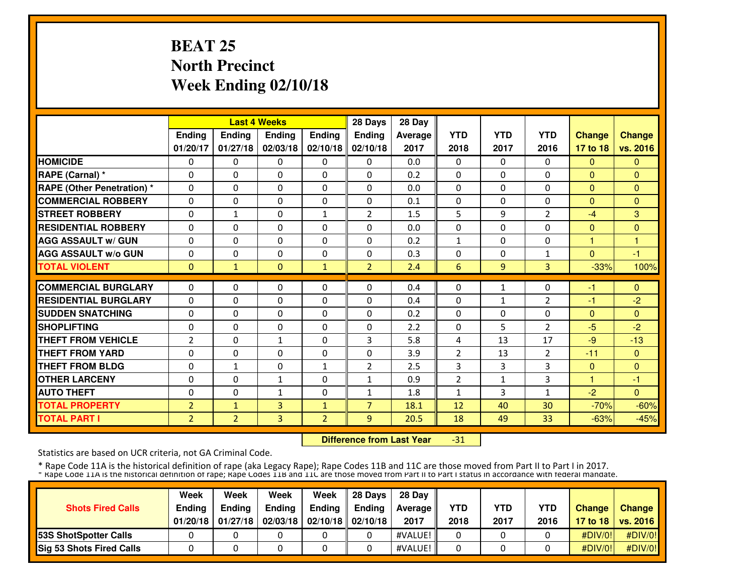# **BEAT 25 North PrecinctWeek Ending 02/10/18**

|                                   |                |                | <b>Last 4 Weeks</b> |                | 28 Days        | 28 Day  |                |                |                |               |               |
|-----------------------------------|----------------|----------------|---------------------|----------------|----------------|---------|----------------|----------------|----------------|---------------|---------------|
|                                   | Ending         | <b>Ending</b>  | <b>Ending</b>       | Ending         | Ending         | Average | <b>YTD</b>     | <b>YTD</b>     | <b>YTD</b>     | <b>Change</b> | <b>Change</b> |
|                                   | 01/20/17       | 01/27/18       | 02/03/18            | 02/10/18       | 02/10/18       | 2017    | 2018           | 2017           | 2016           | 17 to 18      | vs. 2016      |
| <b>HOMICIDE</b>                   | 0              | 0              | $\Omega$            | $\Omega$       | 0              | 0.0     | 0              | 0              | 0              | $\mathbf{0}$  | $\Omega$      |
| RAPE (Carnal) *                   | $\Omega$       | $\Omega$       | $\Omega$            | $\Omega$       | $\Omega$       | 0.2     | $\Omega$       | $\Omega$       | $\Omega$       | $\Omega$      | $\Omega$      |
| <b>RAPE (Other Penetration) *</b> | $\Omega$       | $\Omega$       | $\Omega$            | $\Omega$       | $\Omega$       | 0.0     | 0              | $\Omega$       | $\Omega$       | $\mathbf{0}$  | $\mathbf{0}$  |
| <b>COMMERCIAL ROBBERY</b>         | $\Omega$       | 0              | $\Omega$            | $\Omega$       | $\Omega$       | 0.1     | $\Omega$       | 0              | $\Omega$       | $\Omega$      | $\Omega$      |
| <b>STREET ROBBERY</b>             | $\Omega$       | $\mathbf{1}$   | $\Omega$            | $\mathbf{1}$   | $\overline{2}$ | 1.5     | 5              | 9              | $\overline{2}$ | $-4$          | 3             |
| <b>RESIDENTIAL ROBBERY</b>        | $\Omega$       | 0              | $\Omega$            | $\Omega$       | $\Omega$       | 0.0     | $\Omega$       | $\Omega$       | $\Omega$       | $\Omega$      | $\Omega$      |
| <b>AGG ASSAULT w/ GUN</b>         | $\Omega$       | 0              | $\Omega$            | $\Omega$       | $\Omega$       | 0.2     | $\mathbf{1}$   | 0              | $\Omega$       | 1             | 1             |
| <b>AGG ASSAULT w/o GUN</b>        | 0              | 0              | $\Omega$            | 0              | $\Omega$       | 0.3     | 0              | 0              | 1              | $\Omega$      | $-1$          |
| <b>TOTAL VIOLENT</b>              | $\mathbf{0}$   | $\mathbf{1}$   | $\Omega$            | $\mathbf{1}$   | $\overline{2}$ | 2.4     | 6              | $\overline{9}$ | 3              | $-33%$        | 100%          |
| <b>COMMERCIAL BURGLARY</b>        | $\Omega$       | $\Omega$       | $\mathbf{0}$        | $\Omega$       | $\Omega$       | 0.4     | $\Omega$       | $\mathbf{1}$   | $\Omega$       |               | $\Omega$      |
|                                   |                |                |                     |                |                |         |                |                |                | -1            |               |
| <b>RESIDENTIAL BURGLARY</b>       | $\Omega$       | $\Omega$       | $\Omega$            | $\Omega$       | $\Omega$       | 0.4     | $\Omega$       | $\mathbf{1}$   | 2              | -1            | $-2$          |
| <b>SUDDEN SNATCHING</b>           | 0              | $\Omega$       | $\Omega$            | $\Omega$       | $\Omega$       | 0.2     | $\Omega$       | 0              | $\Omega$       | $\Omega$      | $\Omega$      |
| <b>SHOPLIFTING</b>                | $\Omega$       | $\Omega$       | $\Omega$            | $\Omega$       | $\Omega$       | 2.2     | $\Omega$       | 5              | $\overline{2}$ | $-5$          | $-2$          |
| <b>THEFT FROM VEHICLE</b>         | $\overline{2}$ | 0              | $\mathbf{1}$        | $\Omega$       | 3              | 5.8     | 4              | 13             | 17             | $-9$          | $-13$         |
| <b>THEFT FROM YARD</b>            | $\Omega$       | $\Omega$       | $\Omega$            | $\mathbf{0}$   | $\Omega$       | 3.9     | $\overline{2}$ | 13             | $\overline{2}$ | $-11$         | $\mathbf{0}$  |
| <b>THEFT FROM BLDG</b>            | 0              | $\mathbf{1}$   | $\Omega$            | $\mathbf{1}$   | $\overline{2}$ | 2.5     | 3              | 3              | 3              | $\Omega$      | $\Omega$      |
| <b>OTHER LARCENY</b>              | $\Omega$       | $\Omega$       | $\mathbf{1}$        | $\Omega$       | $\mathbf{1}$   | 0.9     | $\overline{2}$ | $\mathbf{1}$   | 3              | $\mathbf{1}$  | $-1$          |
| <b>AUTO THEFT</b>                 | $\Omega$       | $\Omega$       | $\mathbf{1}$        | $\Omega$       | $\mathbf{1}$   | 1.8     | 1              | 3              | $\mathbf{1}$   | $-2$          | $\Omega$      |
| <b>TOTAL PROPERTY</b>             | $\overline{2}$ | $\mathbf{1}$   | 3                   | $\mathbf{1}$   | $\overline{7}$ | 18.1    | 12             | 40             | 30             | $-70%$        | $-60%$        |
| <b>TOTAL PART I</b>               | $\overline{2}$ | $\overline{2}$ | 3                   | $\overline{2}$ | 9              | 20.5    | 18             | 49             | 33             | $-63%$        | $-45%$        |

 **Difference from Last Year**-31

Statistics are based on UCR criteria, not GA Criminal Code.

|                                 | Week          | Week          | Week          | Week                           | 28 Davs | 28 Dav     |            |            |            |               |                     |
|---------------------------------|---------------|---------------|---------------|--------------------------------|---------|------------|------------|------------|------------|---------------|---------------------|
| <b>Shots Fired Calls</b>        | <b>Endina</b> | <b>Endina</b> | <b>Ending</b> | Ending                         | Endina  | Average II | <b>YTD</b> | <b>YTD</b> | <b>YTD</b> | <b>Change</b> | Change              |
|                                 | 01/20/18      | 01/27/18      |               | 02/03/18   02/10/18   02/10/18 |         | 2017       | 2018       | 2017       | 2016       |               | 17 to 18   vs. 2016 |
| <b>153S ShotSpotter Calls</b>   |               |               |               |                                |         | #VALUE!    |            |            |            | #DIV/0!       | #DIV/0!             |
| <b>Sig 53 Shots Fired Calls</b> |               |               |               |                                |         | #VALUE!    |            |            |            | #DIV/O!!      | #DIV/0!             |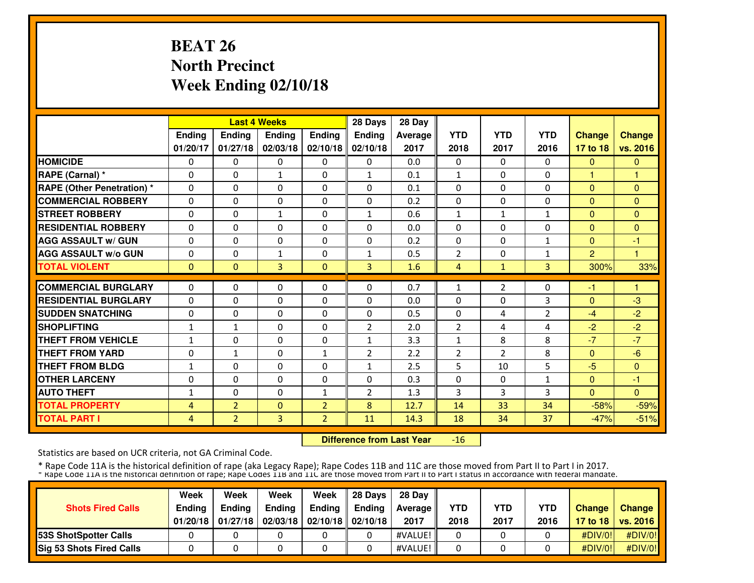# **BEAT 26 North PrecinctWeek Ending 02/10/18**

|                                  |              |                | <b>Last 4 Weeks</b> |                | 28 Days        | 28 Day  |                |                |                |                |               |
|----------------------------------|--------------|----------------|---------------------|----------------|----------------|---------|----------------|----------------|----------------|----------------|---------------|
|                                  | Ending       | Ending         | Ending              | Ending         | <b>Ending</b>  | Average | <b>YTD</b>     | <b>YTD</b>     | <b>YTD</b>     | <b>Change</b>  | <b>Change</b> |
|                                  | 01/20/17     | 01/27/18       | 02/03/18            | 02/10/18       | 02/10/18       | 2017    | 2018           | 2017           | 2016           | 17 to 18       | vs. 2016      |
| <b>HOMICIDE</b>                  | $\Omega$     | $\Omega$       | $\mathbf{0}$        | $\Omega$       | $\Omega$       | 0.0     | $\Omega$       | $\Omega$       | $\Omega$       | $\mathbf{0}$   | $\mathbf{0}$  |
| RAPE (Carnal) *                  | $\Omega$     | $\Omega$       | $\mathbf{1}$        | $\Omega$       | $\mathbf{1}$   | 0.1     | $\mathbf{1}$   | $\Omega$       | $\Omega$       | $\mathbf{1}$   | н             |
| <b>RAPE (Other Penetration)*</b> | $\Omega$     | $\Omega$       | $\Omega$            | $\Omega$       | $\Omega$       | 0.1     | $\Omega$       | $\Omega$       | $\Omega$       | $\Omega$       | $\Omega$      |
| <b>COMMERCIAL ROBBERY</b>        | $\Omega$     | $\Omega$       | $\Omega$            | $\Omega$       | $\Omega$       | 0.2     | $\Omega$       | $\Omega$       | $\Omega$       | $\Omega$       | $\Omega$      |
| <b>STREET ROBBERY</b>            | $\Omega$     | $\Omega$       | $\mathbf{1}$        | $\Omega$       | $\mathbf{1}$   | 0.6     | $\mathbf{1}$   | $\mathbf{1}$   | 1              | $\Omega$       | $\Omega$      |
| <b>RESIDENTIAL ROBBERY</b>       | $\Omega$     | $\Omega$       | $\Omega$            | $\Omega$       | $\Omega$       | 0.0     | $\Omega$       | 0              | $\Omega$       | $\Omega$       | $\Omega$      |
| <b>AGG ASSAULT w/ GUN</b>        | $\Omega$     | 0              | $\Omega$            | $\Omega$       | $\Omega$       | 0.2     | $\Omega$       | $\Omega$       | 1              | $\Omega$       | $-1$          |
| <b>AGG ASSAULT w/o GUN</b>       | 0            | 0              | $\mathbf{1}$        | $\Omega$       | $\mathbf{1}$   | 0.5     | $\overline{2}$ | $\Omega$       | 1              | $\overline{2}$ | н             |
| <b>TOTAL VIOLENT</b>             | $\mathbf{0}$ | $\Omega$       | 3                   | $\Omega$       | $\overline{3}$ | 1.6     | 4              | $\mathbf{1}$   | 3              | 300%           | 33%           |
| <b>COMMERCIAL BURGLARY</b>       | $\Omega$     | $\Omega$       | $\Omega$            | $\Omega$       | $\Omega$       | 0.7     | 1              | 2              | $\Omega$       | -1             |               |
| <b>RESIDENTIAL BURGLARY</b>      | $\Omega$     | $\Omega$       | $\Omega$            | $\Omega$       | $\Omega$       | 0.0     | $\Omega$       | $\Omega$       | 3              | $\Omega$       | $-3$          |
| <b>SUDDEN SNATCHING</b>          | $\Omega$     | 0              | $\Omega$            | $\Omega$       | $\Omega$       | 0.5     | $\Omega$       | 4              | $\overline{2}$ | $-4$           | $-2$          |
| <b>SHOPLIFTING</b>               | $\mathbf{1}$ | $\mathbf{1}$   | $\Omega$            | $\Omega$       | $\overline{2}$ | 2.0     | $\overline{2}$ | 4              | 4              | $-2$           | $-2$          |
| <b>THEFT FROM VEHICLE</b>        | $\mathbf{1}$ | 0              | $\Omega$            | 0              | $\mathbf{1}$   | 3.3     | $\mathbf{1}$   | 8              | 8              | $-7$           | $-7$          |
| <b>THEFT FROM YARD</b>           | 0            | $\mathbf{1}$   | $\Omega$            | $\mathbf{1}$   | $\overline{2}$ | 2.2     | $\overline{2}$ | $\overline{2}$ | 8              | $\Omega$       | $-6$          |
| <b>THEFT FROM BLDG</b>           | $\mathbf{1}$ | 0              | $\Omega$            | 0              | $\mathbf{1}$   | 2.5     | 5              | 10             | 5              | $-5$           | $\Omega$      |
| <b>OTHER LARCENY</b>             | $\Omega$     | $\Omega$       | $\Omega$            | $\Omega$       | $\Omega$       | 0.3     | $\Omega$       | $\Omega$       | $\mathbf{1}$   | $\Omega$       | $-1$          |
| <b>AUTO THEFT</b>                | $\mathbf{1}$ | $\Omega$       | $\Omega$            | $\mathbf{1}$   | $\overline{2}$ | 1.3     | 3              | 3              | 3              | $\Omega$       | $\Omega$      |
| <b>TOTAL PROPERTY</b>            | 4            | $\overline{2}$ | $\mathbf{0}$        | $\overline{2}$ | 8              | 12.7    | 14             | 33             | 34             | $-58%$         | $-59%$        |
| <b>TOTAL PART I</b>              | 4            | $\overline{2}$ | 3                   | $\overline{2}$ | 11             | 14.3    | 18             | 34             | 37             | $-47%$         | $-51%$        |

 **Difference from Last Year**-16

Statistics are based on UCR criteria, not GA Criminal Code.

|                                 | Week          | Week          | Week          | Week                           | 28 Davs | 28 Dav     |            |            |            |               |                     |
|---------------------------------|---------------|---------------|---------------|--------------------------------|---------|------------|------------|------------|------------|---------------|---------------------|
| <b>Shots Fired Calls</b>        | <b>Endina</b> | <b>Endina</b> | <b>Ending</b> | Ending                         | Endina  | Average II | <b>YTD</b> | <b>YTD</b> | <b>YTD</b> | <b>Change</b> | Change              |
|                                 | 01/20/18      | 01/27/18      |               | 02/03/18   02/10/18   02/10/18 |         | 2017       | 2018       | 2017       | 2016       |               | 17 to 18   vs. 2016 |
| <b>153S ShotSpotter Calls</b>   |               |               |               |                                |         | #VALUE!    |            |            |            | #DIV/0!       | #DIV/0!             |
| <b>Sig 53 Shots Fired Calls</b> |               |               |               |                                |         | #VALUE!    |            |            |            | #DIV/O!!      | #DIV/0!             |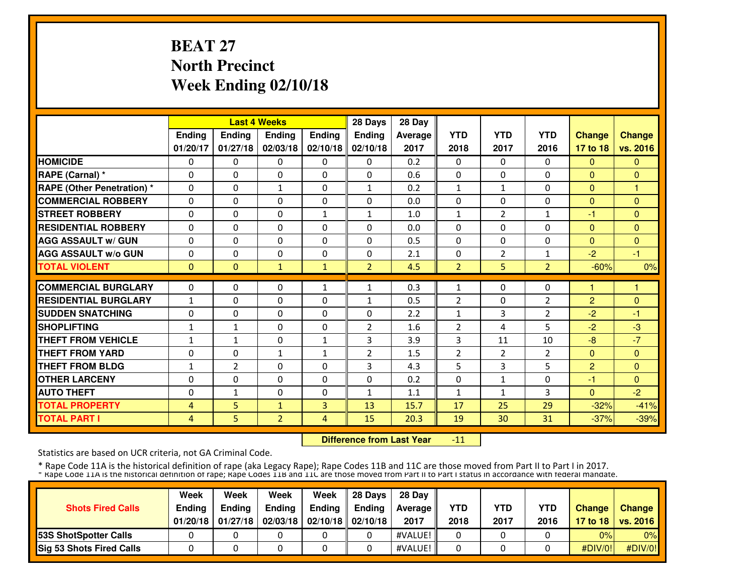# **BEAT 27 North PrecinctWeek Ending 02/10/18**

|                                   |              |                | <b>Last 4 Weeks</b> |               | 28 Days        | 28 Day  |                |                |                |                |               |
|-----------------------------------|--------------|----------------|---------------------|---------------|----------------|---------|----------------|----------------|----------------|----------------|---------------|
|                                   | Ending       | Ending         | <b>Ending</b>       | <b>Ending</b> | <b>Ending</b>  | Average | <b>YTD</b>     | <b>YTD</b>     | <b>YTD</b>     | <b>Change</b>  | <b>Change</b> |
|                                   | 01/20/17     | 01/27/18       | 02/03/18            | 02/10/18      | 02/10/18       | 2017    | 2018           | 2017           | 2016           | 17 to 18       | vs. 2016      |
| <b>HOMICIDE</b>                   | 0            | $\Omega$       | $\Omega$            | 0             | $\Omega$       | 0.2     | $\Omega$       | $\Omega$       | $\Omega$       | $\Omega$       | $\Omega$      |
| RAPE (Carnal) *                   | $\Omega$     | $\Omega$       | $\Omega$            | $\Omega$      | $\Omega$       | 0.6     | $\Omega$       | $\Omega$       | $\Omega$       | $\Omega$       | $\Omega$      |
| <b>RAPE (Other Penetration) *</b> | $\Omega$     | $\Omega$       | $\mathbf{1}$        | $\Omega$      | $\mathbf{1}$   | 0.2     | $\mathbf{1}$   | $\mathbf{1}$   | $\Omega$       | $\Omega$       | $\mathbf{1}$  |
| <b>COMMERCIAL ROBBERY</b>         | $\Omega$     | $\Omega$       | $\Omega$            | $\Omega$      | $\Omega$       | 0.0     | $\Omega$       | $\Omega$       | $\Omega$       | $\Omega$       | $\Omega$      |
| <b>STREET ROBBERY</b>             | $\Omega$     | $\Omega$       | $\Omega$            | $\mathbf{1}$  | $\mathbf{1}$   | 1.0     | $\mathbf{1}$   | $\overline{2}$ | $\mathbf{1}$   | $-1$           | $\Omega$      |
| <b>RESIDENTIAL ROBBERY</b>        | 0            | $\Omega$       | 0                   | $\Omega$      | $\Omega$       | 0.0     | 0              | $\Omega$       | $\Omega$       | $\Omega$       | $\Omega$      |
| <b>AGG ASSAULT w/ GUN</b>         | $\Omega$     | $\Omega$       | $\mathbf{0}$        | $\Omega$      | $\Omega$       | 0.5     | $\Omega$       | $\Omega$       | $\Omega$       | $\Omega$       | $\Omega$      |
| <b>AGG ASSAULT W/o GUN</b>        | 0            | $\Omega$       | $\mathbf{0}$        | $\Omega$      | $\Omega$       | 2.1     | $\Omega$       | $\overline{2}$ | 1              | $-2$           | $-1$          |
| <b>TOTAL VIOLENT</b>              | $\mathbf{0}$ | $\Omega$       | $\mathbf{1}$        | $\mathbf{1}$  | $\overline{2}$ | 4.5     | $\overline{2}$ | 5              | $\overline{2}$ | $-60%$         | 0%            |
| <b>COMMERCIAL BURGLARY</b>        | $\Omega$     | $\Omega$       | $\mathbf{0}$        | $\mathbf{1}$  | 1              | 0.3     | 1              | $\Omega$       | $\Omega$       | н              | 1             |
| <b>RESIDENTIAL BURGLARY</b>       | $\mathbf{1}$ | $\Omega$       | $\Omega$            | $\Omega$      | $\mathbf{1}$   | 0.5     | $\overline{2}$ | $\Omega$       | 2              | $\overline{2}$ | $\Omega$      |
| <b>SUDDEN SNATCHING</b>           | $\Omega$     | 0              | $\mathbf{0}$        | $\Omega$      | $\Omega$       | 2.2     | $\mathbf{1}$   | 3              | $\overline{2}$ | $-2$           | $-1$          |
| <b>SHOPLIFTING</b>                | $\mathbf{1}$ | $\mathbf{1}$   | $\mathbf{0}$        | $\Omega$      | $\overline{2}$ | 1.6     | 2              | 4              | 5              | $-2$           | $-3$          |
| <b>THEFT FROM VEHICLE</b>         | $\mathbf{1}$ | $\mathbf{1}$   | $\mathbf{0}$        | 1             | 3              | 3.9     | 3              | 11             | 10             | $-8$           | $-7$          |
| <b>THEFT FROM YARD</b>            | 0            | $\Omega$       | $\mathbf{1}$        | $\mathbf{1}$  | $\overline{2}$ | 1.5     | $\overline{2}$ | 2              | 2              | $\Omega$       | $\mathbf{0}$  |
| <b>THEFT FROM BLDG</b>            | $\mathbf{1}$ | $\overline{2}$ | $\Omega$            | $\Omega$      | 3              | 4.3     | 5              | 3              | 5              | $\overline{2}$ | $\Omega$      |
| <b>OTHER LARCENY</b>              | 0            | $\Omega$       | $\Omega$            | $\Omega$      | $\Omega$       | 0.2     | 0              | $\mathbf{1}$   | $\Omega$       | -1             | $\Omega$      |
| <b>AUTO THEFT</b>                 | 0            | $\mathbf{1}$   | $\Omega$            | $\Omega$      | $\mathbf{1}$   | 1.1     | $\mathbf{1}$   | 1              | 3              | $\Omega$       | $-2$          |
| <b>TOTAL PROPERTY</b>             | 4            | $5\phantom{.}$ | $\mathbf{1}$        | 3             | 13             | 15.7    | 17             | 25             | 29             | $-32%$         | $-41%$        |
| <b>TOTAL PART I</b>               | 4            | 5              | $\overline{2}$      | 4             | 15             | 20.3    | 19             | 30             | 31             | $-37%$         | $-39%$        |
|                                   |              |                |                     |               |                |         |                |                |                |                |               |

 **Difference from Last Year**-11

Statistics are based on UCR criteria, not GA Criminal Code.

|                                 | Week          | Week          | Week          | Week                           | 28 Davs | 28 Dav     |            |            |            |               |                     |
|---------------------------------|---------------|---------------|---------------|--------------------------------|---------|------------|------------|------------|------------|---------------|---------------------|
| <b>Shots Fired Calls</b>        | <b>Endina</b> | <b>Endina</b> | <b>Ending</b> | Ending                         | Endina  | Average II | <b>YTD</b> | <b>YTD</b> | <b>YTD</b> | <b>Change</b> | Change              |
|                                 | 01/20/18      | 01/27/18      |               | 02/03/18   02/10/18   02/10/18 |         | 2017       | 2018       | 2017       | 2016       |               | 17 to 18   vs. 2016 |
| <b>153S ShotSpotter Calls</b>   |               |               |               |                                |         | #VALUE!    |            |            |            | 0%            | 0%                  |
| <b>Sig 53 Shots Fired Calls</b> |               |               |               |                                |         | #VALUE!    |            |            |            | #DIV/O!!      | #DIV/0!             |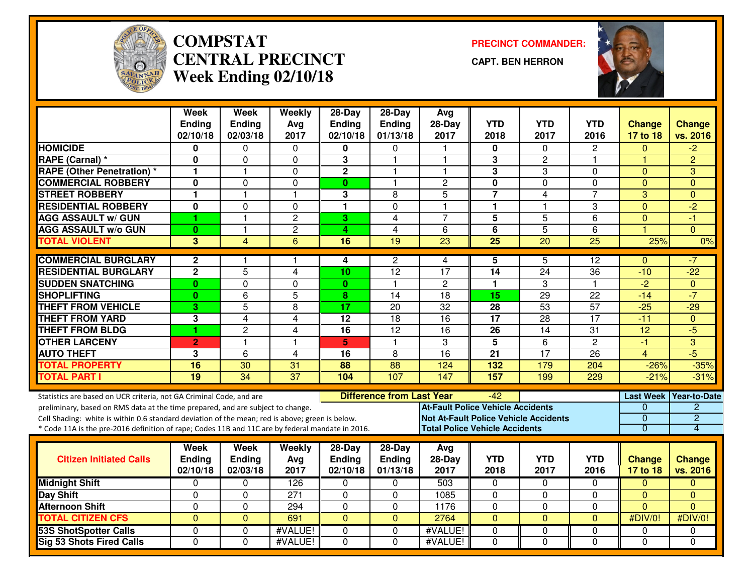

#### **COMPSTAT PRECINCT COMMANDER: CENTRAL PRECINCTWeek Ending 02/10/18**

**CAPT. BEN HERRON**



|                                                                                                  | <b>Week</b><br><b>Ending</b> | <b>Week</b><br><b>Ending</b> | Weekly<br>Avg   | $28-Day$<br><b>Ending</b> | $28-Day$<br><b>Ending</b>        | Avg<br>$28-Day$                              | <b>YTD</b>      | <b>YTD</b>              | <b>YTD</b>      | <b>Change</b>   | <b>Change</b>          |
|--------------------------------------------------------------------------------------------------|------------------------------|------------------------------|-----------------|---------------------------|----------------------------------|----------------------------------------------|-----------------|-------------------------|-----------------|-----------------|------------------------|
|                                                                                                  | 02/10/18                     | 02/03/18                     | 2017            | 02/10/18                  | 01/13/18                         | 2017                                         | 2018            | 2017                    | 2016            | 17 to 18        | vs. 2016               |
| <b>HOMICIDE</b>                                                                                  | 0                            | 0                            | $\Omega$        | $\Omega$                  | $\Omega$                         | া                                            | $\mathbf{0}$    | $\Omega$                | $\overline{2}$  | $\Omega$        | $-2$                   |
| <b>RAPE (Carnal)</b> *                                                                           | 0                            | $\mathbf 0$                  | $\mathbf 0$     | 3                         | $\mathbf{1}$                     | $\overline{1}$                               | 3               | $\overline{2}$          | 1               | $\overline{1}$  | $\overline{2}$         |
| <b>RAPE (Other Penetration) *</b>                                                                | 1                            | 1                            | $\mathbf 0$     | $\overline{2}$            | 1                                | -1                                           | 3               | 3                       | 0               | $\Omega$        | 3                      |
| <b>COMMERCIAL ROBBERY</b>                                                                        | 0                            | $\Omega$                     | $\mathbf 0$     | $\mathbf{0}$              | 1                                | $\overline{2}$                               | 0               | $\mathbf 0$             | 0               | $\mathbf{0}$    | $\Omega$               |
| <b>STREET ROBBERY</b>                                                                            | 1                            | $\overline{1}$               | $\mathbf{1}$    | 3                         | 8                                | 5                                            | $\overline{7}$  | 4                       | $\overline{7}$  | 3               | $\Omega$               |
| <b>RESIDENTIAL ROBBERY</b>                                                                       | 0                            | $\Omega$                     | $\Omega$        | 1                         | $\Omega$                         | $\overline{1}$                               | $\mathbf{1}$    | $\overline{\mathbf{1}}$ | 3               | $\Omega$        | $\overline{2}$         |
| <b>AGG ASSAULT w/ GUN</b>                                                                        | 1                            | $\mathbf{1}$                 | $\overline{c}$  | 3                         | 4                                | $\overline{7}$                               | 5               | 5                       | 6               | $\Omega$        | -1                     |
| <b>AGG ASSAULT w/o GUN</b>                                                                       | $\mathbf{0}$                 | $\overline{1}$               | $\overline{2}$  | 4                         | $\overline{4}$                   | $\overline{6}$                               | $\overline{6}$  | $\overline{5}$          | $\overline{6}$  |                 | $\Omega$               |
| <b>TOTAL VIOLENT</b>                                                                             | 3                            | $\overline{4}$               | 6               | 16                        | 19                               | 23                                           | $\overline{25}$ | $\overline{20}$         | 25              | 25%             | 0%                     |
| <b>COMMERCIAL BURGLARY</b>                                                                       | $\mathbf{2}$                 |                              | $\mathbf 1$     | 4                         | $\overline{c}$                   | 4                                            | 5               | 5                       | 12              | $\Omega$        | -7                     |
| <b>RESIDENTIAL BURGLARY</b>                                                                      | $\overline{2}$               | $\overline{5}$               | $\overline{4}$  | 10                        | $\overline{12}$                  | $\overline{17}$                              | $\overline{14}$ | $\overline{24}$         | 36              | $-10$           | $-22$                  |
| <b>SUDDEN SNATCHING</b>                                                                          | $\mathbf{0}$                 | $\mathbf 0$                  | 0               | $\mathbf{0}$              | $\mathbf{1}$                     | $\overline{2}$                               | $\mathbf{1}$    | 3                       | 1               | $\overline{2}$  | $\mathbf{0}$           |
| <b>SHOPLIFTING</b>                                                                               | $\mathbf{0}$                 | 6                            | 5               | 8                         | 14                               | $\overline{18}$                              | 15              | $\overline{29}$         | 22              | $-14$           | $-7$                   |
| <b>THEFT FROM VEHICLE</b>                                                                        | 3                            | $\overline{5}$               | 8               | $\overline{17}$           | $\overline{20}$                  | $\overline{32}$                              | $\overline{28}$ | 53                      | $\overline{57}$ | $-25$           | $-29$                  |
| <b>THEFT FROM YARD</b>                                                                           | 3                            | 4                            | $\overline{4}$  | $\overline{12}$           | $\overline{18}$                  | 16                                           | $\overline{17}$ | 28                      | 17              | $-11$           | $\Omega$               |
| <b>THEFT FROM BLDG</b>                                                                           | 1                            | $\overline{c}$               | 4               | $\overline{16}$           | 12                               | $\overline{16}$                              | 26              | 14                      | 31              | $\overline{12}$ | $-5$                   |
| <b>OTHER LARCENY</b>                                                                             | $\overline{2}$               | $\mathbf{1}$                 | $\mathbf{1}$    | 5                         | $\mathbf{1}$                     | 3                                            | $\overline{5}$  | 6                       | $\overline{2}$  | $-1$            | $\overline{3}$         |
| <b>AUTO THEFT</b>                                                                                | 3                            | $\overline{6}$               | 4               | $\overline{16}$           | 8                                | $\overline{16}$                              | $\overline{21}$ | 17                      | $\overline{26}$ | 4               | $-5$                   |
| <b>TOTAL PROPERTY</b>                                                                            | 16                           | 30                           | 31              | 88                        | 88                               | 124                                          | 132             | 179                     | 204             | $-26%$          | $-35%$                 |
| <b>TOTAL PART I</b>                                                                              | 19                           | $\overline{34}$              | $\overline{37}$ | 104                       | 107                              | 147                                          | 157             | 199                     | 229             | $-21%$          | $-31%$                 |
| Statistics are based on UCR criteria, not GA Criminal Code, and are                              |                              |                              |                 |                           | <b>Difference from Last Year</b> |                                              | $-42$           |                         |                 |                 | Last Week Year-to-Date |
| preliminary, based on RMS data at the time prepared, and are subject to change.                  |                              |                              |                 |                           |                                  | <b>At-Fault Police Vehicle Accidents</b>     |                 |                         |                 | 0               | 2                      |
| Cell Shading: white is within 0.6 standard deviation of the mean; red is above; green is below.  |                              |                              |                 |                           |                                  | <b>Not At-Fault Police Vehicle Accidents</b> |                 |                         |                 | $\overline{0}$  | $\overline{2}$         |
| * Code 11A is the pre-2016 definition of rape; Codes 11B and 11C are by federal mandate in 2016. |                              |                              |                 |                           |                                  | <b>Total Police Vehicle Accidents</b>        |                 |                         |                 | $\overline{0}$  | 4                      |
|                                                                                                  | Week                         | <b>Week</b>                  | Weekly          | $28-Day$                  | 28-Day                           | Avg                                          |                 |                         |                 |                 |                        |
| <b>Citizen Initiated Calls</b>                                                                   | <b>Ending</b>                | Ending                       | Avg             | <b>Ending</b>             | Ending                           | $28-Day$                                     | <b>YTD</b>      | <b>YTD</b>              | <b>YTD</b>      | <b>Change</b>   | <b>Change</b>          |
|                                                                                                  | 02/10/18                     | 02/03/18                     | 2017            | 02/10/18                  | 01/13/18                         | 2017                                         | 2018            | 2017                    | 2016            | 17 to 18        | vs. 2016               |
| <b>Midnight Shift</b>                                                                            | $\mathbf 0$                  | $\Omega$                     | 126             | $\Omega$                  | $\Omega$                         | 503                                          | $\mathbf 0$     | $\Omega$                | $\Omega$        | $\Omega$        | $\Omega$               |
| <b>Day Shift</b>                                                                                 | $\Omega$                     | $\Omega$                     | 271             | $\Omega$                  | $\Omega$                         | 1085                                         | 0               | 0                       | $\Omega$        | $\mathbf{0}$    | $\Omega$               |
| <b>Afternoon Shift</b>                                                                           | $\mathbf 0$                  | $\mathbf 0$                  | 294             | $\mathbf 0$               | 0                                | 1176                                         | $\mathbf 0$     | $\mathbf 0$             | 0               | $\mathbf{0}$    | $\Omega$               |
| <b>TOTAL CITIZEN CFS</b>                                                                         | $\Omega$                     | $\overline{0}$               | 691             | $\overline{0}$            | $\overline{0}$                   | 2764                                         | $\mathbf{0}$    | $\overline{0}$          | $\overline{0}$  | #DIV/0!         | #DIV/0!                |
| <b>53S ShotSpotter Calls</b>                                                                     | $\mathbf 0$                  | $\Omega$                     | #VALUE!         | $\Omega$                  | 0                                | #VALUE!                                      | 0               | 0                       | 0               | 0               | 0                      |
| <b>Sig 53 Shots Fired Calls</b>                                                                  | $\Omega$                     | $\Omega$                     | #VALUE!         | $\Omega$                  | $\Omega$                         | #VALUE!                                      | $\Omega$        | $\Omega$                | $\Omega$        | $\Omega$        | $\Omega$               |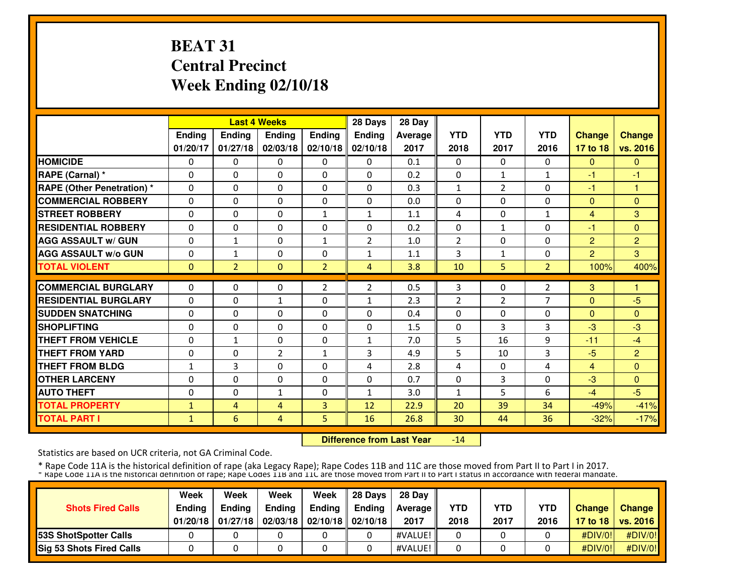# **BEAT 31 Central PrecinctWeek Ending 02/10/18**

|                                   |              |                | <b>Last 4 Weeks</b> |                | 28 Days        | 28 Day  |                |                |                |                |                |
|-----------------------------------|--------------|----------------|---------------------|----------------|----------------|---------|----------------|----------------|----------------|----------------|----------------|
|                                   | Ending       | Ending         | <b>Ending</b>       | <b>Ending</b>  | <b>Ending</b>  | Average | <b>YTD</b>     | <b>YTD</b>     | <b>YTD</b>     | <b>Change</b>  | <b>Change</b>  |
|                                   | 01/20/17     | 01/27/18       | 02/03/18            | 02/10/18       | 02/10/18       | 2017    | 2018           | 2017           | 2016           | 17 to 18       | vs. 2016       |
| <b>HOMICIDE</b>                   | 0            | $\Omega$       | $\Omega$            | $\Omega$       | $\Omega$       | 0.1     | $\Omega$       | $\Omega$       | $\Omega$       | $\Omega$       | $\Omega$       |
| RAPE (Carnal) *                   | $\Omega$     | $\Omega$       | $\Omega$            | $\Omega$       | $\Omega$       | 0.2     | $\Omega$       | $\mathbf{1}$   | $\mathbf{1}$   | -1             | -1             |
| <b>RAPE (Other Penetration) *</b> | $\Omega$     | $\Omega$       | $\Omega$            | $\Omega$       | $\Omega$       | 0.3     | $\mathbf{1}$   | $\overline{2}$ | $\Omega$       | -1             | 1              |
| <b>COMMERCIAL ROBBERY</b>         | $\Omega$     | $\Omega$       | $\mathbf{0}$        | $\Omega$       | $\Omega$       | 0.0     | $\Omega$       | $\Omega$       | $\Omega$       | $\Omega$       | $\Omega$       |
| <b>STREET ROBBERY</b>             | $\Omega$     | $\Omega$       | $\Omega$            | $\mathbf{1}$   | $\mathbf{1}$   | 1.1     | 4              | $\Omega$       | $\mathbf{1}$   | $\overline{4}$ | 3              |
| <b>RESIDENTIAL ROBBERY</b>        | 0            | $\Omega$       | 0                   | 0              | $\Omega$       | 0.2     | 0              | $\mathbf{1}$   | $\Omega$       | $-1$           | $\Omega$       |
| <b>AGG ASSAULT w/ GUN</b>         | $\Omega$     | $\mathbf{1}$   | $\mathbf{0}$        | 1              | $\overline{2}$ | 1.0     | $\overline{2}$ | $\mathbf{0}$   | $\Omega$       | $\overline{2}$ | $\overline{2}$ |
| <b>AGG ASSAULT W/o GUN</b>        | 0            | 1              | $\mathbf{0}$        | $\Omega$       | 1              | 1.1     | 3              | $\mathbf{1}$   | 0              | $\overline{2}$ | 3              |
| <b>TOTAL VIOLENT</b>              | $\mathbf{0}$ | $\overline{2}$ | $\mathbf{0}$        | $\overline{2}$ | 4              | 3.8     | 10             | 5              | $\overline{2}$ | 100%           | 400%           |
| <b>COMMERCIAL BURGLARY</b>        | $\Omega$     | $\Omega$       | $\mathbf{0}$        | $\overline{2}$ | $\overline{2}$ | 0.5     | 3              | $\Omega$       | 2              | 3              | 1              |
| <b>RESIDENTIAL BURGLARY</b>       | $\Omega$     | $\Omega$       | $\mathbf{1}$        | $\Omega$       | $\mathbf{1}$   | 2.3     | $\overline{2}$ | $\overline{2}$ | 7              | $\Omega$       | $-5$           |
| <b>SUDDEN SNATCHING</b>           | $\Omega$     | $\Omega$       | $\Omega$            | $\Omega$       | $\Omega$       | 0.4     | $\Omega$       | $\Omega$       | 0              | $\Omega$       | $\Omega$       |
| <b>SHOPLIFTING</b>                |              |                |                     |                |                |         |                | 3              |                | $-3$           | $-3$           |
|                                   | $\Omega$     | $\Omega$       | $\mathbf{0}$        | $\Omega$       | $\Omega$       | 1.5     | 0              |                | 3              |                |                |
| <b>THEFT FROM VEHICLE</b>         | 0            | $\mathbf{1}$   | $\mathbf{0}$        | $\Omega$       | $\mathbf{1}$   | 7.0     | 5              | 16             | 9              | $-11$          | $-4$           |
| <b>THEFT FROM YARD</b>            | 0            | $\Omega$       | $\overline{2}$      | $\mathbf{1}$   | 3              | 4.9     | 5              | 10             | 3              | $-5$           | $\overline{2}$ |
| <b>THEFT FROM BLDG</b>            | 1            | 3              | $\Omega$            | $\Omega$       | 4              | 2.8     | 4              | $\Omega$       | 4              | $\overline{4}$ | $\Omega$       |
| <b>OTHER LARCENY</b>              | 0            | $\Omega$       | $\Omega$            | $\Omega$       | $\Omega$       | 0.7     | 0              | 3              | $\Omega$       | $-3$           | $\Omega$       |
| <b>AUTO THEFT</b>                 | $\Omega$     | $\Omega$       | $\mathbf{1}$        | $\Omega$       | $\mathbf{1}$   | 3.0     | $\mathbf{1}$   | 5              | 6              | $-4$           | $-5$           |
| <b>TOTAL PROPERTY</b>             | 1            | 4              | $\overline{4}$      | 3              | 12             | 22.9    | 20             | 39             | 34             | $-49%$         | $-41%$         |
| <b>TOTAL PART I</b>               | $\mathbf{1}$ | 6              | 4                   | 5              | 16             | 26.8    | 30             | 44             | 36             | $-32%$         | $-17%$         |

 **Difference from Last Year**-14

Statistics are based on UCR criteria, not GA Criminal Code.

|                               | Week          | Week          | Week          | Week                           | 28 Davs | 28 Dav     |            |            |            |               |                     |
|-------------------------------|---------------|---------------|---------------|--------------------------------|---------|------------|------------|------------|------------|---------------|---------------------|
| <b>Shots Fired Calls</b>      | <b>Ending</b> | <b>Ending</b> | <b>Ending</b> | Ending                         | Endina  | Average II | <b>YTD</b> | <b>YTD</b> | <b>YTD</b> | <b>Change</b> | Change              |
|                               | 01/20/18      | 01/27/18      |               | 02/03/18   02/10/18   02/10/18 |         | 2017       | 2018       | 2017       | 2016       |               | 17 to 18   vs. 2016 |
| <b>153S ShotSpotter Calls</b> |               |               |               |                                |         | #VALUE!    |            |            |            | #DIV/0!       | #DIV/0!             |
| Sig 53 Shots Fired Calls      |               |               |               |                                |         | #VALUE!    |            |            |            | #DIV/0!       | #DIV/0!             |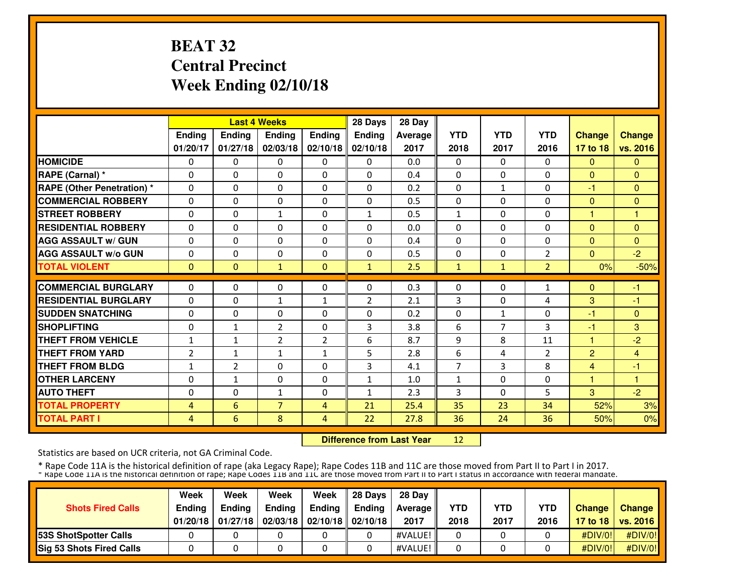# **BEAT 32 Central PrecinctWeek Ending 02/10/18**

|                                   |               |                | <b>Last 4 Weeks</b>      |                | 28 Days       | 28 Day  |               |                |                |                |                |
|-----------------------------------|---------------|----------------|--------------------------|----------------|---------------|---------|---------------|----------------|----------------|----------------|----------------|
|                                   | <b>Ending</b> | Ending         | Ending                   | Ending         | <b>Ending</b> | Average | <b>YTD</b>    | <b>YTD</b>     | <b>YTD</b>     | <b>Change</b>  | <b>Change</b>  |
|                                   | 01/20/17      | 01/27/18       | 02/03/18                 | 02/10/18       | 02/10/18      | 2017    | 2018          | 2017           | 2016           | 17 to 18       | vs. 2016       |
| <b>HOMICIDE</b>                   | $\Omega$      | $\Omega$       | $\Omega$                 | $\Omega$       | $\Omega$      | 0.0     | $\Omega$      | $\Omega$       | $\Omega$       | $\Omega$       | $\mathbf{0}$   |
| <b>RAPE (Carnal) *</b>            | $\Omega$      | $\Omega$       | $\Omega$                 | $\mathbf{0}$   | $\Omega$      | 0.4     | $\Omega$      | 0              | 0              | $\Omega$       | $\Omega$       |
| <b>RAPE (Other Penetration) *</b> | $\Omega$      | $\Omega$       | $\Omega$                 | $\mathbf{0}$   | $\Omega$      | 0.2     | 0             | $\mathbf{1}$   | 0              | -1             | $\Omega$       |
| <b>COMMERCIAL ROBBERY</b>         | $\Omega$      | $\Omega$       | $\Omega$                 | $\mathbf{0}$   | $\Omega$      | 0.5     | $\Omega$      | 0              | $\Omega$       | $\Omega$       | $\Omega$       |
| <b>STREET ROBBERY</b>             | $\Omega$      | $\Omega$       | $\mathbf{1}$             | $\mathbf{0}$   | $\mathbf{1}$  | 0.5     | 1             | 0              | 0              | $\mathbf{1}$   | 1              |
| <b>RESIDENTIAL ROBBERY</b>        | $\Omega$      | $\Omega$       | $\Omega$                 | $\Omega$       | $\Omega$      | 0.0     | $\mathbf{0}$  | 0              | $\Omega$       | $\Omega$       | $\Omega$       |
| <b>AGG ASSAULT w/ GUN</b>         | $\Omega$      | $\Omega$       | $\Omega$                 | $\Omega$       | 0             | 0.4     | $\Omega$      | 0              | $\Omega$       | $\Omega$       | $\Omega$       |
| <b>AGG ASSAULT w/o GUN</b>        | $\Omega$      | $\Omega$       | $\Omega$                 | $\Omega$       | 0             | 0.5     | $\Omega$      | 0              | 2              | $\Omega$       | $-2$           |
| <b>TOTAL VIOLENT</b>              | $\mathbf{0}$  | $\Omega$       | $\mathbf{1}$             | $\mathbf{0}$   | $\mathbf{1}$  | 2.5     | $\mathbf{1}$  | $\mathbf{1}$   | $\overline{2}$ | 0%             | $-50%$         |
| <b>COMMERCIAL BURGLARY</b>        | $\Omega$      | $\Omega$       | $\Omega$                 | $\mathbf{0}$   | $\Omega$      | 0.3     | $\Omega$      | 0              | 1              | $\Omega$       | -1             |
| <b>RESIDENTIAL BURGLARY</b>       | $\Omega$      | $\Omega$       |                          |                | 2             | 2.1     |               | 0              |                |                | -1             |
| <b>SUDDEN SNATCHING</b>           | $\Omega$      | $\Omega$       | $\mathbf{1}$<br>$\Omega$ | 1<br>$\Omega$  | $\Omega$      | 0.2     | 3<br>$\Omega$ | $\mathbf{1}$   | 4<br>$\Omega$  | 3<br>-1        | $\mathbf{0}$   |
| <b>SHOPLIFTING</b>                | $\Omega$      | $\mathbf{1}$   | $\overline{2}$           | $\mathbf{0}$   | 3             | 3.8     | 6             | $\overline{7}$ | 3              | -1             | 3              |
| <b>THEFT FROM VEHICLE</b>         | $\mathbf{1}$  | $\mathbf{1}$   | $\overline{2}$           | $\overline{2}$ | 6             | 8.7     | 9             | 8              | 11             | 1              | $-2$           |
| <b>THEFT FROM YARD</b>            | 2             | $\mathbf{1}$   | $\mathbf{1}$             | $\mathbf{1}$   | 5             | 2.8     | 6             | 4              | $\overline{2}$ | $\overline{2}$ | $\overline{4}$ |
| <b>THEFT FROM BLDG</b>            | 1             | $\overline{2}$ | $\Omega$                 | $\Omega$       | 3             | 4.1     | 7             | 3              | 8              | 4              | -1             |
| <b>OTHER LARCENY</b>              | $\Omega$      | $\mathbf{1}$   | $\Omega$                 | $\Omega$       | 1             | 1.0     | 1             | 0              | $\Omega$       | 1              | 1              |
| <b>AUTO THEFT</b>                 | $\Omega$      | $\Omega$       | $\mathbf{1}$             | $\Omega$       | 1             | 2.3     | 3             | 0              | 5              | 3              | $-2$           |
| <b>TOTAL PROPERTY</b>             | 4             | 6              | $\overline{7}$           | 4              | 21            | 25.4    | 35            | 23             | 34             | 52%            | 3%             |
| <b>TOTAL PART I</b>               | 4             | 6              | 8                        |                | 22            | 27.8    | 36            | 24             | 36             | 50%            |                |
|                                   |               |                |                          | 4              |               |         |               |                |                |                | 0%             |

 **Difference from Last Year**<sup>12</sup>

Statistics are based on UCR criteria, not GA Criminal Code.

|                               | Week          | Week          | Week          | Week                           | 28 Davs | 28 Dav     |            |            |            |               |                     |
|-------------------------------|---------------|---------------|---------------|--------------------------------|---------|------------|------------|------------|------------|---------------|---------------------|
| <b>Shots Fired Calls</b>      | <b>Ending</b> | <b>Ending</b> | <b>Ending</b> | <b>Ending</b>                  | Endina  | Average II | <b>YTD</b> | <b>YTD</b> | <b>YTD</b> | <b>Change</b> | Change              |
|                               | 01/20/18      | 01/27/18      |               | 02/03/18   02/10/18   02/10/18 |         | 2017       | 2018       | 2017       | 2016       |               | 17 to 18   vs. 2016 |
| <b>153S ShotSpotter Calls</b> |               |               |               |                                |         | #VALUE!    |            |            |            | #DIV/0!       | #DIV/0!             |
| Sig 53 Shots Fired Calls      |               |               |               |                                |         | #VALUE!    |            |            |            | #DIV/0!       | #DIV/0!             |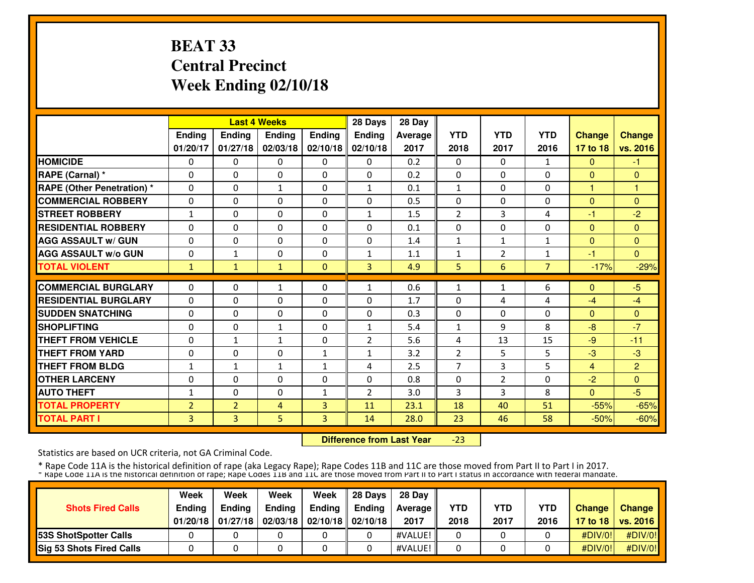# **BEAT 33 Central PrecinctWeek Ending 02/10/18**

|                                   |                |                | <b>Last 4 Weeks</b> |               | 28 Days        | 28 Day  |                |                |                |               |                |
|-----------------------------------|----------------|----------------|---------------------|---------------|----------------|---------|----------------|----------------|----------------|---------------|----------------|
|                                   | <b>Ending</b>  | Ending         | Ending              | <b>Ending</b> | Ending         | Average | <b>YTD</b>     | <b>YTD</b>     | <b>YTD</b>     | <b>Change</b> | <b>Change</b>  |
|                                   | 01/20/17       | 01/27/18       | 02/03/18            | 02/10/18      | 02/10/18       | 2017    | 2018           | 2017           | 2016           | 17 to 18      | vs. 2016       |
| <b>HOMICIDE</b>                   | $\Omega$       | 0              | 0                   | $\Omega$      | $\Omega$       | 0.2     | $\Omega$       | $\Omega$       | 1              | $\mathbf{0}$  | $-1$           |
| RAPE (Carnal) *                   | $\Omega$       | $\Omega$       | $\Omega$            | $\Omega$      | $\Omega$       | 0.2     | $\Omega$       | 0              | $\Omega$       | $\Omega$      | $\mathbf{0}$   |
| <b>RAPE (Other Penetration) *</b> | $\Omega$       | $\Omega$       | $\mathbf{1}$        | $\Omega$      | $\mathbf{1}$   | 0.1     | $\mathbf{1}$   | 0              | $\Omega$       | $\mathbf{1}$  | 1              |
| <b>COMMERCIAL ROBBERY</b>         | $\Omega$       | $\Omega$       | $\Omega$            | $\mathbf{0}$  | $\Omega$       | 0.5     | $\Omega$       | 0              | $\Omega$       | $\Omega$      | $\Omega$       |
| <b>STREET ROBBERY</b>             | $\mathbf{1}$   | $\Omega$       | $\Omega$            | $\Omega$      | $\mathbf{1}$   | 1.5     | $\overline{2}$ | 3              | 4              | -1            | $-2$           |
| <b>RESIDENTIAL ROBBERY</b>        | 0              | $\Omega$       | 0                   | $\Omega$      | 0              | 0.1     | 0              | 0              | $\Omega$       | $\mathbf{0}$  | $\Omega$       |
| <b>AGG ASSAULT w/ GUN</b>         | $\Omega$       | $\Omega$       | 0                   | $\mathbf{0}$  | $\Omega$       | 1.4     | 1              | 1              | $\mathbf{1}$   | $\mathbf{0}$  | $\mathbf{0}$   |
| <b>AGG ASSAULT W/o GUN</b>        | 0              | $\mathbf{1}$   | $\Omega$            | $\mathbf{0}$  | $\mathbf{1}$   | 1.1     | 1              | 2              | 1              | $-1$          | $\Omega$       |
| <b>TOTAL VIOLENT</b>              | $\mathbf{1}$   | $\mathbf{1}$   | $\mathbf{1}$        | $\mathbf{0}$  | $\overline{3}$ | 4.9     | 5              | 6              | $\overline{7}$ | $-17%$        | $-29%$         |
| <b>COMMERCIAL BURGLARY</b>        | $\Omega$       | $\Omega$       | 1                   | 0             | 1              | 0.6     | 1              | 1              | 6              | $\Omega$      | $-5$           |
| <b>RESIDENTIAL BURGLARY</b>       | $\Omega$       | $\Omega$       | $\Omega$            | $\Omega$      | $\Omega$       | 1.7     | $\Omega$       | 4              | 4              | $-4$          | $-4$           |
| <b>SUDDEN SNATCHING</b>           | $\Omega$       | $\Omega$       | $\Omega$            | $\Omega$      | 0              | 0.3     | $\Omega$       | 0              | 0              | $\Omega$      | $\Omega$       |
| <b>SHOPLIFTING</b>                | $\Omega$       | $\Omega$       | $\mathbf{1}$        | $\mathbf{0}$  | $\mathbf{1}$   | 5.4     | 1              | 9              | 8              | -8            | $-7$           |
| <b>THEFT FROM VEHICLE</b>         | $\Omega$       | $\mathbf{1}$   | $\mathbf{1}$        | $\Omega$      | $\overline{2}$ | 5.6     | 4              | 13             | 15             | $-9$          | $-11$          |
| <b>THEFT FROM YARD</b>            | $\Omega$       | $\Omega$       | 0                   | $\mathbf{1}$  | $\mathbf{1}$   | 3.2     | 2              | 5              | 5              | $-3$          | $-3$           |
| <b>THEFT FROM BLDG</b>            | $\mathbf{1}$   | $\mathbf{1}$   | $\mathbf{1}$        | $\mathbf{1}$  | 4              | 2.5     | 7              | 3              | 5              | 4             | $\overline{2}$ |
| <b>OTHER LARCENY</b>              | $\Omega$       | $\Omega$       | $\Omega$            | $\Omega$      | 0              | 0.8     | $\Omega$       | $\overline{2}$ | 0              | $-2$          | $\mathbf{0}$   |
| <b>AUTO THEFT</b>                 | 1              | $\Omega$       | $\Omega$            | 1             | $\overline{2}$ | 3.0     | 3              | 3              | 8              | $\Omega$      | $-5$           |
| <b>TOTAL PROPERTY</b>             | $\overline{2}$ | $\overline{2}$ | $\overline{4}$      | 3             | 11             | 23.1    | 18             | 40             | 51             | $-55%$        | $-65%$         |
| <b>TOTAL PART I</b>               | 3              | 3              | 5                   | 3             | 14             | 28.0    | 23             | 46             | 58             | $-50%$        | $-60%$         |
|                                   |                |                |                     |               |                |         |                |                |                |               |                |

 **Difference from Last Year**-23

Statistics are based on UCR criteria, not GA Criminal Code.

|                                 | Week          | Week          | Week          | Week                           | 28 Davs | 28 Dav     |            |            |            |               |                     |
|---------------------------------|---------------|---------------|---------------|--------------------------------|---------|------------|------------|------------|------------|---------------|---------------------|
| <b>Shots Fired Calls</b>        | <b>Endina</b> | <b>Endina</b> | <b>Ending</b> | <b>Ending</b>                  | Endina  | Average II | <b>YTD</b> | <b>YTD</b> | <b>YTD</b> | <b>Change</b> | Change              |
|                                 | 01/20/18      | 01/27/18      |               | 02/03/18   02/10/18   02/10/18 |         | 2017       | 2018       | 2017       | 2016       |               | 17 to 18   vs. 2016 |
| <b>153S ShotSpotter Calls</b>   |               |               |               |                                |         | #VALUE!    |            |            |            | #DIV/0!       | #DIV/0!             |
| <b>Sig 53 Shots Fired Calls</b> |               |               |               |                                |         | #VALUE!    |            |            |            | #DIV/0!       | #DIV/0!             |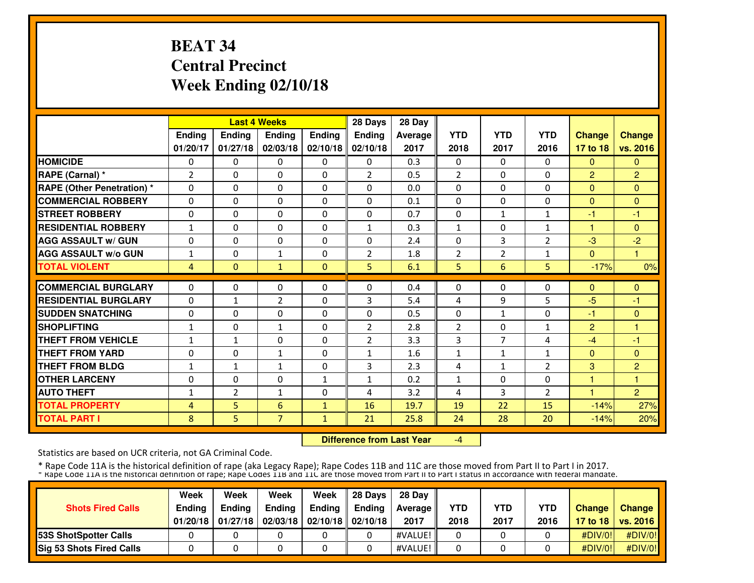# **BEAT 34 Central PrecinctWeek Ending 02/10/18**

|                                   |              |                | <b>Last 4 Weeks</b> |               | 28 Days        | 28 Day  |                |                |                |                |                |
|-----------------------------------|--------------|----------------|---------------------|---------------|----------------|---------|----------------|----------------|----------------|----------------|----------------|
|                                   | Ending       | Ending         | <b>Ending</b>       | <b>Ending</b> | <b>Ending</b>  | Average | <b>YTD</b>     | <b>YTD</b>     | <b>YTD</b>     | <b>Change</b>  | <b>Change</b>  |
|                                   | 01/20/17     | 01/27/18       | 02/03/18            | 02/10/18      | 02/10/18       | 2017    | 2018           | 2017           | 2016           | 17 to 18       | vs. 2016       |
| <b>HOMICIDE</b>                   | 0            | $\Omega$       | $\mathbf{0}$        | $\Omega$      | $\Omega$       | 0.3     | $\Omega$       | $\Omega$       | $\Omega$       | $\Omega$       | $\Omega$       |
| RAPE (Carnal) *                   | 2            | $\Omega$       | $\mathbf{0}$        | $\Omega$      | $\overline{2}$ | 0.5     | $\overline{2}$ | $\Omega$       | $\Omega$       | $\overline{2}$ | $\overline{2}$ |
| <b>RAPE (Other Penetration) *</b> | $\Omega$     | $\Omega$       | $\mathbf{0}$        | $\Omega$      | $\Omega$       | 0.0     | 0              | $\Omega$       | $\Omega$       | $\overline{0}$ | $\Omega$       |
| <b>COMMERCIAL ROBBERY</b>         | 0            | $\Omega$       | $\mathbf{0}$        | $\Omega$      | $\Omega$       | 0.1     | $\Omega$       | $\Omega$       | $\Omega$       | $\Omega$       | $\Omega$       |
| <b>STREET ROBBERY</b>             | 0            | $\Omega$       | $\mathbf{0}$        | $\Omega$      | $\Omega$       | 0.7     | 0              | $\mathbf{1}$   | $\mathbf{1}$   | -1             | $-1$           |
| <b>RESIDENTIAL ROBBERY</b>        | $\mathbf{1}$ | $\Omega$       | $\Omega$            | $\Omega$      | $\mathbf{1}$   | 0.3     | $\mathbf{1}$   | $\Omega$       | $\mathbf{1}$   | н              | $\Omega$       |
| <b>AGG ASSAULT w/ GUN</b>         | $\Omega$     | $\Omega$       | $\Omega$            | $\Omega$      | $\Omega$       | 2.4     | $\Omega$       | 3              | 2              | $-3$           | $-2$           |
| <b>AGG ASSAULT w/o GUN</b>        | $\mathbf{1}$ | $\Omega$       | $\mathbf{1}$        | $\Omega$      | $\overline{2}$ | 1.8     | $\overline{2}$ | $\overline{2}$ | $\mathbf{1}$   | $\Omega$       | 1              |
| <b>TOTAL VIOLENT</b>              | 4            | $\mathbf{0}$   | $\mathbf{1}$        | $\mathbf{0}$  | 5              | 6.1     | 5              | 6              | 5              | $-17%$         | 0%             |
| <b>COMMERCIAL BURGLARY</b>        | $\Omega$     | $\Omega$       | $\mathbf{0}$        | $\Omega$      | $\Omega$       | 0.4     | $\Omega$       | $\mathbf{0}$   | $\Omega$       | $\Omega$       | $\mathbf{0}$   |
| <b>RESIDENTIAL BURGLARY</b>       | $\Omega$     | 1              | $\overline{2}$      | $\Omega$      | 3              | 5.4     | 4              | 9              | 5              | $-5$           | $-1$           |
| <b>SUDDEN SNATCHING</b>           | $\Omega$     | $\Omega$       | $\Omega$            | $\Omega$      | $\Omega$       | 0.5     | $\Omega$       | $\mathbf{1}$   | $\Omega$       | -1             | $\Omega$       |
| <b>SHOPLIFTING</b>                | $\mathbf{1}$ | $\Omega$       | $\mathbf{1}$        | $\Omega$      | $\overline{2}$ | 2.8     | $\overline{2}$ | 0              | $\mathbf{1}$   | $\overline{2}$ | 1              |
| <b>THEFT FROM VEHICLE</b>         | $\mathbf{1}$ | $\mathbf{1}$   | $\mathbf 0$         | $\Omega$      | 2              | 3.3     | 3              | $\overline{7}$ | 4              | $-4$           | $-1$           |
| <b>THEFT FROM YARD</b>            | 0            | 0              | $\mathbf{1}$        | $\Omega$      | $\mathbf{1}$   | 1.6     | 1              | $\mathbf{1}$   | $\mathbf{1}$   | $\overline{0}$ | $\mathbf{0}$   |
| <b>THEFT FROM BLDG</b>            | 1            | 1              | $\mathbf{1}$        | 0             | 3              | 2.3     | 4              | $\mathbf{1}$   | 2              | 3              | $\overline{2}$ |
| <b>OTHER LARCENY</b>              | 0            | $\Omega$       | $\Omega$            | $\mathbf{1}$  | $\mathbf{1}$   | 0.2     | $\mathbf{1}$   | $\Omega$       | $\Omega$       | н              | 1              |
| <b>AUTO THEFT</b>                 | 1            | $\overline{2}$ | $\mathbf{1}$        | $\Omega$      | 4              | 3.2     | 4              | 3              | $\overline{2}$ | ٠              | $\overline{2}$ |
| <b>TOTAL PROPERTY</b>             | 4            | 5.             | 6                   | $\mathbf{1}$  | 16             | 19.7    | 19             | 22             | 15             | $-14%$         | 27%            |
| <b>TOTAL PART I</b>               | 8            | 5              | $\overline{7}$      | 1             | 21             | 25.8    | 24             | 28             | 20             | $-14%$         | 20%            |

 **Difference from Last Year**-4

Statistics are based on UCR criteria, not GA Criminal Code.

|                                 | Week          | Week          | Week          | Week                           | 28 Davs | 28 Dav     |            |            |            |               |                     |
|---------------------------------|---------------|---------------|---------------|--------------------------------|---------|------------|------------|------------|------------|---------------|---------------------|
| <b>Shots Fired Calls</b>        | <b>Endina</b> | <b>Endina</b> | <b>Ending</b> | <b>Ending</b>                  | Endina  | Average II | <b>YTD</b> | <b>YTD</b> | <b>YTD</b> | <b>Change</b> | Change              |
|                                 | 01/20/18      | 01/27/18      |               | 02/03/18   02/10/18   02/10/18 |         | 2017       | 2018       | 2017       | 2016       |               | 17 to 18   vs. 2016 |
| <b>153S ShotSpotter Calls</b>   |               |               |               |                                |         | #VALUE!    |            |            |            | #DIV/0!       | #DIV/0!             |
| <b>Sig 53 Shots Fired Calls</b> |               |               |               |                                |         | #VALUE!    |            |            |            | #DIV/0!       | #DIV/0!             |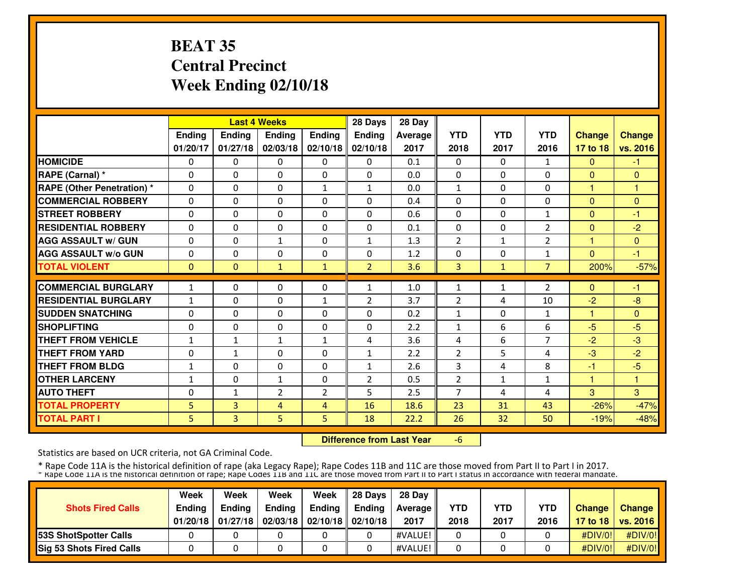# **BEAT 35 Central PrecinctWeek Ending 02/10/18**

|                                   |              |                | <b>Last 4 Weeks</b> |                | 28 Days        | 28 Day  |                |              |                |               |               |
|-----------------------------------|--------------|----------------|---------------------|----------------|----------------|---------|----------------|--------------|----------------|---------------|---------------|
|                                   | Ending       | Ending         | <b>Ending</b>       | <b>Ending</b>  | <b>Ending</b>  | Average | <b>YTD</b>     | <b>YTD</b>   | <b>YTD</b>     | <b>Change</b> | <b>Change</b> |
|                                   | 01/20/17     | 01/27/18       | 02/03/18            | 02/10/18       | 02/10/18       | 2017    | 2018           | 2017         | 2016           | 17 to 18      | vs. 2016      |
| <b>HOMICIDE</b>                   | 0            | $\Omega$       | $\mathbf{0}$        | 0              | $\Omega$       | 0.1     | $\Omega$       | $\Omega$     | $\mathbf{1}$   | $\Omega$      | $-1$          |
| RAPE (Carnal) *                   | $\Omega$     | $\Omega$       | $\mathbf{0}$        | $\Omega$       | $\Omega$       | 0.0     | $\Omega$       | $\mathbf{0}$ | $\Omega$       | $\Omega$      | $\Omega$      |
| <b>RAPE (Other Penetration) *</b> | $\Omega$     | $\Omega$       | $\mathbf{0}$        | $\mathbf{1}$   | $\mathbf{1}$   | 0.0     | $\mathbf{1}$   | $\Omega$     | $\Omega$       | 1             | 1             |
| <b>COMMERCIAL ROBBERY</b>         | 0            | $\Omega$       | $\mathbf{0}$        | $\Omega$       | $\Omega$       | 0.4     | $\Omega$       | $\mathbf{0}$ | $\Omega$       | $\Omega$      | $\Omega$      |
| <b>STREET ROBBERY</b>             | 0            | $\Omega$       | $\mathbf{0}$        | $\Omega$       | $\Omega$       | 0.6     | 0              | 0            | $\mathbf{1}$   | $\Omega$      | $-1$          |
| <b>RESIDENTIAL ROBBERY</b>        | $\Omega$     | $\Omega$       | $\Omega$            | $\Omega$       | $\Omega$       | 0.1     | $\Omega$       | $\Omega$     | 2              | $\Omega$      | $-2$          |
| <b>AGG ASSAULT w/ GUN</b>         | $\Omega$     | $\Omega$       | $\mathbf{1}$        | $\Omega$       | $\mathbf{1}$   | 1.3     | $\overline{2}$ | $\mathbf{1}$ | 2              | 1             | $\Omega$      |
| <b>AGG ASSAULT W/o GUN</b>        | $\Omega$     | $\Omega$       | $\Omega$            | $\Omega$       | $\Omega$       | 1.2     | $\Omega$       | $\Omega$     | $\mathbf{1}$   | $\Omega$      | $-1$          |
| <b>TOTAL VIOLENT</b>              | $\mathbf{0}$ | $\mathbf{0}$   | $\mathbf{1}$        | $\mathbf{1}$   | $\overline{2}$ | 3.6     | 3              | $\mathbf{1}$ | $\overline{7}$ | 200%          | $-57%$        |
| <b>COMMERCIAL BURGLARY</b>        |              | $\Omega$       | $\mathbf{0}$        | $\Omega$       | 1              |         |                |              |                | $\Omega$      | $-1$          |
|                                   | $\mathbf{1}$ |                |                     |                |                | 1.0     | 1              | $\mathbf{1}$ | 2              |               |               |
| <b>RESIDENTIAL BURGLARY</b>       | $\mathbf{1}$ | 0              | $\mathbf{0}$        | 1              | 2              | 3.7     | 2              | 4            | 10             | $-2$          | $-8$          |
| <b>SUDDEN SNATCHING</b>           | $\Omega$     | $\Omega$       | $\Omega$            | $\Omega$       | $\Omega$       | 0.2     | $\mathbf{1}$   | $\Omega$     | $\mathbf{1}$   | 1             | $\Omega$      |
| <b>SHOPLIFTING</b>                | $\Omega$     | $\Omega$       | $\mathbf{0}$        | $\Omega$       | $\Omega$       | 2.2     | $\mathbf{1}$   | 6            | 6              | $-5$          | $-5$          |
| <b>THEFT FROM VEHICLE</b>         | $\mathbf{1}$ | $\mathbf{1}$   | $\mathbf{1}$        | $\mathbf{1}$   | 4              | 3.6     | 4              | 6            | $\overline{7}$ | $-2$          | $-3$          |
| <b>THEFT FROM YARD</b>            | 0            | $\mathbf{1}$   | $\mathbf{0}$        | $\Omega$       | $\mathbf{1}$   | 2.2     | $\overline{2}$ | 5            | 4              | $-3$          | $-2$          |
| <b>THEFT FROM BLDG</b>            | 1            | $\Omega$       | $\Omega$            | 0              | $\mathbf{1}$   | 2.6     | 3              | 4            | 8              | -1            | $-5$          |
| <b>OTHER LARCENY</b>              | 1            | $\Omega$       | $\mathbf{1}$        | $\Omega$       | $\overline{2}$ | 0.5     | $\overline{2}$ | $\mathbf{1}$ | $\mathbf{1}$   | 1             | 1             |
| <b>AUTO THEFT</b>                 | 0            | $\mathbf{1}$   | $\overline{2}$      | $\overline{2}$ | 5              | 2.5     | 7              | 4            | 4              | 3             | 3             |
| <b>TOTAL PROPERTY</b>             | 5            | 3              | 4                   | 4              | 16             | 18.6    | 23             | 31           | 43             | $-26%$        | $-47%$        |
| <b>TOTAL PART I</b>               | 5            | $\overline{3}$ | 5                   | 5              | 18             | 22.2    | 26             | 32           | 50             | $-19%$        | $-48%$        |

 **Difference from Last Year**-6

Statistics are based on UCR criteria, not GA Criminal Code.

|                               | Week          | Week          | Week          | Week                           | 28 Davs | 28 Dav     |            |            |            |               |                     |
|-------------------------------|---------------|---------------|---------------|--------------------------------|---------|------------|------------|------------|------------|---------------|---------------------|
| <b>Shots Fired Calls</b>      | <b>Ending</b> | <b>Ending</b> | <b>Ending</b> | <b>Ending</b>                  | Endina  | Average II | <b>YTD</b> | <b>YTD</b> | <b>YTD</b> | <b>Change</b> | Change              |
|                               | 01/20/18      | 01/27/18      |               | 02/03/18   02/10/18   02/10/18 |         | 2017       | 2018       | 2017       | 2016       |               | 17 to 18   vs. 2016 |
| <b>153S ShotSpotter Calls</b> |               |               |               |                                |         | #VALUE!    |            |            |            | #DIV/0!       | #DIV/0!             |
| Sig 53 Shots Fired Calls      |               |               |               |                                |         | #VALUE!    |            |            |            | #DIV/0!       | #DIV/0!             |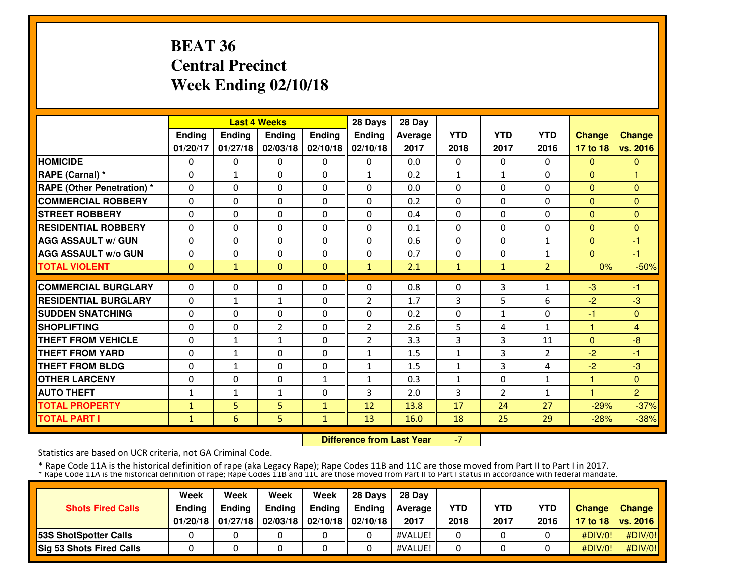# **BEAT 36 Central PrecinctWeek Ending 02/10/18**

|                                   |              |                | <b>Last 4 Weeks</b> |               | 28 Days        | 28 Day  |              |                |                |                |                |
|-----------------------------------|--------------|----------------|---------------------|---------------|----------------|---------|--------------|----------------|----------------|----------------|----------------|
|                                   | Ending       | Ending         | <b>Ending</b>       | <b>Ending</b> | <b>Ending</b>  | Average | <b>YTD</b>   | <b>YTD</b>     | <b>YTD</b>     | <b>Change</b>  | <b>Change</b>  |
|                                   | 01/20/17     | 01/27/18       | 02/03/18            | 02/10/18      | 02/10/18       | 2017    | 2018         | 2017           | 2016           | 17 to 18       | vs. 2016       |
| <b>HOMICIDE</b>                   | 0            | $\Omega$       | $\Omega$            | $\Omega$      | $\Omega$       | 0.0     | $\Omega$     | $\Omega$       | $\Omega$       | $\Omega$       | $\Omega$       |
| RAPE (Carnal) *                   | $\Omega$     | $\mathbf{1}$   | $\Omega$            | $\Omega$      | $\mathbf{1}$   | 0.2     | $\mathbf{1}$ | $\mathbf{1}$   | $\Omega$       | $\Omega$       | 1              |
| <b>RAPE (Other Penetration) *</b> | $\Omega$     | $\Omega$       | $\Omega$            | $\Omega$      | $\Omega$       | 0.0     | $\Omega$     | $\Omega$       | $\Omega$       | $\Omega$       | $\Omega$       |
| <b>COMMERCIAL ROBBERY</b>         | $\Omega$     | $\Omega$       | $\mathbf{0}$        | $\Omega$      | $\Omega$       | 0.2     | $\Omega$     | $\Omega$       | $\Omega$       | $\Omega$       | $\Omega$       |
| <b>STREET ROBBERY</b>             | $\Omega$     | $\Omega$       | $\Omega$            | $\Omega$      | $\Omega$       | 0.4     | $\Omega$     | $\Omega$       | $\Omega$       | $\Omega$       | $\Omega$       |
| <b>RESIDENTIAL ROBBERY</b>        | 0            | $\Omega$       | $\Omega$            | $\Omega$      | $\Omega$       | 0.1     | 0            | $\Omega$       | 0              | $\overline{0}$ | $\Omega$       |
| <b>AGG ASSAULT w/ GUN</b>         | $\Omega$     | $\Omega$       | $\mathbf{0}$        | $\Omega$      | $\Omega$       | 0.6     | $\Omega$     | $\Omega$       | 1              | $\Omega$       | $-1$           |
| <b>AGG ASSAULT W/o GUN</b>        | 0            | $\Omega$       | $\mathbf{0}$        | $\Omega$      | $\Omega$       | 0.7     | $\Omega$     | 0              | 1              | $\Omega$       | -1             |
| <b>TOTAL VIOLENT</b>              | $\mathbf{0}$ | 1              | $\mathbf{0}$        | $\Omega$      | $\mathbf{1}$   | 2.1     | 1            | $\mathbf{1}$   | $\overline{2}$ | 0%             | $-50%$         |
| <b>COMMERCIAL BURGLARY</b>        | $\Omega$     | $\Omega$       | $\mathbf{0}$        | $\Omega$      | $\Omega$       | 0.8     | $\mathbf{0}$ | 3              | 1              | $-3$           | $-1$           |
| <b>RESIDENTIAL BURGLARY</b>       | $\Omega$     | $\mathbf{1}$   | $\mathbf{1}$        | $\Omega$      | $\overline{2}$ | 1.7     | 3            | 5              | 6              | $-2$           | $-3$           |
| <b>SUDDEN SNATCHING</b>           | $\Omega$     | $\Omega$       | $\Omega$            | $\Omega$      | $\Omega$       | 0.2     | $\Omega$     | $\mathbf{1}$   | 0              | $-1$           | $\Omega$       |
| <b>SHOPLIFTING</b>                | $\Omega$     | $\Omega$       | $\overline{2}$      | $\Omega$      | $\overline{2}$ | 2.6     | 5            | 4              | $\mathbf{1}$   | 1              | $\overline{4}$ |
| <b>THEFT FROM VEHICLE</b>         | 0            | $\mathbf{1}$   | $\mathbf{1}$        | $\Omega$      | $\overline{2}$ | 3.3     | 3            | 3              | 11             | $\Omega$       | $-8$           |
| <b>THEFT FROM YARD</b>            | 0            | $\mathbf{1}$   | $\mathbf{0}$        | $\Omega$      | $\mathbf{1}$   | 1.5     | 1            | 3              | 2              | $-2$           | -1             |
| <b>THEFT FROM BLDG</b>            | 0            | $\mathbf{1}$   | $\Omega$            | $\Omega$      | $\mathbf{1}$   | 1.5     | $\mathbf{1}$ | 3              | 4              | $-2$           | $-3$           |
| <b>OTHER LARCENY</b>              | $\Omega$     | $\Omega$       | $\Omega$            | $\mathbf{1}$  | 1              | 0.3     | 1            | $\Omega$       | $\mathbf{1}$   | 1              | $\Omega$       |
| <b>AUTO THEFT</b>                 | 1            | $\mathbf{1}$   | $\mathbf{1}$        | $\Omega$      | 3              | 2.0     | 3            | $\overline{2}$ | $\mathbf{1}$   | 4              | $\overline{2}$ |
| <b>TOTAL PROPERTY</b>             | $\mathbf{1}$ | 5 <sup>1</sup> | 5                   | $\mathbf{1}$  | 12             | 13.8    | 17           | 24             | 27             | $-29%$         | $-37%$         |
| <b>TOTAL PART I</b>               | $\mathbf{1}$ | 6              | 5                   | 1             | 13             | 16.0    | 18           | 25             | 29             | $-28%$         | $-38%$         |
|                                   |              |                |                     |               |                |         |              |                |                |                |                |

 **Difference from Last Year**-7

Statistics are based on UCR criteria, not GA Criminal Code.

|                                 | Week          | Week          | Week          | Week                           | 28 Davs | 28 Dav     |            |            |            |               |                     |
|---------------------------------|---------------|---------------|---------------|--------------------------------|---------|------------|------------|------------|------------|---------------|---------------------|
| <b>Shots Fired Calls</b>        | <b>Endina</b> | <b>Endina</b> | <b>Ending</b> | Ending                         | Endina  | Average II | <b>YTD</b> | <b>YTD</b> | <b>YTD</b> | <b>Change</b> | Change              |
|                                 | 01/20/18      | 01/27/18      |               | 02/03/18   02/10/18   02/10/18 |         | 2017       | 2018       | 2017       | 2016       |               | 17 to 18   vs. 2016 |
| <b>153S ShotSpotter Calls</b>   |               |               |               |                                |         | #VALUE!    |            |            |            | #DIV/0!       | #DIV/0!             |
| <b>Sig 53 Shots Fired Calls</b> |               |               |               |                                |         | #VALUE!    |            |            |            | #DIV/0!       | #DIV/0!             |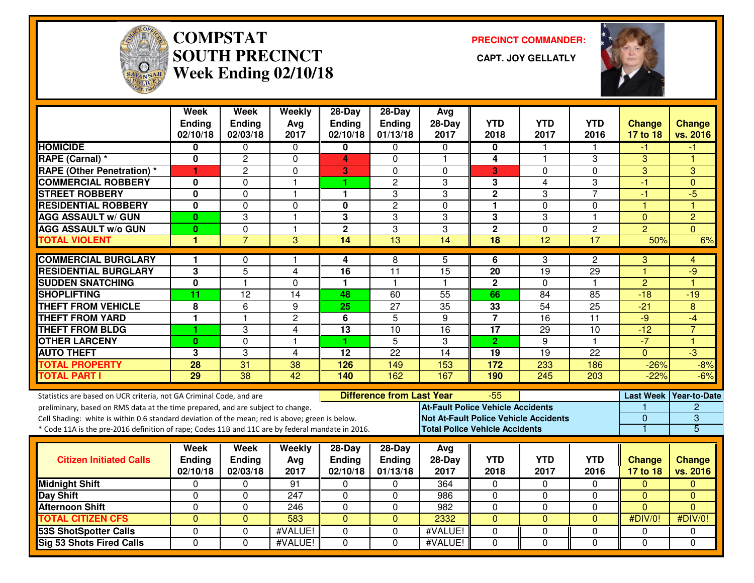

# **COMPSTAT PRECINCT COMMANDER: SOUTH PRECINCT CAPT. JOY GELLATLYWeek Ending 02/10/18**



|                                                                                                  | <b>Week</b><br><b>Ending</b><br>02/10/18 | Week<br><b>Ending</b><br>02/03/18 | Weekly<br>Avg<br>2017 | 28-Day<br><b>Ending</b><br>02/10/18 | 28-Day<br><b>Ending</b><br>01/13/18 | Avg<br>$28-Day$<br>2017                      | <b>YTD</b><br>2018 | <b>YTD</b><br>2017      | <b>YTD</b><br>2016 | <b>Change</b><br>17 to 18 | <b>Change</b><br>vs. 2016 |
|--------------------------------------------------------------------------------------------------|------------------------------------------|-----------------------------------|-----------------------|-------------------------------------|-------------------------------------|----------------------------------------------|--------------------|-------------------------|--------------------|---------------------------|---------------------------|
| <b>HOMICIDE</b>                                                                                  | 0                                        | 0                                 | 0                     | 0                                   | 0                                   | $\Omega$                                     | 0                  | 1                       |                    | -1                        | -1                        |
| RAPE (Carnal) *                                                                                  | 0                                        | $\overline{c}$                    | 0                     | 4                                   | $\Omega$                            | $\overline{1}$                               | 4                  | $\overline{\mathbf{1}}$ | 3                  | 3                         | 4                         |
| <b>RAPE (Other Penetration) *</b>                                                                | 1                                        | 2                                 | 0                     | 3                                   | $\Omega$                            | $\Omega$                                     | 3                  | 0                       | $\mathbf 0$        | 3                         | 3                         |
| <b>COMMERCIAL ROBBERY</b>                                                                        | $\bf{0}$                                 | $\Omega$                          | $\mathbf{1}$          | 1                                   | 2                                   | 3                                            | 3                  | 4                       | 3                  | $-1$                      | $\Omega$                  |
| <b>STREET ROBBERY</b>                                                                            | 0                                        | $\Omega$                          | $\mathbf{1}$          | 1                                   | 3                                   | 3                                            | $\overline{2}$     | 3                       | $\overline{7}$     | $-1$                      | $-5$                      |
| <b>RESIDENTIAL ROBBERY</b>                                                                       | 0                                        | $\Omega$                          | 0                     | 0                                   | $\overline{c}$                      | $\Omega$                                     | 1                  | 0                       | $\Omega$           | -1                        | 1                         |
| <b>AGG ASSAULT w/ GUN</b>                                                                        | $\bf{0}$                                 | 3                                 | $\mathbf{1}$          | 3                                   | 3                                   | 3                                            | 3                  | 3                       | $\mathbf{1}$       | $\mathbf{0}$              | $\overline{2}$            |
| <b>AGG ASSAULT w/o GUN</b>                                                                       | $\bf{0}$                                 | $\mathbf 0$                       | $\mathbf{1}$          | $\mathbf{2}$                        | 3                                   | 3                                            | $\overline{2}$     | $\mathbf 0$             | $\overline{c}$     | $\overline{2}$            | $\Omega$                  |
| <b>TOTAL VIOLENT</b>                                                                             | 1                                        | $\overline{7}$                    | 3                     | $\overline{14}$                     | $\overline{13}$                     | $\overline{14}$                              | $\overline{18}$    | 12                      | 17                 | 50%                       | 6%                        |
| <b>COMMERCIAL BURGLARY</b>                                                                       | 1                                        | 0                                 | 1                     | 4                                   | 8                                   | 5                                            | 6                  | 3                       | 2                  | 3                         | 4                         |
| <b>RESIDENTIAL BURGLARY</b>                                                                      | 3                                        | 5                                 | 4                     | 16                                  | 11                                  | 15                                           | 20                 | 19                      | 29                 | $\overline{1}$            | $-9$                      |
| <b>SUDDEN SNATCHING</b>                                                                          | 0                                        | $\mathbf{1}$                      | $\Omega$              | 1                                   | $\mathbf{1}$                        | $\overline{\mathbf{1}}$                      | $\mathbf{2}$       | $\Omega$                | $\mathbf{1}$       | $\overline{2}$            | Н                         |
| <b>SHOPLIFTING</b>                                                                               | 11                                       | 12                                | 14                    | 48                                  | 60                                  | 55                                           | 66                 | 84                      | 85                 | $-18$                     | $-19$                     |
| <b>THEFT FROM VEHICLE</b>                                                                        | 8                                        | 6                                 | 9                     | 25                                  | 27                                  | $\overline{35}$                              | 33                 | $\overline{54}$         | 25                 | $-21$                     | 8                         |
| <b>THEFT FROM YARD</b>                                                                           | 1                                        | $\overline{1}$                    | $\overline{2}$        | 6                                   | 5                                   | 9                                            | $\overline{7}$     | $\overline{16}$         | $\overline{11}$    | $-9$                      | $-4$                      |
| <b>THEFT FROM BLDG</b>                                                                           | 1                                        | 3                                 | $\overline{4}$        | $\overline{13}$                     | $\overline{10}$                     | $\overline{16}$                              | $\overline{17}$    | 29                      | 10                 | $-12$                     | $\overline{7}$            |
| <b>OTHER LARCENY</b>                                                                             | $\bf{0}$                                 | $\Omega$                          | $\mathbf{1}$          | 1                                   | $\overline{5}$                      | 3                                            | $\overline{2}$     | $\overline{9}$          | $\mathbf{1}$       | $-7$                      | $\overline{1}$            |
| <b>AUTO THEFT</b>                                                                                | 3                                        | 3                                 | 4                     | $\overline{12}$                     | $\overline{22}$                     | 14                                           | 19                 | 19                      | 22                 | $\Omega$                  | $\overline{3}$            |
| <b>TOTAL PROPERTY</b>                                                                            | 28                                       | $\overline{31}$                   | 38                    | 126                                 | 149                                 | 153                                          | 172                | 233                     | 186                | $-26%$                    | $-8%$                     |
| <b>TOTAL PART I</b>                                                                              | $\overline{29}$                          | $\overline{38}$                   | $\overline{42}$       | 140                                 | 162                                 | 167                                          | 190                | $\overline{245}$        | $\overline{203}$   | $-22%$                    | $-6%$                     |
| Statistics are based on UCR criteria, not GA Criminal Code, and are                              |                                          |                                   |                       |                                     | <b>Difference from Last Year</b>    |                                              | -55                |                         |                    |                           | Last Week   Year-to-Date  |
| preliminary, based on RMS data at the time prepared, and are subject to change.                  |                                          |                                   |                       |                                     |                                     | <b>At-Fault Police Vehicle Accidents</b>     |                    |                         |                    |                           | $\overline{2}$            |
| Cell Shading: white is within 0.6 standard deviation of the mean; red is above; green is below.  |                                          |                                   |                       |                                     |                                     | <b>Not At-Fault Police Vehicle Accidents</b> |                    |                         |                    | $\overline{0}$            | $\overline{3}$            |
| * Code 11A is the pre-2016 definition of rape; Codes 11B and 11C are by federal mandate in 2016. |                                          |                                   |                       |                                     |                                     | <b>Total Police Vehicle Accidents</b>        |                    |                         |                    | 1                         | $\overline{5}$            |
|                                                                                                  | Week                                     | Week                              | Weekly                | $28-Day$                            | $28-Day$                            | Avg                                          |                    |                         |                    |                           |                           |
| <b>Citizen Initiated Calls</b>                                                                   | <b>Ending</b>                            | <b>Ending</b>                     | Avg                   | <b>Ending</b>                       | Ending                              | $28-Day$                                     | <b>YTD</b>         | <b>YTD</b>              | <b>YTD</b>         | <b>Change</b>             | <b>Change</b>             |
|                                                                                                  | 02/10/18                                 | 02/03/18                          | 2017                  | 02/10/18                            | 01/13/18                            | 2017                                         | 2018               | 2017                    | 2016               | 17 to 18                  | vs. 2016                  |
| <b>Midnight Shift</b>                                                                            | 0                                        | 0                                 | 91                    | $\Omega$                            | $\Omega$                            | 364                                          | 0                  | $\Omega$                | $\Omega$           | $\mathbf{0}$              | $\Omega$                  |
| <b>Day Shift</b>                                                                                 | 0                                        | $\Omega$                          | 247                   | $\Omega$                            | 0                                   | 986                                          | $\Omega$           | 0                       | 0                  | $\overline{0}$            | $\Omega$                  |
| <b>Afternoon Shift</b>                                                                           | 0                                        | $\Omega$                          | 246                   | 0                                   | 0                                   | 982                                          | $\mathbf 0$        | 0                       | $\Omega$           | $\Omega$                  | $\Omega$                  |
| <b>TOTAL CITIZEN CFS</b>                                                                         | $\overline{0}$                           | $\mathbf{0}$                      | 583                   | $\Omega$                            | $\overline{0}$                      | 2332                                         | $\mathbf{0}$       | $\overline{0}$          | $\overline{0}$     | #DIV/0!                   | #DIV/0!                   |
| <b>53S ShotSpotter Calls</b>                                                                     | 0                                        | 0                                 | #VALUE!               | $\Omega$                            | $\Omega$                            | #VALUE!                                      | $\mathbf 0$        | 0                       | 0                  | $\Omega$                  | 0                         |
| <b>Sig 53 Shots Fired Calls</b>                                                                  | 0                                        | $\Omega$                          | #VALUE!               | $\Omega$                            | $\Omega$                            | #VALUE!                                      | $\Omega$           | $\mathbf 0$             | $\Omega$           | $\Omega$                  | $\Omega$                  |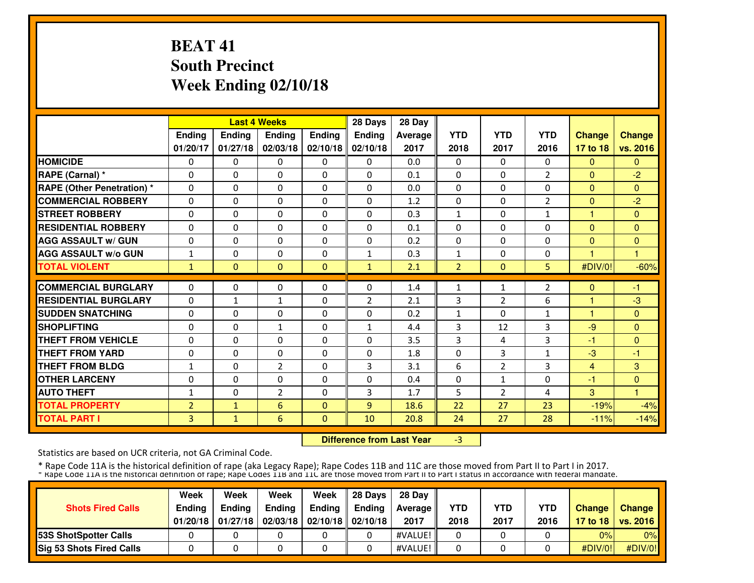# **BEAT 41 South PrecinctWeek Ending 02/10/18**

|                                   |                |               | <b>Last 4 Weeks</b> |              | 28 Days        | 28 Day  |                |                |                |                |               |
|-----------------------------------|----------------|---------------|---------------------|--------------|----------------|---------|----------------|----------------|----------------|----------------|---------------|
|                                   | Ending         | <b>Ending</b> | <b>Ending</b>       | Ending       | Ending         | Average | <b>YTD</b>     | <b>YTD</b>     | <b>YTD</b>     | <b>Change</b>  | <b>Change</b> |
|                                   | 01/20/17       | 01/27/18      | 02/03/18            | 02/10/18     | 02/10/18       | 2017    | 2018           | 2017           | 2016           | 17 to 18       | vs. 2016      |
| <b>HOMICIDE</b>                   | 0              | 0             | $\Omega$            | $\Omega$     | 0              | 0.0     | 0              | 0              | 0              | $\mathbf{0}$   | $\Omega$      |
| RAPE (Carnal) *                   | $\Omega$       | $\Omega$      | $\Omega$            | $\Omega$     | $\Omega$       | 0.1     | $\Omega$       | $\Omega$       | 2              | $\Omega$       | $-2$          |
| <b>RAPE (Other Penetration) *</b> | $\Omega$       | $\Omega$      | $\Omega$            | $\Omega$     | $\Omega$       | 0.0     | 0              | $\Omega$       | $\Omega$       | $\overline{0}$ | $\mathbf{0}$  |
| <b>COMMERCIAL ROBBERY</b>         | $\Omega$       | 0             | $\Omega$            | $\Omega$     | $\Omega$       | 1.2     | 0              | 0              | 2              | $\mathbf{0}$   | $-2$          |
| <b>STREET ROBBERY</b>             | $\Omega$       | $\Omega$      | $\Omega$            | $\Omega$     | $\Omega$       | 0.3     | $\mathbf{1}$   | $\Omega$       | 1              | 1              | $\mathbf{0}$  |
| <b>RESIDENTIAL ROBBERY</b>        | $\Omega$       | 0             | $\Omega$            | $\Omega$     | $\Omega$       | 0.1     | $\Omega$       | $\Omega$       | $\Omega$       | $\Omega$       | $\Omega$      |
| <b>AGG ASSAULT w/ GUN</b>         | $\Omega$       | 0             | $\Omega$            | $\Omega$     | $\Omega$       | 0.2     | $\Omega$       | 0              | $\Omega$       | $\Omega$       | $\mathbf{0}$  |
| <b>AGG ASSAULT w/o GUN</b>        | $\mathbf{1}$   | 0             | $\Omega$            | $\Omega$     | $\mathbf{1}$   | 0.3     | 1              | 0              | 0              |                |               |
| <b>TOTAL VIOLENT</b>              | $\mathbf{1}$   | $\Omega$      | $\Omega$            | $\Omega$     | $\mathbf{1}$   | 2.1     | $\overline{2}$ | $\mathbf{0}$   | 5 <sup>1</sup> | #DIV/0!        | $-60%$        |
| <b>COMMERCIAL BURGLARY</b>        | $\Omega$       | $\Omega$      |                     |              |                |         |                |                |                |                |               |
|                                   |                |               | $\mathbf{0}$        | $\Omega$     | $\Omega$       | 1.4     | 1              | $\mathbf{1}$   | $\overline{2}$ | $\Omega$       | -1            |
| <b>RESIDENTIAL BURGLARY</b>       | $\Omega$       | $\mathbf{1}$  | $\mathbf{1}$        | $\Omega$     | $\overline{2}$ | 2.1     | 3              | $\overline{2}$ | 6              | 1              | $-3$          |
| <b>SUDDEN SNATCHING</b>           | 0              | $\Omega$      | $\Omega$            | $\Omega$     | $\Omega$       | 0.2     | $\mathbf{1}$   | $\Omega$       | $\mathbf{1}$   | 1              | $\Omega$      |
| <b>SHOPLIFTING</b>                | $\Omega$       | $\Omega$      | $\mathbf{1}$        | $\Omega$     | $\mathbf{1}$   | 4.4     | 3              | 12             | 3              | $-9$           | $\Omega$      |
| <b>THEFT FROM VEHICLE</b>         | 0              | 0             | $\Omega$            | $\Omega$     | $\Omega$       | 3.5     | 3              | 4              | 3              | $-1$           | $\Omega$      |
| <b>THEFT FROM YARD</b>            | 0              | $\Omega$      | $\Omega$            | $\Omega$     | $\Omega$       | 1.8     | $\Omega$       | 3              | 1              | $-3$           | -1            |
| <b>THEFT FROM BLDG</b>            | $\mathbf{1}$   | 0             | $\overline{2}$      | 0            | 3              | 3.1     | 6              | $\overline{2}$ | 3              | 4              | 3             |
| <b>OTHER LARCENY</b>              | 0              | $\Omega$      | $\Omega$            | $\Omega$     | $\Omega$       | 0.4     | $\Omega$       | $\mathbf{1}$   | $\Omega$       | $-1$           | $\mathbf{0}$  |
| <b>AUTO THEFT</b>                 | $\mathbf{1}$   | $\Omega$      | $\overline{2}$      | $\Omega$     | 3              | 1.7     | 5              | 2              | 4              | 3              | 4             |
| <b>TOTAL PROPERTY</b>             | $\overline{2}$ | $\mathbf{1}$  | 6                   | $\Omega$     | 9              | 18.6    | 22             | 27             | 23             | $-19%$         | $-4%$         |
| <b>TOTAL PART I</b>               | 3              | $\mathbf{1}$  | 6                   | $\mathbf{0}$ | 10             | 20.8    | 24             | 27             | 28             | $-11%$         | $-14%$        |

 **Difference from Last Year**-3

Statistics are based on UCR criteria, not GA Criminal Code.

|                                 | Week          | Week          | Week          | Week                           | 28 Davs | 28 Dav     |            |            |            |               |                     |
|---------------------------------|---------------|---------------|---------------|--------------------------------|---------|------------|------------|------------|------------|---------------|---------------------|
| <b>Shots Fired Calls</b>        | <b>Endina</b> | <b>Endina</b> | <b>Ending</b> | Ending                         | Endina  | Average II | <b>YTD</b> | <b>YTD</b> | <b>YTD</b> | <b>Change</b> | Change              |
|                                 | 01/20/18      | 01/27/18      |               | 02/03/18   02/10/18   02/10/18 |         | 2017       | 2018       | 2017       | 2016       |               | 17 to 18   vs. 2016 |
| <b>153S ShotSpotter Calls</b>   |               |               |               |                                |         | #VALUE!    |            |            |            | 0%            | 0%                  |
| <b>Sig 53 Shots Fired Calls</b> |               |               |               |                                |         | #VALUE!    |            |            |            | #DIV/O!!      | #DIV/0!             |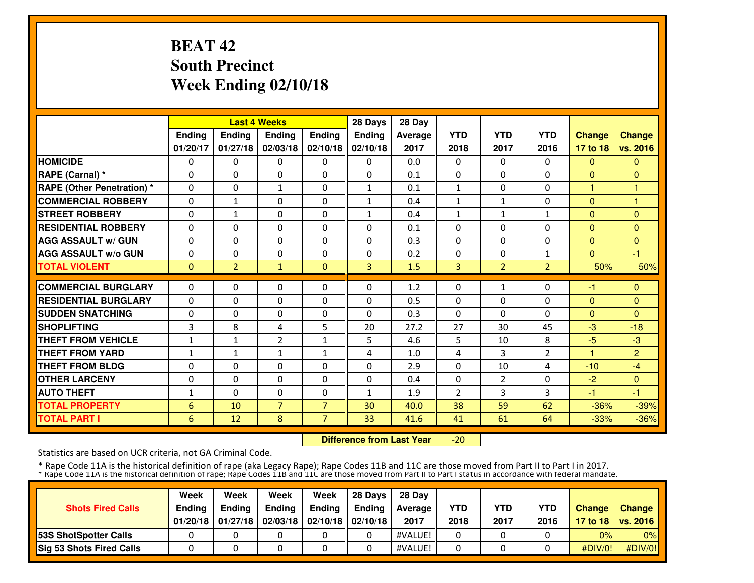## **BEAT 42 South PrecinctWeek Ending 02/10/18**

|                                   |              |                   | <b>Last 4 Weeks</b> |                | 28 Days        | 28 Day  |                |                |                |               |                |
|-----------------------------------|--------------|-------------------|---------------------|----------------|----------------|---------|----------------|----------------|----------------|---------------|----------------|
|                                   | Ending       | Ending            | <b>Ending</b>       | <b>Ending</b>  | <b>Ending</b>  | Average | <b>YTD</b>     | <b>YTD</b>     | <b>YTD</b>     | <b>Change</b> | <b>Change</b>  |
|                                   | 01/20/17     | 01/27/18          | 02/03/18            | 02/10/18       | 02/10/18       | 2017    | 2018           | 2017           | 2016           | 17 to 18      | vs. 2016       |
| <b>HOMICIDE</b>                   | 0            | $\Omega$          | $\Omega$            | 0              | $\Omega$       | 0.0     | $\Omega$       | $\Omega$       | $\Omega$       | $\Omega$      | $\Omega$       |
| RAPE (Carnal) *                   | $\Omega$     | $\Omega$          | $\Omega$            | $\Omega$       | $\Omega$       | 0.1     | $\Omega$       | $\Omega$       | $\Omega$       | $\Omega$      | $\Omega$       |
| <b>RAPE (Other Penetration) *</b> | $\Omega$     | $\Omega$          | $\mathbf{1}$        | $\Omega$       | $\mathbf{1}$   | 0.1     | $\mathbf{1}$   | $\Omega$       | $\Omega$       | 1             | 1              |
| <b>COMMERCIAL ROBBERY</b>         | $\Omega$     | $\mathbf{1}$      | $\mathbf{0}$        | $\Omega$       | $\mathbf{1}$   | 0.4     | $\mathbf{1}$   | $\mathbf{1}$   | $\Omega$       | $\Omega$      | $\overline{1}$ |
| <b>STREET ROBBERY</b>             | $\Omega$     | $\mathbf{1}$      | $\Omega$            | $\Omega$       | $\mathbf{1}$   | 0.4     | $\mathbf{1}$   | $\mathbf{1}$   | $\mathbf{1}$   | $\Omega$      | $\Omega$       |
| <b>RESIDENTIAL ROBBERY</b>        | 0            | $\Omega$          | $\Omega$            | $\Omega$       | $\Omega$       | 0.1     | 0              | $\Omega$       | $\Omega$       | $\Omega$      | $\Omega$       |
| <b>AGG ASSAULT w/ GUN</b>         | $\Omega$     | $\Omega$          | $\mathbf{0}$        | $\Omega$       | $\Omega$       | 0.3     | $\Omega$       | $\Omega$       | $\Omega$       | $\Omega$      | $\Omega$       |
| <b>AGG ASSAULT W/o GUN</b>        | 0            | $\Omega$          | $\mathbf{0}$        | $\Omega$       | $\Omega$       | 0.2     | $\Omega$       | 0              | 1              | $\Omega$      | -1             |
| <b>TOTAL VIOLENT</b>              | $\mathbf{0}$ | $\overline{2}$    | $\mathbf{1}$        | $\Omega$       | $\overline{3}$ | 1.5     | 3              | $\overline{2}$ | $\overline{2}$ | 50%           | 50%            |
| <b>COMMERCIAL BURGLARY</b>        | $\Omega$     | $\Omega$          | $\Omega$            | $\Omega$       | $\Omega$       | 1.2     | $\Omega$       | $\mathbf{1}$   | $\Omega$       | -1            | $\Omega$       |
| <b>RESIDENTIAL BURGLARY</b>       | $\Omega$     | $\Omega$          | $\Omega$            | $\Omega$       | $\Omega$       | 0.5     | $\Omega$       | $\Omega$       | $\Omega$       | $\Omega$      | $\Omega$       |
| <b>SUDDEN SNATCHING</b>           | $\Omega$     | $\Omega$          | $\mathbf{0}$        | $\Omega$       | $\Omega$       | 0.3     | $\Omega$       | $\Omega$       | 0              | $\Omega$      | $\Omega$       |
| <b>SHOPLIFTING</b>                | 3            | 8                 | 4                   | 5              | 20             | 27.2    | 27             | 30             | 45             | $-3$          | $-18$          |
| <b>THEFT FROM VEHICLE</b>         | 1            | $\mathbf{1}$      | $\overline{2}$      | 1              | 5              | 4.6     | 5              | 10             | 8              | $-5$          | $-3$           |
| <b>THEFT FROM YARD</b>            | 1            | $\mathbf{1}$      | $\mathbf{1}$        | $\mathbf{1}$   | 4              | 1.0     | 4              | 3              | 2              | н             | $\overline{2}$ |
| <b>THEFT FROM BLDG</b>            | 0            | $\Omega$          | $\Omega$            | $\Omega$       | $\Omega$       | 2.9     | 0              | 10             | 4              | $-10$         | $-4$           |
| <b>OTHER LARCENY</b>              | $\Omega$     | $\Omega$          | $\Omega$            | $\Omega$       | $\Omega$       | 0.4     | 0              | 2              | $\Omega$       | $-2$          | $\Omega$       |
| <b>AUTO THEFT</b>                 | 1            | $\Omega$          | $\Omega$            | $\Omega$       | $\mathbf{1}$   | 1.9     | $\overline{2}$ | 3              | 3              | -1            | -1             |
| <b>TOTAL PROPERTY</b>             | 6            | 10                | $\overline{7}$      | $\overline{7}$ | 30             | 40.0    | 38             | 59             | 62             | $-36%$        | $-39%$         |
| <b>TOTAL PART I</b>               | 6            | $12 \overline{ }$ | 8                   | 7              | 33             | 41.6    | 41             | 61             | 64             | $-33%$        | $-36%$         |
|                                   |              |                   |                     |                |                |         |                |                |                |               |                |

 **Difference from Last Year** $-20$ 

Statistics are based on UCR criteria, not GA Criminal Code.

| <b>Shots Fired Calls</b>      | Week<br><b>Endina</b><br>01/20/18 | Week<br><b>Ending</b><br>01/27/18 | Week<br><b>Ending</b> | Week<br><b>Ending</b><br>02/03/18   02/10/18   02/10/18 | 28 Davs<br>Endina | 28 Dav<br>Average II<br>2017 | <b>YTD</b><br>2018 | <b>YTD</b><br>2017 | <b>YTD</b><br>2016 | <b>Change</b> | Change<br>17 to 18   vs. 2016 |
|-------------------------------|-----------------------------------|-----------------------------------|-----------------------|---------------------------------------------------------|-------------------|------------------------------|--------------------|--------------------|--------------------|---------------|-------------------------------|
| <b>153S ShotSpotter Calls</b> |                                   |                                   |                       |                                                         |                   | #VALUE!                      |                    |                    |                    | 0%            | 0%                            |
| Sig 53 Shots Fired Calls      |                                   |                                   |                       |                                                         |                   | #VALUE!                      |                    |                    |                    | #DIV/O!!      | $\#$ DIV/0!                   |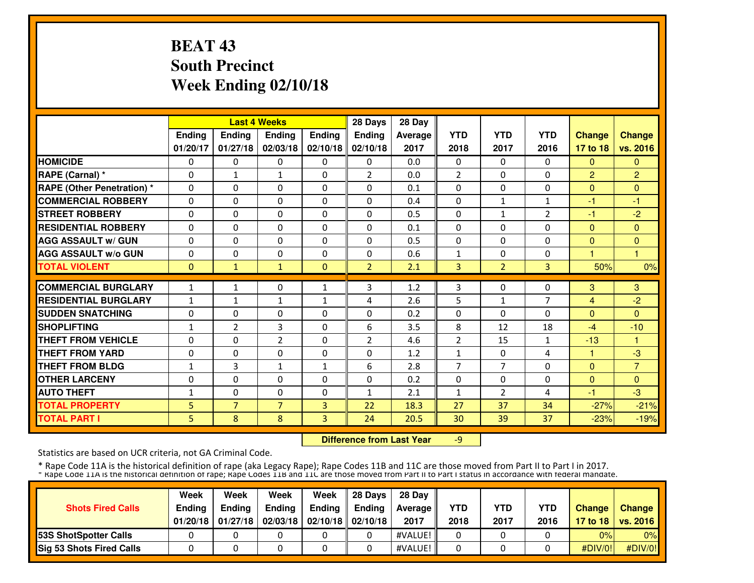# **BEAT 43 South PrecinctWeek Ending 02/10/18**

|                                   |              |                          | <b>Last 4 Weeks</b>      |              | 28 Days        | 28 Day  |                |                     |                |                |                        |
|-----------------------------------|--------------|--------------------------|--------------------------|--------------|----------------|---------|----------------|---------------------|----------------|----------------|------------------------|
|                                   | Ending       | <b>Ending</b>            | <b>Ending</b>            | Ending       | Ending         | Average | <b>YTD</b>     | <b>YTD</b>          | <b>YTD</b>     | <b>Change</b>  | <b>Change</b>          |
|                                   | 01/20/17     | 01/27/18                 | 02/03/18                 | 02/10/18     | 02/10/18       | 2017    | 2018           | 2017                | 2016           | 17 to 18       | vs. 2016               |
| <b>HOMICIDE</b>                   | 0            | 0                        | $\Omega$                 | $\Omega$     | 0              | 0.0     | 0              | 0                   | $\Omega$       | $\mathbf{0}$   | $\Omega$               |
| RAPE (Carnal) *                   | $\Omega$     | $\mathbf{1}$             | $\mathbf{1}$             | $\Omega$     | $\overline{2}$ | 0.0     | $\overline{2}$ | $\Omega$            | $\Omega$       | $\overline{2}$ | $\overline{2}$         |
| <b>RAPE (Other Penetration) *</b> | $\Omega$     | $\Omega$                 | $\Omega$                 | $\Omega$     | $\Omega$       | 0.1     | 0              | $\Omega$            | $\Omega$       | $\mathbf{0}$   | $\Omega$               |
| <b>COMMERCIAL ROBBERY</b>         | $\Omega$     | 0                        | $\Omega$                 | $\Omega$     | $\Omega$       | 0.4     | $\Omega$       | $\mathbf{1}$        | 1              | -1             | -1                     |
| <b>STREET ROBBERY</b>             | $\Omega$     | $\Omega$                 | $\Omega$                 | $\Omega$     | $\Omega$       | 0.5     | $\Omega$       | $\mathbf{1}$        | $\overline{2}$ | -1             | $-2$                   |
| <b>RESIDENTIAL ROBBERY</b>        | $\Omega$     | 0                        | $\Omega$                 | $\Omega$     | $\Omega$       | 0.1     | $\Omega$       | $\Omega$            | $\Omega$       | $\Omega$       | $\Omega$               |
| <b>AGG ASSAULT w/ GUN</b>         | $\Omega$     | 0                        | $\Omega$                 | $\Omega$     | $\Omega$       | 0.5     | $\Omega$       | 0                   | $\Omega$       | $\Omega$       | $\mathbf{0}$           |
| <b>AGG ASSAULT w/o GUN</b>        | 0            | 0                        | $\mathbf 0$              | $\Omega$     | $\Omega$       | 0.6     | 1              | 0                   | 0              |                | н                      |
| <b>TOTAL VIOLENT</b>              | $\mathbf{0}$ | 1                        | $\mathbf{1}$             | $\Omega$     | $\overline{2}$ | 2.1     | 3              | $\overline{2}$      | 3              | 50%            | 0%                     |
| <b>COMMERCIAL BURGLARY</b>        | $\mathbf{1}$ | $\mathbf{1}$             | $\mathbf{0}$             | $\mathbf{1}$ | 3              | 1.2     | 3              | $\Omega$            | $\Omega$       | 3              | 3                      |
| <b>RESIDENTIAL BURGLARY</b>       | $\mathbf{1}$ |                          |                          | $\mathbf{1}$ |                | 2.6     |                | $\mathbf{1}$        | 7              |                | $-2$                   |
| <b>SUDDEN SNATCHING</b>           |              | $\mathbf{1}$<br>$\Omega$ | $\mathbf{1}$<br>$\Omega$ | $\Omega$     | 4<br>$\Omega$  | 0.2     | 5<br>$\Omega$  | 0                   | $\Omega$       | 4<br>$\Omega$  | $\Omega$               |
| <b>SHOPLIFTING</b>                | 0            | $\overline{2}$           | 3                        | $\Omega$     | 6              | 3.5     | 8              | 12                  | 18             | $-4$           | $-10$                  |
| <b>THEFT FROM VEHICLE</b>         | $\mathbf{1}$ | 0                        |                          | $\Omega$     | $\overline{2}$ | 4.6     |                | 15                  |                | $-13$          | н                      |
| <b>THEFT FROM YARD</b>            | 0            | $\Omega$                 | 2<br>$\Omega$            | $\mathbf{0}$ | $\Omega$       | 1.2     | $\overline{2}$ |                     | 1              |                |                        |
| <b>THEFT FROM BLDG</b>            | 0            |                          |                          |              |                |         | 1              | 0<br>$\overline{7}$ | 4              | 1              | $-3$<br>$\overline{7}$ |
|                                   | $\mathbf{1}$ | 3<br>$\Omega$            | $\mathbf{1}$<br>$\Omega$ | $\mathbf{1}$ | 6<br>$\Omega$  | 2.8     | 7              |                     | $\Omega$       | $\Omega$       |                        |
| <b>OTHER LARCENY</b>              | 0            |                          |                          | $\Omega$     |                | 0.2     | $\Omega$       | $\Omega$            | $\Omega$       | $\Omega$       | $\mathbf{0}$<br>$-3$   |
| <b>AUTO THEFT</b>                 | $\mathbf{1}$ | $\Omega$                 | $\Omega$                 | $\Omega$     | $\mathbf{1}$   | 2.1     | $\mathbf{1}$   | 2                   | 4              | -1             |                        |
| <b>TOTAL PROPERTY</b>             | 5            | $\overline{7}$           | $\overline{7}$           | 3            | 22             | 18.3    | 27             | 37                  | 34             | $-27%$         | $-21%$                 |
| <b>TOTAL PART I</b>               | 5            | 8                        | 8                        | 3            | 24             | 20.5    | 30             | 39                  | 37             | $-23%$         | $-19%$                 |

 **Difference from Last Year**-9

Statistics are based on UCR criteria, not GA Criminal Code.

|                                 | Week          | Week          | Week          | Week                           | 28 Davs | 28 Dav     |            |            |            |               |                     |
|---------------------------------|---------------|---------------|---------------|--------------------------------|---------|------------|------------|------------|------------|---------------|---------------------|
| <b>Shots Fired Calls</b>        | <b>Endina</b> | <b>Endina</b> | <b>Ending</b> | Ending                         | Endina  | Average II | <b>YTD</b> | <b>YTD</b> | <b>YTD</b> | <b>Change</b> | Change              |
|                                 | 01/20/18      | 01/27/18      |               | 02/03/18   02/10/18   02/10/18 |         | 2017       | 2018       | 2017       | 2016       |               | 17 to 18   vs. 2016 |
| <b>153S ShotSpotter Calls</b>   |               |               |               |                                |         | #VALUE!    |            |            |            | 0%            | 0%                  |
| <b>Sig 53 Shots Fired Calls</b> |               |               |               |                                |         | #VALUE!    |            |            |            | #DIV/O!!      | #DIV/0!             |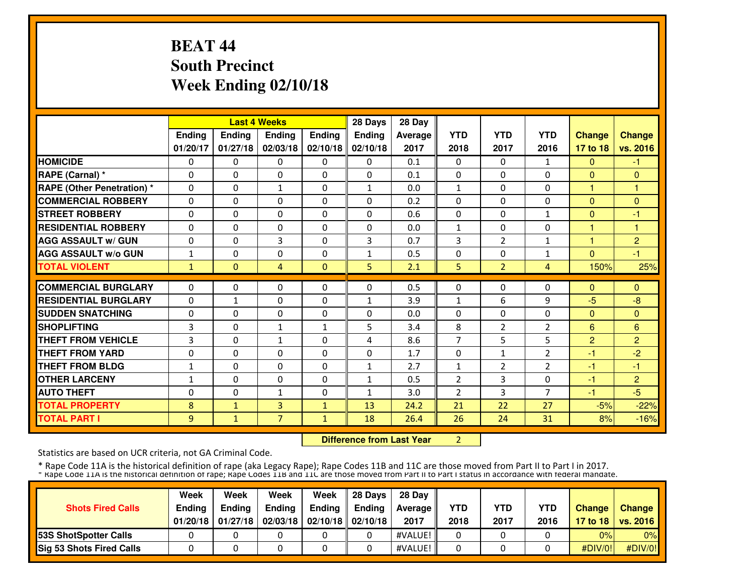## **BEAT 44 South PrecinctWeek Ending 02/10/18**

|                                  |              |              | <b>Last 4 Weeks</b> |              | 28 Days       | 28 Day  |                |                |                |                |                |
|----------------------------------|--------------|--------------|---------------------|--------------|---------------|---------|----------------|----------------|----------------|----------------|----------------|
|                                  | Ending       | Ending       | Ending              | Ending       | <b>Ending</b> | Average | <b>YTD</b>     | <b>YTD</b>     | <b>YTD</b>     | <b>Change</b>  | <b>Change</b>  |
|                                  | 01/20/17     | 01/27/18     | 02/03/18            | 02/10/18     | 02/10/18      | 2017    | 2018           | 2017           | 2016           | 17 to 18       | vs. 2016       |
| <b>HOMICIDE</b>                  | $\Omega$     | $\Omega$     | $\mathbf{0}$        | $\Omega$     | $\Omega$      | 0.1     | $\Omega$       | $\Omega$       | 1              | $\mathbf{0}$   | $-1$           |
| RAPE (Carnal) *                  | $\Omega$     | $\Omega$     | $\Omega$            | $\Omega$     | $\Omega$      | 0.1     | $\Omega$       | $\Omega$       | $\Omega$       | $\Omega$       | $\Omega$       |
| <b>RAPE (Other Penetration)*</b> | $\Omega$     | $\Omega$     | $\mathbf{1}$        | $\Omega$     | $\mathbf{1}$  | 0.0     | $\mathbf{1}$   | $\Omega$       | $\Omega$       | $\mathbf{1}$   | 1              |
| <b>COMMERCIAL ROBBERY</b>        | $\Omega$     | $\Omega$     | $\Omega$            | $\Omega$     | $\Omega$      | 0.2     | $\Omega$       | $\Omega$       | $\Omega$       | $\Omega$       | $\Omega$       |
| <b>STREET ROBBERY</b>            | $\Omega$     | $\Omega$     | $\Omega$            | $\Omega$     | $\Omega$      | 0.6     | $\Omega$       | $\Omega$       | 1              | $\Omega$       | $-1$           |
| <b>RESIDENTIAL ROBBERY</b>       | $\Omega$     | $\Omega$     | $\Omega$            | $\Omega$     | $\Omega$      | 0.0     | $\mathbf{1}$   | 0              | $\Omega$       | 1              | н              |
| <b>AGG ASSAULT w/ GUN</b>        | 0            | 0            | 3                   | $\Omega$     | 3             | 0.7     | 3              | $\overline{2}$ | 1              | 1              | $\overline{2}$ |
| <b>AGG ASSAULT w/o GUN</b>       | $\mathbf{1}$ | 0            | $\Omega$            | $\Omega$     | $\mathbf{1}$  | 0.5     | 0              | $\Omega$       | 1              | $\Omega$       | $-1$           |
| <b>TOTAL VIOLENT</b>             | $\mathbf{1}$ | $\Omega$     | 4                   | $\Omega$     | 5             | 2.1     | 5              | $\overline{2}$ | $\overline{4}$ | 150%           | 25%            |
|                                  | $\Omega$     |              |                     |              |               |         |                |                | $\Omega$       |                |                |
| <b>COMMERCIAL BURGLARY</b>       |              | $\Omega$     | $\Omega$            | $\Omega$     | $\Omega$      | 0.5     | $\Omega$       | $\Omega$       |                | $\mathbf{0}$   | $\Omega$       |
| <b>RESIDENTIAL BURGLARY</b>      | $\Omega$     | $\mathbf{1}$ | $\Omega$            | $\Omega$     | $\mathbf{1}$  | 3.9     | $\mathbf{1}$   | 6              | 9              | $-5$           | $-8$           |
| <b>SUDDEN SNATCHING</b>          | $\Omega$     | 0            | $\mathbf{0}$        | $\Omega$     | $\Omega$      | 0.0     | $\Omega$       | 0              | $\Omega$       | $\Omega$       | $\Omega$       |
| <b>SHOPLIFTING</b>               | 3            | 0            | $\mathbf{1}$        | $\mathbf{1}$ | 5             | 3.4     | 8              | 2              | $\overline{2}$ | 6              | 6              |
| <b>THEFT FROM VEHICLE</b>        | 3            | 0            | $\mathbf{1}$        | 0            | 4             | 8.6     | 7              | 5              | 5              | $\overline{2}$ | $\overline{2}$ |
| <b>THEFT FROM YARD</b>           | 0            | $\Omega$     | $\Omega$            | 0            | $\Omega$      | 1.7     | 0              | $\mathbf{1}$   | $\overline{2}$ | $-1$           | $-2$           |
| <b>THEFT FROM BLDG</b>           | $\mathbf{1}$ | 0            | $\Omega$            | $\Omega$     | $\mathbf{1}$  | 2.7     | $\mathbf{1}$   | $\overline{2}$ | $\overline{2}$ | $-1$           | -1             |
| <b>OTHER LARCENY</b>             | $\mathbf{1}$ | $\Omega$     | $\Omega$            | $\Omega$     | $\mathbf{1}$  | 0.5     | $\overline{2}$ | 3              | $\Omega$       | $-1$           | $\overline{2}$ |
| <b>AUTO THEFT</b>                | 0            | $\Omega$     | $\mathbf{1}$        | $\Omega$     | $\mathbf{1}$  | 3.0     | $\overline{2}$ | 3              | $\overline{7}$ | $-1$           | $-5$           |
| <b>TOTAL PROPERTY</b>            | 8            | $\mathbf{1}$ | 3                   | $\mathbf{1}$ | 13            | 24.2    | 21             | 22             | 27             | $-5%$          | $-22%$         |
| <b>TOTAL PART I</b>              | 9            | $\mathbf{1}$ | $\overline{7}$      | 1            | 18            | 26.4    | 26             | 24             | 31             | 8%             | $-16%$         |

 **Difference from Last Year**<sup>2</sup>

Statistics are based on UCR criteria, not GA Criminal Code.

|                                 | Week          | Week          | Week          | Week                           | 28 Davs | 28 Dav     |            |            |            |               |                     |
|---------------------------------|---------------|---------------|---------------|--------------------------------|---------|------------|------------|------------|------------|---------------|---------------------|
| <b>Shots Fired Calls</b>        | <b>Endina</b> | <b>Endina</b> | <b>Ending</b> | Ending                         | Endina  | Average II | <b>YTD</b> | <b>YTD</b> | <b>YTD</b> | <b>Change</b> | Change              |
|                                 | 01/20/18      | 01/27/18      |               | 02/03/18   02/10/18   02/10/18 |         | 2017       | 2018       | 2017       | 2016       |               | 17 to 18   vs. 2016 |
| <b>153S ShotSpotter Calls</b>   |               |               |               |                                |         | #VALUE!    |            |            |            | 0%            | 0%                  |
| <b>Sig 53 Shots Fired Calls</b> |               |               |               |                                |         | #VALUE!    |            |            |            | #DIV/O!!      | #DIV/0!             |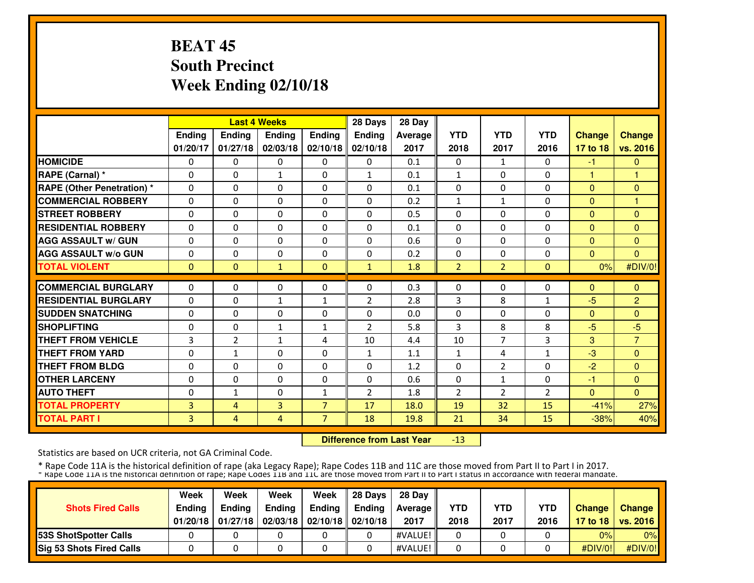# **BEAT 45 South PrecinctWeek Ending 02/10/18**

|                                   |          |              | <b>Last 4 Weeks</b> |                | 28 Days        | 28 Day  |                |                |                |               |                |
|-----------------------------------|----------|--------------|---------------------|----------------|----------------|---------|----------------|----------------|----------------|---------------|----------------|
|                                   | Ending   | Ending       | Ending              | Ending         | Ending         | Average | <b>YTD</b>     | <b>YTD</b>     | <b>YTD</b>     | <b>Change</b> | <b>Change</b>  |
|                                   | 01/20/17 | 01/27/18     | 02/03/18            | 02/10/18       | 02/10/18       | 2017    | 2018           | 2017           | 2016           | 17 to 18      | vs. 2016       |
| <b>HOMICIDE</b>                   | $\Omega$ | $\Omega$     | $\Omega$            | $\Omega$       | $\Omega$       | 0.1     | 0              | $\mathbf{1}$   | 0              | $-1$          | $\mathbf{0}$   |
| RAPE (Carnal) *                   | $\Omega$ | 0            | $\mathbf{1}$        | $\Omega$       | 1              | 0.1     | $\mathbf{1}$   | $\Omega$       | $\Omega$       | 1             | 1              |
| <b>RAPE (Other Penetration) *</b> | $\Omega$ | $\Omega$     | $\Omega$            | $\Omega$       | $\Omega$       | 0.1     | $\Omega$       | $\Omega$       | $\Omega$       | $\Omega$      | $\Omega$       |
| <b>COMMERCIAL ROBBERY</b>         | $\Omega$ | 0            | $\Omega$            | $\Omega$       | $\Omega$       | 0.2     | $\mathbf{1}$   | $\mathbf{1}$   | $\Omega$       | $\Omega$      | н              |
| <b>STREET ROBBERY</b>             | $\Omega$ | $\Omega$     | $\Omega$            | $\Omega$       | $\Omega$       | 0.5     | $\Omega$       | $\Omega$       | $\Omega$       | $\Omega$      | $\Omega$       |
| <b>RESIDENTIAL ROBBERY</b>        | $\Omega$ | $\Omega$     | $\Omega$            | $\Omega$       | $\Omega$       | 0.1     | $\Omega$       | $\Omega$       | $\Omega$       | $\Omega$      | $\Omega$       |
| <b>AGG ASSAULT w/ GUN</b>         | $\Omega$ | $\Omega$     | $\Omega$            | $\Omega$       | $\Omega$       | 0.6     | $\Omega$       | $\Omega$       | $\Omega$       | $\Omega$      | $\mathbf{0}$   |
| <b>AGG ASSAULT w/o GUN</b>        | 0        | 0            | $\Omega$            | $\Omega$       | $\Omega$       | 0.2     | $\Omega$       | $\Omega$       | $\Omega$       | $\Omega$      | $\Omega$       |
| <b>TOTAL VIOLENT</b>              | $\Omega$ | $\Omega$     | $\mathbf{1}$        | $\Omega$       | $\mathbf{1}$   | 1.8     | $\overline{2}$ | $\overline{2}$ | $\mathbf{0}$   | 0%            | #DIV/0!        |
| <b>COMMERCIAL BURGLARY</b>        | $\Omega$ | 0            | $\mathbf{0}$        | 0              | $\Omega$       | 0.3     | 0              | 0              | $\Omega$       | $\mathbf{0}$  | $\Omega$       |
| <b>RESIDENTIAL BURGLARY</b>       | $\Omega$ | 0            | $\mathbf{1}$        | $\mathbf{1}$   | $\overline{2}$ | 2.8     | 3              | 8              | 1              | $-5$          | $\overline{2}$ |
| <b>SUDDEN SNATCHING</b>           | 0        | 0            | $\Omega$            | 0              | $\Omega$       | 0.0     | 0              | $\Omega$       | $\Omega$       | $\Omega$      | $\Omega$       |
| <b>SHOPLIFTING</b>                | 0        | 0            | $\mathbf{1}$        | 1              | $\overline{2}$ | 5.8     | 3              | 8              | 8              | $-5$          | $-5$           |
| <b>THEFT FROM VEHICLE</b>         | 3        | 2            | $\mathbf{1}$        | 4              | 10             | 4.4     | 10             | $\overline{7}$ | 3              | 3             | $\overline{7}$ |
| <b>THEFT FROM YARD</b>            | 0        | $\mathbf{1}$ | $\Omega$            | $\Omega$       | $\mathbf{1}$   | 1.1     | $\mathbf{1}$   | 4              | $\mathbf{1}$   | -3            | $\Omega$       |
| <b>THEFT FROM BLDG</b>            | 0        | 0            | $\Omega$            | $\Omega$       | $\Omega$       | 1.2     | $\Omega$       | 2              | $\Omega$       | $-2$          | $\Omega$       |
| <b>OTHER LARCENY</b>              | 0        | 0            | $\Omega$            | $\Omega$       | $\Omega$       | 0.6     | $\Omega$       | 1              | $\Omega$       | -1            | $\Omega$       |
| <b>AUTO THEFT</b>                 | 0        | $\mathbf{1}$ | $\Omega$            | $\mathbf{1}$   | $\mathfrak{D}$ | 1.8     | $\overline{2}$ | $\overline{2}$ | $\overline{2}$ | $\Omega$      | $\Omega$       |
| <b>TOTAL PROPERTY</b>             | 3        | 4            | 3                   | $\overline{7}$ | 17             | 18.0    | 19             | 32             | 15             | $-41%$        | 27%            |
| <b>TOTAL PART I</b>               | 3        | 4            | 4                   | $\overline{7}$ | 18             | 19.8    | 21             | 34             | 15             | $-38%$        | 40%            |
|                                   |          |              |                     |                |                |         |                |                |                |               |                |

 **Difference from Last Year**-13

Statistics are based on UCR criteria, not GA Criminal Code.

| <b>Shots Fired Calls</b>      | Week<br><b>Endina</b><br>01/20/18 | Week<br><b>Ending</b><br>01/27/18 | Week<br><b>Ending</b> | Week<br><b>Ending</b><br>02/03/18   02/10/18   02/10/18 | 28 Davs<br>Endina | 28 Dav<br>Average II<br>2017 | <b>YTD</b><br>2018 | <b>YTD</b><br>2017 | <b>YTD</b><br>2016 | <b>Change</b> | Change<br>17 to 18   vs. 2016 |
|-------------------------------|-----------------------------------|-----------------------------------|-----------------------|---------------------------------------------------------|-------------------|------------------------------|--------------------|--------------------|--------------------|---------------|-------------------------------|
| <b>153S ShotSpotter Calls</b> |                                   |                                   |                       |                                                         |                   | #VALUE!                      |                    |                    |                    | 0%            | 0%                            |
| Sig 53 Shots Fired Calls      |                                   |                                   |                       |                                                         |                   | #VALUE!                      |                    |                    |                    | #DIV/O!!      | $\#$ DIV/0!                   |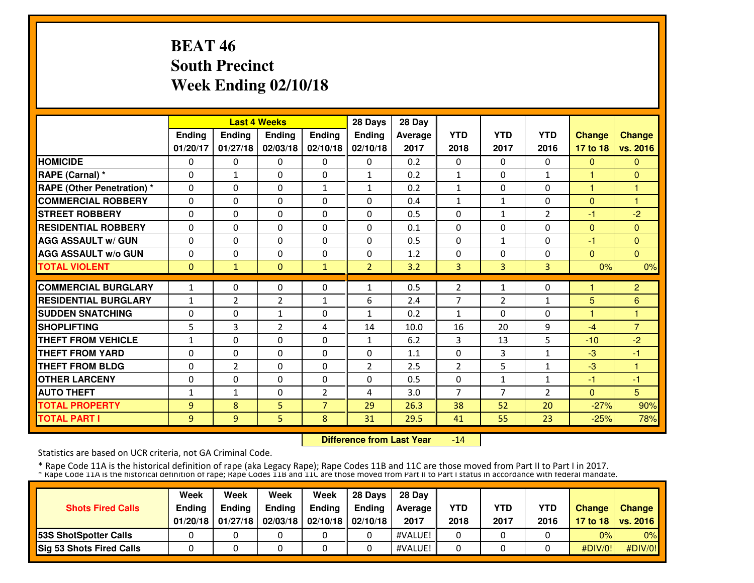# **BEAT 46 South PrecinctWeek Ending 02/10/18**

|                                   |                |                | <b>Last 4 Weeks</b> |                | 28 Days        | 28 Day  |                |                |                |               |                |
|-----------------------------------|----------------|----------------|---------------------|----------------|----------------|---------|----------------|----------------|----------------|---------------|----------------|
|                                   | Ending         | Ending         | Ending              | Ending         | <b>Ending</b>  | Average | <b>YTD</b>     | <b>YTD</b>     | <b>YTD</b>     | <b>Change</b> | <b>Change</b>  |
|                                   | 01/20/17       | 01/27/18       | 02/03/18            | 02/10/18       | 02/10/18       | 2017    | 2018           | 2017           | 2016           | 17 to 18      | vs. 2016       |
| <b>HOMICIDE</b>                   | $\Omega$       | $\Omega$       | $\mathbf{0}$        | $\Omega$       | $\Omega$       | 0.2     | $\Omega$       | $\Omega$       | $\Omega$       | $\mathbf{0}$  | $\mathbf{0}$   |
| RAPE (Carnal) *                   | $\Omega$       | $\mathbf{1}$   | $\Omega$            | $\Omega$       | $\mathbf{1}$   | 0.2     | $\mathbf{1}$   | $\Omega$       | $\mathbf{1}$   | 1             | $\Omega$       |
| <b>RAPE (Other Penetration) *</b> | $\Omega$       | $\Omega$       | $\Omega$            | $\mathbf{1}$   | $\mathbf{1}$   | 0.2     | $\mathbf{1}$   | $\Omega$       | $\Omega$       | 1             | 1              |
| <b>COMMERCIAL ROBBERY</b>         | $\Omega$       | $\Omega$       | $\Omega$            | $\Omega$       | $\Omega$       | 0.4     | $\mathbf{1}$   | $\mathbf{1}$   | $\Omega$       | $\Omega$      | 1              |
| <b>STREET ROBBERY</b>             | $\Omega$       | $\Omega$       | $\Omega$            | $\Omega$       | $\Omega$       | 0.5     | $\Omega$       | $\mathbf{1}$   | $\overline{2}$ | -1            | $-2$           |
| <b>RESIDENTIAL ROBBERY</b>        | $\Omega$       | $\Omega$       | $\Omega$            | $\Omega$       | $\Omega$       | 0.1     | $\Omega$       | $\Omega$       | $\Omega$       | $\Omega$      | $\Omega$       |
| <b>AGG ASSAULT w/ GUN</b>         | $\Omega$       | 0              | $\Omega$            | $\Omega$       | $\Omega$       | 0.5     | $\Omega$       | $\mathbf{1}$   | $\Omega$       | -1            | $\mathbf{0}$   |
| <b>AGG ASSAULT w/o GUN</b>        | 0              | 0              | $\Omega$            | $\Omega$       | $\Omega$       | 1.2     | 0              | 0              | $\Omega$       | $\Omega$      | $\mathbf{0}$   |
| <b>TOTAL VIOLENT</b>              | $\mathbf{0}$   | $\mathbf{1}$   | $\Omega$            | $\mathbf{1}$   | $\overline{2}$ | 3.2     | 3              | 3              | 3              | 0%            | 0%             |
| <b>COMMERCIAL BURGLARY</b>        | $\mathbf{1}$   | $\Omega$       | $\Omega$            | 0              | 1              | 0.5     | $\overline{2}$ | $\mathbf{1}$   | $\Omega$       |               | $\overline{c}$ |
| <b>RESIDENTIAL BURGLARY</b>       | $\mathbf{1}$   | 2              | $\overline{2}$      | $\mathbf{1}$   | 6              | 2.4     | 7              | $\overline{2}$ | $\mathbf{1}$   | 5             | 6              |
| <b>SUDDEN SNATCHING</b>           | $\Omega$       | 0              | $\mathbf{1}$        | $\Omega$       | $\mathbf{1}$   | 0.2     | $\mathbf{1}$   | 0              | $\Omega$       | 1             | н              |
| <b>SHOPLIFTING</b>                | 5              | 3              | 2                   | 4              | 14             | 10.0    | 16             | 20             | 9              | $-4$          | $\overline{7}$ |
| <b>THEFT FROM VEHICLE</b>         | $\mathbf{1}$   | 0              | $\Omega$            | 0              | $\mathbf{1}$   | 6.2     | 3              | 13             | 5              | $-10$         | $-2$           |
| <b>THEFT FROM YARD</b>            | 0              | $\Omega$       | $\Omega$            | 0              | $\Omega$       | 1.1     | $\Omega$       | 3              | 1              | $-3$          | -1             |
| <b>THEFT FROM BLDG</b>            | 0              | $\overline{2}$ | $\Omega$            | $\Omega$       | $\overline{2}$ | 2.5     | $\overline{2}$ | 5              | $\mathbf{1}$   | $-3$          | 1              |
| <b>OTHER LARCENY</b>              | $\Omega$       | $\Omega$       | $\Omega$            | $\Omega$       | $\Omega$       | 0.5     | $\Omega$       | $\mathbf{1}$   | $\mathbf{1}$   | $-1$          | $-1$           |
| <b>AUTO THEFT</b>                 | $\mathbf{1}$   | $\mathbf{1}$   | $\Omega$            | $\overline{2}$ | 4              | 3.0     | $\overline{7}$ | $\overline{7}$ | $\overline{2}$ | $\Omega$      | 5              |
| <b>TOTAL PROPERTY</b>             | $\overline{9}$ | 8              | 5                   | $\overline{7}$ | 29             | 26.3    | 38             | 52             | 20             | $-27%$        | 90%            |
| <b>TOTAL PART I</b>               | 9              | 9              | 5.                  | 8              | 31             | 29.5    | 41             | 55             | 23             | $-25%$        | 78%            |

 **Difference from Last Year**-14

Statistics are based on UCR criteria, not GA Criminal Code.

| <b>Shots Fired Calls</b>      | Week<br><b>Endina</b><br>01/20/18 | Week<br><b>Ending</b><br>01/27/18 | Week<br><b>Ending</b> | Week<br><b>Ending</b><br>02/03/18   02/10/18   02/10/18 | 28 Davs<br>Endina | 28 Dav<br>Average II<br>2017 | <b>YTD</b><br>2018 | <b>YTD</b><br>2017 | <b>YTD</b><br>2016 | <b>Change</b> | Change<br>17 to 18   vs. 2016 |
|-------------------------------|-----------------------------------|-----------------------------------|-----------------------|---------------------------------------------------------|-------------------|------------------------------|--------------------|--------------------|--------------------|---------------|-------------------------------|
| <b>153S ShotSpotter Calls</b> |                                   |                                   |                       |                                                         |                   | #VALUE!                      |                    |                    |                    | 0%            | 0%                            |
| Sig 53 Shots Fired Calls      |                                   |                                   |                       |                                                         |                   | #VALUE!                      |                    |                    |                    | #DIV/0!       | $\#$ DIV/0!                   |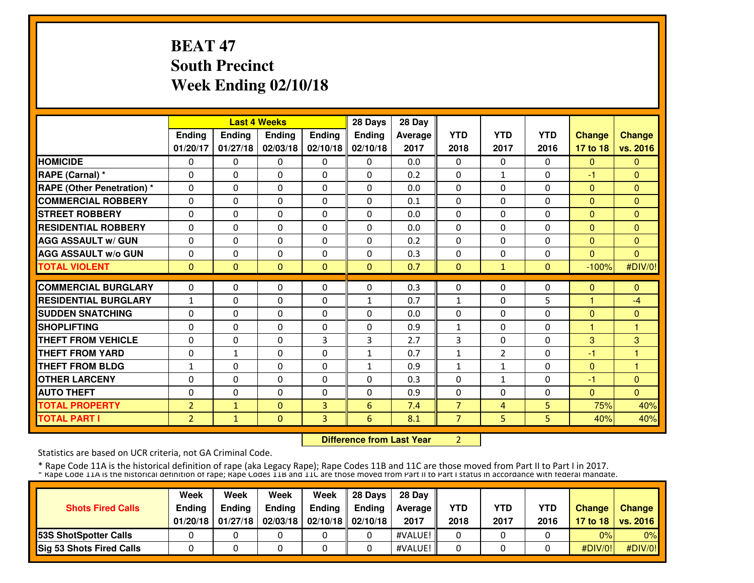# **BEAT 47 South PrecinctWeek Ending 02/10/18**

|                                   |                |              | <b>Last 4 Weeks</b> |               | 28 Days        | 28 Day  |                |                |                |                |               |
|-----------------------------------|----------------|--------------|---------------------|---------------|----------------|---------|----------------|----------------|----------------|----------------|---------------|
|                                   | Ending         | Ending       | <b>Ending</b>       | <b>Ending</b> | <b>Ending</b>  | Average | <b>YTD</b>     | <b>YTD</b>     | <b>YTD</b>     | <b>Change</b>  | <b>Change</b> |
|                                   | 01/20/17       | 01/27/18     | 02/03/18            | 02/10/18      | 02/10/18       | 2017    | 2018           | 2017           | 2016           | 17 to 18       | vs. 2016      |
| <b>HOMICIDE</b>                   | $\Omega$       | $\Omega$     | $\mathbf{0}$        | $\Omega$      | $\Omega$       | 0.0     | $\Omega$       | $\Omega$       | $\Omega$       | $\Omega$       | $\Omega$      |
| RAPE (Carnal) *                   | $\Omega$       | 0            | $\Omega$            | $\Omega$      | $\Omega$       | 0.2     | $\Omega$       | $\mathbf{1}$   | $\Omega$       | -1             | $\Omega$      |
| <b>RAPE (Other Penetration) *</b> | $\Omega$       | $\Omega$     | $\Omega$            | $\Omega$      | $\Omega$       | 0.0     | 0              | $\Omega$       | $\Omega$       | $\overline{0}$ | $\Omega$      |
| <b>COMMERCIAL ROBBERY</b>         | $\Omega$       | $\Omega$     | $\mathbf{0}$        | $\Omega$      | $\Omega$       | 0.1     | $\Omega$       | 0              | $\Omega$       | $\Omega$       | $\Omega$      |
| <b>STREET ROBBERY</b>             | $\Omega$       | $\Omega$     | $\mathbf{0}$        | $\Omega$      | $\Omega$       | 0.0     | $\Omega$       | $\Omega$       | $\Omega$       | $\Omega$       | $\Omega$      |
| <b>RESIDENTIAL ROBBERY</b>        | $\Omega$       | $\Omega$     | $\Omega$            | $\Omega$      | $\Omega$       | 0.0     | $\Omega$       | $\Omega$       | $\Omega$       | $\Omega$       | $\Omega$      |
| <b>AGG ASSAULT w/ GUN</b>         | $\Omega$       | 0            | $\Omega$            | $\Omega$      | $\Omega$       | 0.2     | $\Omega$       | $\Omega$       | $\Omega$       | $\Omega$       | $\Omega$      |
| <b>AGG ASSAULT w/o GUN</b>        | $\Omega$       | 0            | $\Omega$            | $\Omega$      | $\Omega$       | 0.3     | $\Omega$       | $\Omega$       | $\Omega$       | $\Omega$       | $\Omega$      |
| <b>TOTAL VIOLENT</b>              | $\mathbf{0}$   | $\Omega$     | $\Omega$            | $\Omega$      | $\Omega$       | 0.7     | $\Omega$       | $\mathbf{1}$   | $\Omega$       | $-100%$        | #DIV/0!       |
| <b>COMMERCIAL BURGLARY</b>        | $\Omega$       | $\Omega$     | $\Omega$            | $\Omega$      | $\Omega$       | 0.3     | $\Omega$       | 0              | $\Omega$       |                | $\Omega$      |
|                                   |                |              |                     |               |                |         |                |                |                | $\mathbf{0}$   |               |
| <b>RESIDENTIAL BURGLARY</b>       | $\mathbf{1}$   | $\Omega$     | $\Omega$            | $\Omega$      | 1              | 0.7     | 1              | 0              | 5              | 1              | $-4$          |
| <b>SUDDEN SNATCHING</b>           | $\Omega$       | $\Omega$     | $\Omega$            | $\Omega$      | $\Omega$       | 0.0     | $\Omega$       | $\Omega$       | $\Omega$       | $\Omega$       | $\Omega$      |
| <b>SHOPLIFTING</b>                | $\Omega$       | 0            | $\Omega$            | $\Omega$      | $\Omega$       | 0.9     | 1              | 0              | $\Omega$       | 1              | н             |
| <b>THEFT FROM VEHICLE</b>         | 0              | 0            | $\mathbf 0$         | 3             | $\overline{3}$ | 2.7     | 3              | 0              | $\Omega$       | 3              | 3             |
| <b>THEFT FROM YARD</b>            | 0              | $\mathbf{1}$ | $\mathbf 0$         | $\mathbf{0}$  | $\mathbf{1}$   | 0.7     | 1              | $\overline{2}$ | 0              | $-1$           | н             |
| <b>THEFT FROM BLDG</b>            | 1              | 0            | $\Omega$            | 0             | 1              | 0.9     | 1              | 1              | $\Omega$       | $\mathbf{0}$   |               |
| <b>OTHER LARCENY</b>              | $\Omega$       | $\Omega$     | $\Omega$            | $\Omega$      | $\Omega$       | 0.3     | $\Omega$       | $\mathbf{1}$   | $\Omega$       | $-1$           | $\Omega$      |
| <b>AUTO THEFT</b>                 | $\Omega$       | 0            | $\Omega$            | $\Omega$      | $\Omega$       | 0.9     | $\Omega$       | $\Omega$       | $\Omega$       | $\Omega$       | $\Omega$      |
| <b>TOTAL PROPERTY</b>             | $\overline{2}$ | $\mathbf{1}$ | $\mathbf{0}$        | 3             | 6              | 7.4     | $\overline{7}$ | $\overline{4}$ | 5              | 75%            | 40%           |
| <b>TOTAL PART I</b>               | $\overline{2}$ | $\mathbf{1}$ | $\mathbf{0}$        | 3             | 6              | 8.1     | $\overline{7}$ | 5              | 5 <sup>1</sup> | 40%            | 40%           |

**Difference from Last Year** 2

Statistics are based on UCR criteria, not GA Criminal Code.

|                                 | Week          | Week          | Week          | Week                           | 28 Davs | 28 Dav     |            |            |            |               |                     |
|---------------------------------|---------------|---------------|---------------|--------------------------------|---------|------------|------------|------------|------------|---------------|---------------------|
| <b>Shots Fired Calls</b>        | <b>Endina</b> | <b>Endina</b> | <b>Ending</b> | Ending                         | Endina  | Average II | <b>YTD</b> | <b>YTD</b> | <b>YTD</b> | <b>Change</b> | Change              |
|                                 | 01/20/18      | 01/27/18      |               | 02/03/18   02/10/18   02/10/18 |         | 2017       | 2018       | 2017       | 2016       |               | 17 to 18   vs. 2016 |
| <b>153S ShotSpotter Calls</b>   |               |               |               |                                |         | #VALUE!    |            |            |            | 0%            | 0%                  |
| <b>Sig 53 Shots Fired Calls</b> |               |               |               |                                |         | #VALUE!    |            |            |            | #DIV/0!       | #DIV/0!             |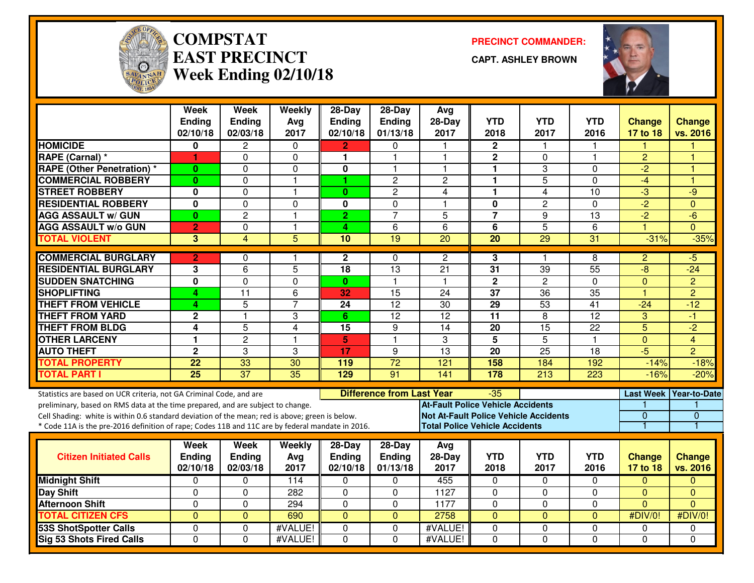

#### **COMPSTATEAST PRECINCTWeek Ending 02/10/18**

**PRECINCT COMMANDER:**

**CAPT. ASHLEY BROWN**



|                                                                                                  | <b>Week</b><br><b>Ending</b> | <b>Week</b><br><b>Ending</b> | Weekly<br>Avg        | $28$ -Day<br>Ending        | 28-Day<br>Ending                 | Avg<br>$28-Day$                              | <b>YTD</b>           | <b>YTD</b>           | <b>YTD</b>          | <b>Change</b>         | <b>Change</b>          |
|--------------------------------------------------------------------------------------------------|------------------------------|------------------------------|----------------------|----------------------------|----------------------------------|----------------------------------------------|----------------------|----------------------|---------------------|-----------------------|------------------------|
| <b>HOMICIDE</b>                                                                                  | 02/10/18<br>0                | 02/03/18<br>$\overline{2}$   | 2017                 | 02/10/18                   | 01/13/18                         | 2017<br>$\mathbf{1}$                         | 2018<br>$\mathbf{2}$ | 2017<br>$\mathbf{1}$ | 2016<br>1           | 17 to 18              | vs. 2016               |
| <b>RAPE (Carnal) *</b>                                                                           | 1                            | 0                            | $\Omega$<br>$\Omega$ | $\overline{2}$<br>1        | 0<br>1                           | $\overline{1}$                               | $\mathbf 2$          | $\Omega$             | 1                   | $\overline{2}$        | Н                      |
| <b>RAPE (Other Penetration) *</b>                                                                | $\bf{0}$                     | $\Omega$                     | $\pmb{0}$            | $\bf{0}$                   | 1                                | $\mathbf{1}$                                 | $\mathbf{1}$         | 3                    | 0                   | $\overline{2}$        | н                      |
| <b>COMMERCIAL ROBBERY</b>                                                                        | $\bf{0}$                     | $\Omega$                     | $\mathbf{1}$         | 1                          | $\overline{c}$                   | $\overline{2}$                               | 1                    | 5                    | 0                   | $-4$                  | ٢                      |
| <b>STREET ROBBERY</b>                                                                            | 0                            | $\Omega$                     | $\mathbf{1}$         | $\mathbf{0}$               | $\overline{c}$                   | 4                                            | 1                    | 4                    | 10                  | $-3$                  | -9                     |
| <b>RESIDENTIAL ROBBERY</b>                                                                       | $\mathbf{0}$                 | $\mathbf 0$                  | $\Omega$             | $\bf{0}$                   | 0                                | $\overline{\mathbf{1}}$                      | $\mathbf 0$          | $\overline{2}$       | $\Omega$            | $\overline{2}$        | $\Omega$               |
| <b>AGG ASSAULT w/ GUN</b>                                                                        | $\bf{0}$                     | $\overline{c}$               | $\mathbf{1}$         | $\overline{2}$             | $\overline{7}$                   | 5                                            | $\overline{7}$       | 9                    | 13                  | $-2$                  | $-6$                   |
| <b>AGG ASSAULT w/o GUN</b>                                                                       | $\overline{2}$               | $\Omega$                     | $\mathbf{1}$         | 4                          | 6                                | 6                                            | $\overline{6}$       | $\overline{5}$       | 6                   |                       | $\Omega$               |
| <b>TOTAL VIOLENT</b>                                                                             | 3                            | $\overline{4}$               | $\overline{5}$       | 10                         | 19                               | $\overline{20}$                              | $\overline{20}$      | 29                   | 31                  | $-31%$                | $-35%$                 |
|                                                                                                  |                              |                              |                      |                            |                                  |                                              |                      |                      |                     |                       |                        |
| <b>COMMERCIAL BURGLARY</b>                                                                       | $\overline{2}$               | 0                            | 1                    | $\mathbf{2}$               | 0                                | $\mathbf{2}$                                 | 3                    | 1                    | 8                   | $\overline{c}$        | -5                     |
| <b>RESIDENTIAL BURGLARY</b>                                                                      | 3                            | $\overline{6}$               | $\overline{5}$       | 18                         | $\overline{13}$                  | $\overline{21}$                              | $\overline{31}$      | $\overline{39}$      | 55                  | $-\frac{1}{\sqrt{2}}$ | $-24$                  |
| <b>SUDDEN SNATCHING</b>                                                                          | $\overline{\mathbf{0}}$      | $\mathbf 0$                  | $\mathbf 0$          | $\mathbf{0}$               | $\mathbf{1}$                     | $\mathbf{1}$                                 | $\overline{2}$       | $\overline{2}$       | 0                   | $\mathbf 0$           | $\overline{2}$         |
| <b>SHOPLIFTING</b>                                                                               | 4                            | $\overline{11}$              | 6                    | 32                         | 15                               | 24                                           | $\overline{37}$      | $\overline{36}$      | $\overline{35}$     | $\overline{1}$        | $\overline{2}$         |
| <b>THEFT FROM VEHICLE</b>                                                                        | 4                            | 5                            | $\overline{7}$       | $\overline{24}$            | $\overline{12}$                  | 30                                           | 29                   | 53                   | $\overline{41}$     | $-24$                 | $-12$                  |
| <b>THEFT FROM YARD</b>                                                                           | $\mathbf 2$                  | $\overline{\mathbf{1}}$      | 3                    | 6                          | $\overline{12}$                  | $\overline{12}$                              | $\overline{11}$      | 8                    | $\overline{12}$     | 3                     | -1                     |
| <b>THEFT FROM BLDG</b>                                                                           | 4                            | $\overline{5}$               | $\overline{4}$       | 15                         | 9                                | 14                                           | 20                   | 15                   | 22                  | $\overline{5}$        | $-2$                   |
| <b>OTHER LARCENY</b>                                                                             | 1                            | $\overline{2}$               | $\mathbf{1}$         | 5                          | $\mathbf{1}$                     | 3                                            | $\overline{5}$       | $\overline{5}$       | 1                   | $\mathbf 0$           | $\overline{4}$         |
| <b>AUTO THEFT</b>                                                                                | $\mathbf 2$                  | 3                            | 3                    | 17                         | 9                                | $\overline{13}$                              | 20                   | $\overline{25}$      | $\overline{18}$     | $-5$                  | $\overline{2}$         |
| <b>TOTAL PROPERTY</b>                                                                            | 22                           | 33                           | 30                   | 119                        | $\overline{72}$                  | 121                                          | 158                  | 184                  | 192                 | $-14%$                | $-18%$                 |
| <b>TOTAL PART I</b>                                                                              | $\overline{25}$              | $\overline{37}$              | $\overline{35}$      | 129                        | 91                               | $\overline{141}$                             | $\frac{178}{178}$    | $\overline{213}$     | $\overline{223}$    | $-16%$                | $-20%$                 |
| Statistics are based on UCR criteria, not GA Criminal Code, and are                              |                              |                              |                      |                            | <b>Difference from Last Year</b> |                                              | $-35$                |                      |                     |                       | Last Week Year-to-Date |
| preliminary, based on RMS data at the time prepared, and are subject to change.                  |                              |                              |                      |                            |                                  | <b>At-Fault Police Vehicle Accidents</b>     |                      |                      |                     |                       |                        |
| Cell Shading: white is within 0.6 standard deviation of the mean; red is above; green is below.  |                              |                              |                      |                            |                                  | <b>Not At-Fault Police Vehicle Accidents</b> |                      |                      |                     | $\overline{0}$        | $\overline{0}$         |
| * Code 11A is the pre-2016 definition of rape; Codes 11B and 11C are by federal mandate in 2016. |                              |                              |                      |                            |                                  | <b>Total Police Vehicle Accidents</b>        |                      |                      |                     |                       | 1                      |
|                                                                                                  |                              |                              |                      |                            |                                  |                                              |                      |                      |                     |                       |                        |
|                                                                                                  | Week                         | Week                         | Weekly               | $28-Day$                   | 28-Day                           | Avg                                          |                      |                      |                     |                       |                        |
| <b>Citizen Initiated Calls</b>                                                                   | <b>Ending</b>                | <b>Ending</b>                | Avg                  | <b>Ending</b>              | Ending                           | $28-Day$                                     | <b>YTD</b>           | <b>YTD</b><br>2017   | <b>YTD</b><br>2016  | <b>Change</b>         | <b>Change</b>          |
|                                                                                                  | 02/10/18                     | 02/03/18                     | 2017                 | 02/10/18                   | 01/13/18                         | 2017                                         | 2018                 |                      |                     | 17 to 18              | vs. 2016               |
| <b>Midnight Shift</b>                                                                            | 0                            | $\mathbf{0}$<br>$\Omega$     | 114                  | 0                          | $\Omega$                         | 455                                          | 0                    | $\mathbf 0$          | $\Omega$            | $\Omega$              | $\Omega$<br>$\Omega$   |
| <b>Day Shift</b>                                                                                 | $\Omega$                     |                              | 282                  | $\Omega$                   | $\Omega$                         | 1127                                         | $\Omega$             | $\mathbf 0$          | $\Omega$            | $\Omega$              | $\Omega$               |
| <b>Afternoon Shift</b><br><b>TOTAL CITIZEN CFS</b>                                               | 0<br>$\overline{0}$          | $\Omega$<br>$\overline{0}$   | 294<br>690           | $\Omega$<br>$\overline{0}$ | $\Omega$<br>$\overline{0}$       | 1177<br>2758                                 | 0<br>$\overline{0}$  | 0<br>$\overline{0}$  | 0<br>$\overline{0}$ | $\Omega$<br>#DIV/0!   | #DIV/0!                |
|                                                                                                  |                              |                              |                      |                            |                                  |                                              |                      |                      |                     |                       |                        |
| <b>53S ShotSpotter Calls</b>                                                                     | 0<br>$\Omega$                | $\Omega$                     | #VALUE!              | $\Omega$                   | $\Omega$                         | #VALUE!                                      | 0                    | 0<br>$\Omega$        | $\Omega$            | 0                     | 0                      |
| <b>Sig 53 Shots Fired Calls</b>                                                                  |                              | $\Omega$                     | #VALUE!              | $\Omega$                   | $\Omega$                         | #VALUE!                                      | $\Omega$             |                      | $\Omega$            | $\Omega$              | $\Omega$               |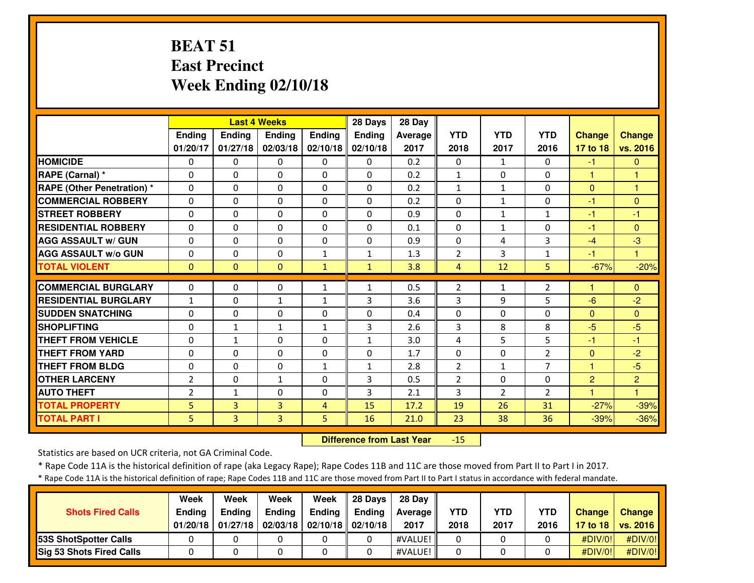# **BEAT 51 East PrecinctWeek Ending 02/10/18**

|                                   |                |                | <b>Last 4 Weeks</b> |               | 28 Days       | 28 Day  |                |                |                |                |                |
|-----------------------------------|----------------|----------------|---------------------|---------------|---------------|---------|----------------|----------------|----------------|----------------|----------------|
|                                   | Ending         | <b>Ending</b>  | <b>Endina</b>       | <b>Endina</b> | <b>Ending</b> | Average | <b>YTD</b>     | <b>YTD</b>     | <b>YTD</b>     | <b>Change</b>  | <b>Change</b>  |
|                                   | 01/20/17       | 01/27/18       | 02/03/18            | 02/10/18      | 02/10/18      | 2017    | 2018           | 2017           | 2016           | 17 to 18       | vs. 2016       |
| <b>HOMICIDE</b>                   | 0              | $\Omega$       | 0                   | 0             | 0             | 0.2     | 0              | 1              | $\Omega$       | -1             | $\mathbf{0}$   |
| RAPE (Carnal) *                   | $\Omega$       | $\Omega$       | $\Omega$            | $\Omega$      | $\Omega$      | 0.2     | $\mathbf{1}$   | $\Omega$       | $\Omega$       | н              | 1              |
| <b>RAPE (Other Penetration) *</b> | $\mathbf 0$    | $\Omega$       | $\mathbf{0}$        | $\Omega$      | $\Omega$      | 0.2     | $\mathbf{1}$   | $\mathbf{1}$   | $\Omega$       | $\overline{0}$ | 1              |
| <b>COMMERCIAL ROBBERY</b>         | 0              | $\Omega$       | $\mathbf{0}$        | $\mathbf{0}$  | $\Omega$      | 0.2     | $\Omega$       | $\mathbf{1}$   | $\Omega$       | $-1$           | $\Omega$       |
| <b>STREET ROBBERY</b>             | 0              | $\Omega$       | $\Omega$            | $\Omega$      | 0             | 0.9     | 0              | $\mathbf{1}$   | $\mathbf{1}$   | -1             | -1             |
| <b>RESIDENTIAL ROBBERY</b>        | $\Omega$       | $\Omega$       | $\Omega$            | $\Omega$      | $\Omega$      | 0.1     | 0              | $\mathbf{1}$   | $\Omega$       | -1             | $\Omega$       |
| <b>AGG ASSAULT w/ GUN</b>         | $\Omega$       | $\Omega$       | $\Omega$            | $\Omega$      | $\Omega$      | 0.9     | 0              | 4              | 3              | $-4$           | $-3$           |
| <b>AGG ASSAULT W/o GUN</b>        | 0              | $\Omega$       | $\Omega$            | $\mathbf{1}$  | 1             | 1.3     | $\overline{2}$ | 3              | $\mathbf{1}$   | -1             | 1              |
| <b>TOTAL VIOLENT</b>              | $\Omega$       | $\Omega$       | $\Omega$            | $\mathbf{1}$  | $\mathbf{1}$  | 3.8     | 4              | 12             | 5              | $-67%$         | $-20%$         |
| <b>COMMERCIAL BURGLARY</b>        | $\Omega$       | $\Omega$       | $\Omega$            |               | 1             | 0.5     | $\overline{2}$ |                | $\overline{2}$ |                | $\Omega$       |
| <b>RESIDENTIAL BURGLARY</b>       |                |                |                     | 1             |               |         |                | 1              |                |                |                |
|                                   | $\mathbf{1}$   | $\Omega$       | $\mathbf{1}$        | $\mathbf{1}$  | 3             | 3.6     | 3              | 9              | 5              | $-6$           | $-2$           |
| <b>SUDDEN SNATCHING</b>           | $\Omega$       | $\Omega$       | $\Omega$            | 0             | $\Omega$      | 0.4     | 0              | $\Omega$       | $\Omega$       | $\Omega$       | $\Omega$       |
| <b>SHOPLIFTING</b>                | $\Omega$       | $\mathbf{1}$   | $\mathbf{1}$        | $\mathbf{1}$  | 3             | 2.6     | 3              | 8              | 8              | $-5$           | $-5$           |
| <b>THEFT FROM VEHICLE</b>         | $\Omega$       | $\mathbf{1}$   | $\Omega$            | $\Omega$      | $\mathbf{1}$  | 3.0     | 4              | 5              | 5.             | -1             | $-1$           |
| <b>THEFT FROM YARD</b>            | 0              | $\Omega$       | $\Omega$            | $\Omega$      | $\Omega$      | 1.7     | $\Omega$       | $\Omega$       | $\overline{2}$ | $\Omega$       | $-2$           |
| <b>THEFT FROM BLDG</b>            | $\Omega$       | $\Omega$       | $\Omega$            | $\mathbf{1}$  | $\mathbf{1}$  | 2.8     | $\overline{2}$ | $\mathbf{1}$   | $\overline{7}$ | 1              | $-5$           |
| <b>OTHER LARCENY</b>              | $\overline{2}$ | $\Omega$       | $\mathbf{1}$        | $\Omega$      | 3             | 0.5     | $\overline{2}$ | $\Omega$       | $\Omega$       | $\overline{2}$ | $\overline{2}$ |
| <b>AUTO THEFT</b>                 | $\overline{2}$ | $\mathbf{1}$   | $\Omega$            | 0             | 3             | 2.1     | 3              | $\overline{2}$ | $\overline{2}$ | H              | 1              |
| <b>TOTAL PROPERTY</b>             | 5              | $\overline{3}$ | 3                   | 4             | 15            | 17.2    | 19             | 26             | 31             | $-27%$         | $-39%$         |
| <b>TOTAL PART I</b>               | 5              | $\overline{3}$ | $\overline{3}$      | 5             | 16            | 21.0    | 23             | 38             | 36             | $-39%$         | $-36%$         |

 **Difference from Last Year**-15

Statistics are based on UCR criteria, not GA Criminal Code.

\* Rape Code 11A is the historical definition of rape (aka Legacy Rape); Rape Codes 11B and 11C are those moved from Part II to Part I in 2017.

\* Rape Code 11A is the historical definition of rape; Rape Codes 11B and 11C are those moved from Part II to Part I status in accordance with federal mandate.

| <b>Shots Fired Calls</b>        | Week<br>Ending<br>01/20/18 | Week<br><b>Ending</b><br>01/27/18 | Week<br><b>Ending</b> | Week<br><b>Ending</b><br>$02/03/18$   02/10/18   02/10/18 | 28 Davs<br><b>Ending</b> | 28 Dav<br><b>Average</b><br>2017 | <b>YTD</b><br>2018 | YTD<br>2017 | <b>YTD</b><br>2016 | <b>Change</b> | Change<br>17 to 18   vs. 2016 |
|---------------------------------|----------------------------|-----------------------------------|-----------------------|-----------------------------------------------------------|--------------------------|----------------------------------|--------------------|-------------|--------------------|---------------|-------------------------------|
| 53S ShotSpotter Calls           |                            |                                   |                       |                                                           |                          | #VALUE!                          |                    |             |                    | #DIV/0!       | $\#$ DIV/0!                   |
| <b>Sig 53 Shots Fired Calls</b> |                            |                                   |                       |                                                           |                          | #VALUE!                          |                    |             |                    | #DIV/0!       | #DIV/0!                       |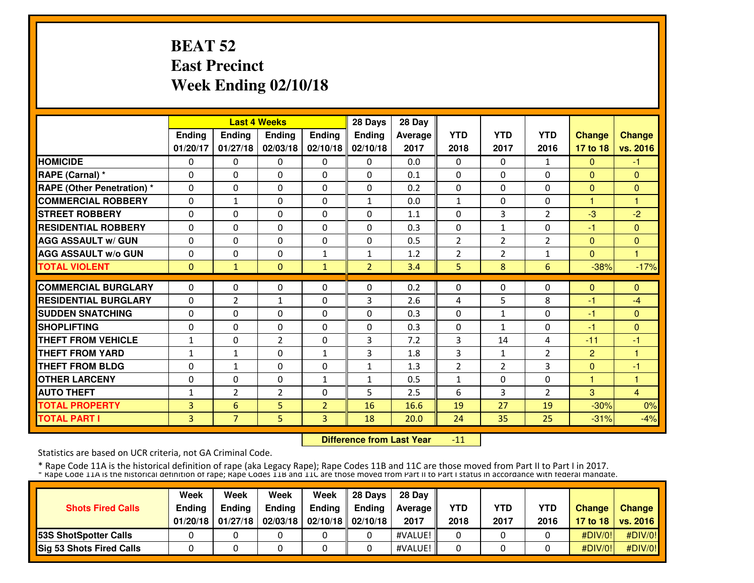# **BEAT 52 East PrecinctWeek Ending 02/10/18**

|                                   |               |                | <b>Last 4 Weeks</b> |                | 28 Days        | 28 Day  |                |                |                |                |               |
|-----------------------------------|---------------|----------------|---------------------|----------------|----------------|---------|----------------|----------------|----------------|----------------|---------------|
|                                   | <b>Ending</b> | Ending         | <b>Endina</b>       | <b>Ending</b>  | <b>Endina</b>  | Average | <b>YTD</b>     | <b>YTD</b>     | <b>YTD</b>     | <b>Change</b>  | <b>Change</b> |
|                                   | 01/20/17      | 01/27/18       | 02/03/18            | 02/10/18       | 02/10/18       | 2017    | 2018           | 2017           | 2016           | 17 to 18       | vs. 2016      |
| <b>HOMICIDE</b>                   | $\Omega$      | $\Omega$       | 0                   | $\Omega$       | $\Omega$       | 0.0     | 0              | $\Omega$       | 1              | $\mathbf{0}$   | -1            |
| <b>RAPE (Carnal)</b> *            | $\Omega$      | $\Omega$       | $\Omega$            | $\Omega$       | $\Omega$       | 0.1     | $\Omega$       | 0              | $\Omega$       | $\Omega$       | $\mathbf{0}$  |
| <b>RAPE (Other Penetration) *</b> | $\Omega$      | $\Omega$       | $\Omega$            | $\mathbf{0}$   | $\Omega$       | 0.2     | 0              | 0              | 0              | $\mathbf{0}$   | $\Omega$      |
| <b>COMMERCIAL ROBBERY</b>         | $\Omega$      | $\mathbf{1}$   | $\Omega$            | $\mathbf{0}$   | $\mathbf{1}$   | 0.0     | $\mathbf{1}$   | $\Omega$       | 0              | $\mathbf{1}$   | 1             |
| <b>STREET ROBBERY</b>             | $\Omega$      | $\Omega$       | $\Omega$            | $\mathbf{0}$   | 0              | 1.1     | $\Omega$       | 3              | $\overline{2}$ | $-3$           | $-2$          |
| <b>RESIDENTIAL ROBBERY</b>        | $\Omega$      | $\Omega$       | 0                   | $\Omega$       | 0              | 0.3     | 0              | 1              | 0              | -1             | $\Omega$      |
| <b>AGG ASSAULT w/ GUN</b>         | $\Omega$      | $\Omega$       | 0                   | $\mathbf 0$    | 0              | 0.5     | 2              | 2              | 2              | $\mathbf{0}$   | $\mathbf{0}$  |
| <b>AGG ASSAULT w/o GUN</b>        | 0             | 0              | 0                   | 1              | $\mathbf{1}$   | 1.2     | 2              | $\overline{2}$ | 1              | $\Omega$       |               |
| <b>TOTAL VIOLENT</b>              | $\Omega$      | $\mathbf{1}$   | $\Omega$            | $\mathbf{1}$   | $\overline{2}$ | 3.4     | 5              | 8              | 6              | $-38%$         | $-17%$        |
| <b>COMMERCIAL BURGLARY</b>        | $\Omega$      | $\Omega$       | 0                   | $\mathbf{0}$   | 0              | 0.2     | $\Omega$       | 0              | 0              | $\Omega$       | $\Omega$      |
| <b>RESIDENTIAL BURGLARY</b>       |               |                |                     |                |                |         |                |                |                |                |               |
|                                   | $\Omega$      | $\overline{2}$ | $\mathbf{1}$        | $\mathbf{0}$   | 3              | 2.6     | 4              | 5              | 8              | $-1$           | $-4$          |
| <b>SUDDEN SNATCHING</b>           | $\Omega$      | $\Omega$       | $\Omega$            | $\Omega$       | 0              | 0.3     | 0              | 1              | 0              | -1             | $\Omega$      |
| <b>SHOPLIFTING</b>                | $\Omega$      | $\Omega$       | 0                   | $\mathbf{0}$   | $\Omega$       | 0.3     | 0              | 1              | 0              | $-1$           | $\mathbf{0}$  |
| <b>THEFT FROM VEHICLE</b>         | 1             | $\Omega$       | $\overline{2}$      | $\Omega$       | 3              | 7.2     | 3              | 14             | 4              | $-11$          | -1            |
| <b>THEFT FROM YARD</b>            | $\mathbf{1}$  | $\mathbf{1}$   | $\Omega$            | $\mathbf{1}$   | 3              | 1.8     | 3              | $\mathbf{1}$   | $\overline{2}$ | $\overline{2}$ | 1             |
| <b>THEFT FROM BLDG</b>            | $\Omega$      | $\mathbf{1}$   | $\Omega$            | $\Omega$       | $\mathbf{1}$   | 1.3     | $\overline{2}$ | $\overline{2}$ | 3              | $\Omega$       | -1            |
| <b>OTHER LARCENY</b>              | $\Omega$      | $\Omega$       | $\Omega$            | 1              | $\mathbf{1}$   | 0.5     | $\mathbf{1}$   | 0              | $\Omega$       | 1              | 1             |
| <b>AUTO THEFT</b>                 | 1             | $\overline{2}$ | $\overline{2}$      | $\Omega$       | 5              | 2.5     | 6              | 3              | $\overline{2}$ | 3              | 4             |
| <b>TOTAL PROPERTY</b>             | 3             | 6              | 5                   | $\overline{2}$ | 16             | 16.6    | 19             | 27             | 19             | $-30%$         | 0%            |
| <b>TOTAL PART I</b>               | 3             | $\overline{7}$ | 5                   | $\overline{3}$ | 18             | 20.0    | 24             | 35             | 25             | $-31%$         | $-4%$         |

 **Difference from Last Year**-11

Statistics are based on UCR criteria, not GA Criminal Code.

|                                 | Week          | Week          | Week          | Week                           | 28 Davs | 28 Dav     |            |            |            |               |                     |
|---------------------------------|---------------|---------------|---------------|--------------------------------|---------|------------|------------|------------|------------|---------------|---------------------|
| <b>Shots Fired Calls</b>        | <b>Endina</b> | <b>Endina</b> | <b>Ending</b> | Ending                         | Endina  | Average II | <b>YTD</b> | <b>YTD</b> | <b>YTD</b> | <b>Change</b> | <b>Change</b>       |
|                                 | 01/20/18      | 01/27/18      |               | 02/03/18   02/10/18   02/10/18 |         | 2017       | 2018       | 2017       | 2016       |               | 17 to 18   vs. 2016 |
| <b>153S ShotSpotter Calls</b>   |               |               |               |                                |         | #VALUE!    |            |            |            | #DIV/0!       | #DIV/0!             |
| <b>Sig 53 Shots Fired Calls</b> |               |               |               |                                |         | #VALUE!    |            |            |            | #DIV/0!       | #DIV/0!             |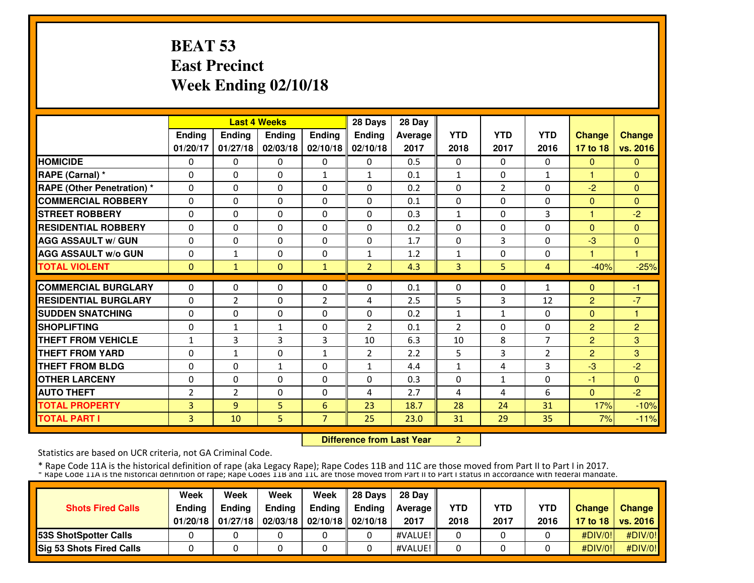# **BEAT 53 East PrecinctWeek Ending 02/10/18**

|                                   |                |                | <b>Last 4 Weeks</b> |                | 28 Days        | 28 Day  |                |                |                |                |                |
|-----------------------------------|----------------|----------------|---------------------|----------------|----------------|---------|----------------|----------------|----------------|----------------|----------------|
|                                   | Ending         | Ending         | Ending              | Ending         | <b>Ending</b>  | Average | <b>YTD</b>     | <b>YTD</b>     | <b>YTD</b>     | <b>Change</b>  | <b>Change</b>  |
|                                   | 01/20/17       | 01/27/18       | 02/03/18            | 02/10/18       | 02/10/18       | 2017    | 2018           | 2017           | 2016           | 17 to 18       | vs. 2016       |
| <b>HOMICIDE</b>                   | $\Omega$       | $\Omega$       | $\mathbf{0}$        | $\Omega$       | $\Omega$       | 0.5     | $\Omega$       | $\Omega$       | $\Omega$       | $\mathbf{0}$   | $\Omega$       |
| RAPE (Carnal) *                   | $\Omega$       | $\Omega$       | $\Omega$            | $\mathbf{1}$   | $\mathbf{1}$   | 0.1     | $\mathbf{1}$   | $\Omega$       | $\mathbf{1}$   | $\mathbf{1}$   | $\Omega$       |
| <b>RAPE (Other Penetration) *</b> | $\Omega$       | $\Omega$       | $\Omega$            | $\Omega$       | $\Omega$       | 0.2     | $\Omega$       | $\overline{2}$ | $\Omega$       | $-2$           | $\mathbf{0}$   |
| <b>COMMERCIAL ROBBERY</b>         | $\Omega$       | $\Omega$       | $\Omega$            | $\Omega$       | $\Omega$       | 0.1     | $\Omega$       | $\Omega$       | $\Omega$       | $\Omega$       | $\Omega$       |
| <b>STREET ROBBERY</b>             | $\Omega$       | $\Omega$       | $\Omega$            | $\Omega$       | $\Omega$       | 0.3     | $\mathbf{1}$   | $\Omega$       | 3              | 1              | $-2$           |
| <b>RESIDENTIAL ROBBERY</b>        | $\Omega$       | $\Omega$       | $\Omega$            | $\Omega$       | $\Omega$       | 0.2     | $\Omega$       | 0              | $\Omega$       | $\Omega$       | $\Omega$       |
| <b>AGG ASSAULT w/ GUN</b>         | $\Omega$       | 0              | $\Omega$            | $\Omega$       | $\Omega$       | 1.7     | $\Omega$       | 3              | $\Omega$       | $-3$           | $\mathbf{0}$   |
| <b>AGG ASSAULT w/o GUN</b>        | 0              | 1              | $\Omega$            | $\Omega$       | $\mathbf{1}$   | 1.2     | 1              | $\Omega$       | 0              |                | н              |
| <b>TOTAL VIOLENT</b>              | $\mathbf{0}$   | 1              | $\Omega$            | $\mathbf{1}$   | $\overline{2}$ | 4.3     | 3              | 5              | $\overline{4}$ | $-40%$         | $-25%$         |
| <b>COMMERCIAL BURGLARY</b>        | $\Omega$       | $\Omega$       | $\Omega$            | $\Omega$       | $\Omega$       | 0.1     | $\Omega$       | $\Omega$       | $\mathbf{1}$   | $\Omega$       | $-1$           |
| <b>RESIDENTIAL BURGLARY</b>       | $\Omega$       | 2              | $\Omega$            | $\overline{2}$ | 4              | 2.5     | 5              | 3              | 12             | $\overline{2}$ | $-7$           |
| <b>SUDDEN SNATCHING</b>           | $\Omega$       | 0              | $\mathbf{0}$        | $\Omega$       | $\Omega$       | 0.2     | $\mathbf{1}$   | $\mathbf{1}$   | $\Omega$       | $\Omega$       | 1              |
| <b>SHOPLIFTING</b>                | 0              | $\mathbf{1}$   | $\mathbf{1}$        | $\Omega$       | $\overline{2}$ | 0.1     | $\overline{2}$ | 0              | 0              | $\overline{2}$ | $\overline{2}$ |
| <b>THEFT FROM VEHICLE</b>         | $\mathbf{1}$   | 3              | 3                   | 3              | 10             | 6.3     | 10             | 8              | $\overline{7}$ | $\overline{2}$ | 3              |
| <b>THEFT FROM YARD</b>            | 0              | $\mathbf{1}$   | $\Omega$            | $\mathbf{1}$   | $\overline{2}$ | 2.2     | 5              | 3              | $\overline{2}$ | $\overline{2}$ | 3              |
| <b>THEFT FROM BLDG</b>            | 0              | 0              | $\mathbf{1}$        | 0              | $\mathbf{1}$   | 4.4     | $\mathbf{1}$   | 4              | 3              | $-3$           | $-2$           |
| <b>OTHER LARCENY</b>              | $\Omega$       | $\Omega$       | $\Omega$            | $\Omega$       | $\Omega$       | 0.3     | $\Omega$       | $\mathbf{1}$   | $\Omega$       | $-1$           | $\mathbf{0}$   |
| <b>AUTO THEFT</b>                 | $\overline{2}$ | $\overline{2}$ | $\Omega$            | $\Omega$       | 4              | 2.7     | 4              | 4              | 6              | $\Omega$       | $-2$           |
| <b>TOTAL PROPERTY</b>             | 3              | 9              | 5                   | 6              | 23             | 18.7    | 28             | 24             | 31             | 17%            | $-10%$         |
| <b>TOTAL PART I</b>               | 3              | 10             | 5.                  | 7              | 25             | 23.0    | 31             | 29             | 35             | 7%             | $-11%$         |

 **Difference from Last Year**<sup>2</sup>

Statistics are based on UCR criteria, not GA Criminal Code.

|                               | Week          | Week          | Week          | Week                           | 28 Davs | 28 Dav     |            |            |            |               |                     |
|-------------------------------|---------------|---------------|---------------|--------------------------------|---------|------------|------------|------------|------------|---------------|---------------------|
| <b>Shots Fired Calls</b>      | <b>Ending</b> | <b>Ending</b> | <b>Ending</b> | Ending                         | Endina  | Average II | <b>YTD</b> | <b>YTD</b> | <b>YTD</b> | <b>Change</b> | <b>Change</b>       |
|                               | 01/20/18      | 01/27/18      |               | 02/03/18   02/10/18   02/10/18 |         | 2017       | 2018       | 2017       | 2016       |               | 17 to 18   vs. 2016 |
| <b>153S ShotSpotter Calls</b> |               |               |               |                                |         | #VALUE!    |            |            |            | #DIV/0!       | #DIV/0!             |
| Sig 53 Shots Fired Calls      |               |               |               |                                |         | #VALUE!    |            |            |            | #DIV/0!       | #DIV/0!             |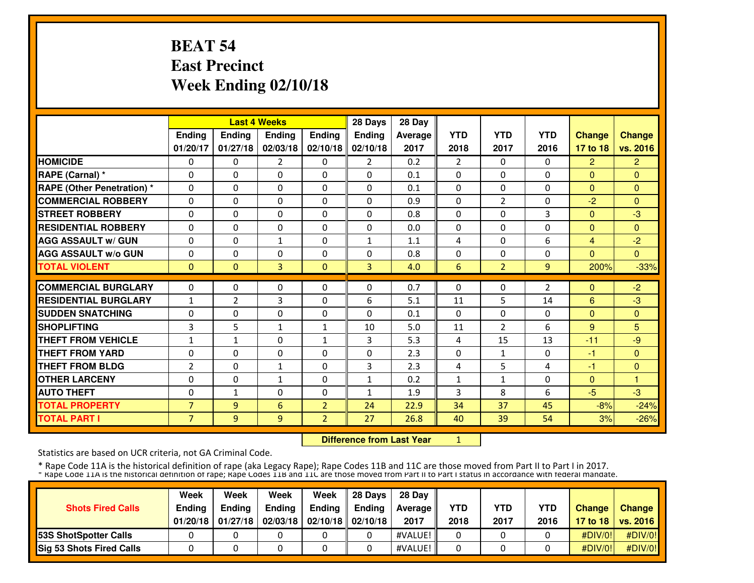# **BEAT 54 East PrecinctWeek Ending 02/10/18**

|                                   |                |                | <b>Last 4 Weeks</b> |                | 28 Days        | 28 Day  |                |                |                |                |                |
|-----------------------------------|----------------|----------------|---------------------|----------------|----------------|---------|----------------|----------------|----------------|----------------|----------------|
|                                   | <b>Ending</b>  | Ending         | <b>Ending</b>       | Ending         | <b>Ending</b>  | Average | <b>YTD</b>     | <b>YTD</b>     | <b>YTD</b>     | <b>Change</b>  | <b>Change</b>  |
|                                   | 01/20/17       | 01/27/18       | 02/03/18            | 02/10/18       | 02/10/18       | 2017    | 2018           | 2017           | 2016           | 17 to 18       | vs. 2016       |
| <b>HOMICIDE</b>                   | $\Omega$       | $\Omega$       | $\overline{2}$      | $\Omega$       | $\overline{2}$ | 0.2     | $\overline{2}$ | $\Omega$       | $\Omega$       | $\overline{2}$ | $\overline{2}$ |
| RAPE (Carnal) *                   | $\Omega$       | 0              | $\Omega$            | $\Omega$       | $\Omega$       | 0.1     | $\Omega$       | $\Omega$       | $\Omega$       | $\Omega$       | $\Omega$       |
| <b>RAPE (Other Penetration) *</b> | $\Omega$       | $\Omega$       | $\Omega$            | $\Omega$       | $\Omega$       | 0.1     | 0              | $\Omega$       | $\Omega$       | $\mathbf{0}$   | $\Omega$       |
| <b>COMMERCIAL ROBBERY</b>         | $\Omega$       | $\Omega$       | $\Omega$            | $\Omega$       | $\Omega$       | 0.9     | $\Omega$       | $\overline{2}$ | $\Omega$       | $-2$           | $\Omega$       |
| <b>STREET ROBBERY</b>             | 0              | $\Omega$       | $\Omega$            | $\Omega$       | $\Omega$       | 0.8     | $\Omega$       | 0              | 3              | $\overline{0}$ | $-3$           |
| <b>RESIDENTIAL ROBBERY</b>        | $\Omega$       | $\Omega$       | $\Omega$            | $\Omega$       | $\Omega$       | 0.0     | $\Omega$       | 0              | $\Omega$       | $\mathbf{0}$   | $\Omega$       |
| <b>AGG ASSAULT w/ GUN</b>         | $\mathbf 0$    | $\Omega$       | $\mathbf{1}$        | $\Omega$       | $\mathbf{1}$   | 1.1     | 4              | $\Omega$       | 6              | $\overline{4}$ | $-2$           |
| <b>AGG ASSAULT w/o GUN</b>        | $\Omega$       | 0              | $\Omega$            | $\Omega$       | $\Omega$       | 0.8     | $\Omega$       | $\Omega$       | $\Omega$       | $\Omega$       | $\Omega$       |
| <b>TOTAL VIOLENT</b>              | $\Omega$       | $\Omega$       | 3                   | $\Omega$       | $\overline{3}$ | 4.0     | 6              | 2              | $\overline{9}$ | 200%           | $-33%$         |
| <b>COMMERCIAL BURGLARY</b>        | $\Omega$       | $\Omega$       | $\Omega$            | $\Omega$       | $\Omega$       | 0.7     | $\Omega$       | 0              | 2              | $\Omega$       | $-2$           |
| <b>RESIDENTIAL BURGLARY</b>       | $\mathbf{1}$   | $\overline{2}$ | 3                   | $\Omega$       | 6              | 5.1     | 11             | 5              | 14             | 6              | $-3$           |
| <b>SUDDEN SNATCHING</b>           | 0              | $\Omega$       | $\Omega$            | 0              | $\Omega$       | 0.1     | $\Omega$       | 0              | $\Omega$       | $\mathbf{0}$   | $\Omega$       |
| <b>SHOPLIFTING</b>                | 3              | 5              | $\mathbf{1}$        | $\mathbf{1}$   | 10             | 5.0     | 11             | $\overline{2}$ | 6              | 9              | 5              |
| <b>THEFT FROM VEHICLE</b>         | $\mathbf 1$    | $\mathbf{1}$   | $\Omega$            | 1              | 3              | 5.3     | 4              | 15             | 13             | $-11$          | $-9$           |
| <b>THEFT FROM YARD</b>            | $\Omega$       | $\Omega$       | $\Omega$            | $\mathbf{0}$   | $\Omega$       | 2.3     | $\Omega$       | $\mathbf{1}$   | $\Omega$       | $-1$           | $\mathbf{0}$   |
| <b>THEFT FROM BLDG</b>            | $\overline{2}$ | 0              | $\mathbf{1}$        | $\Omega$       | 3              | 2.3     | 4              | 5              | 4              | -1             | $\mathbf{0}$   |
| <b>OTHER LARCENY</b>              | 0              | $\Omega$       | $\mathbf{1}$        | 0              | $\mathbf{1}$   | 0.2     | $\mathbf{1}$   | $\mathbf{1}$   | $\Omega$       | $\Omega$       | н              |
| <b>AUTO THEFT</b>                 | 0              | $\mathbf{1}$   | $\Omega$            | 0              | 1              | 1.9     | 3              | 8              | 6              | $-5$           | $-3$           |
| <b>TOTAL PROPERTY</b>             | $\overline{7}$ | 9              | 6                   | $\overline{2}$ | 24             | 22.9    | 34             | 37             | 45             | $-8%$          | $-24%$         |
| <b>TOTAL PART I</b>               | $\overline{7}$ | 9              | 9                   | $\overline{2}$ | 27             | 26.8    | 40             | 39             | 54             | 3%             | $-26%$         |

 **Difference from Last Year**<sup>1</sup>

Statistics are based on UCR criteria, not GA Criminal Code.

|                                 | Week          | Week          | Week          | Week                           | 28 Davs | 28 Dav     |            |            |            |               |                     |
|---------------------------------|---------------|---------------|---------------|--------------------------------|---------|------------|------------|------------|------------|---------------|---------------------|
| <b>Shots Fired Calls</b>        | <b>Endina</b> | <b>Endina</b> | <b>Ending</b> | Ending                         | Endina  | Average II | <b>YTD</b> | <b>YTD</b> | <b>YTD</b> | <b>Change</b> | <b>Change</b>       |
|                                 | 01/20/18      | 01/27/18      |               | 02/03/18   02/10/18   02/10/18 |         | 2017       | 2018       | 2017       | 2016       |               | 17 to 18   vs. 2016 |
| <b>153S ShotSpotter Calls</b>   |               |               |               |                                |         | #VALUE!    |            |            |            | #DIV/0!       | #DIV/0!             |
| <b>Sig 53 Shots Fired Calls</b> |               |               |               |                                |         | #VALUE!    |            |            |            | #DIV/0!       | #DIV/0!             |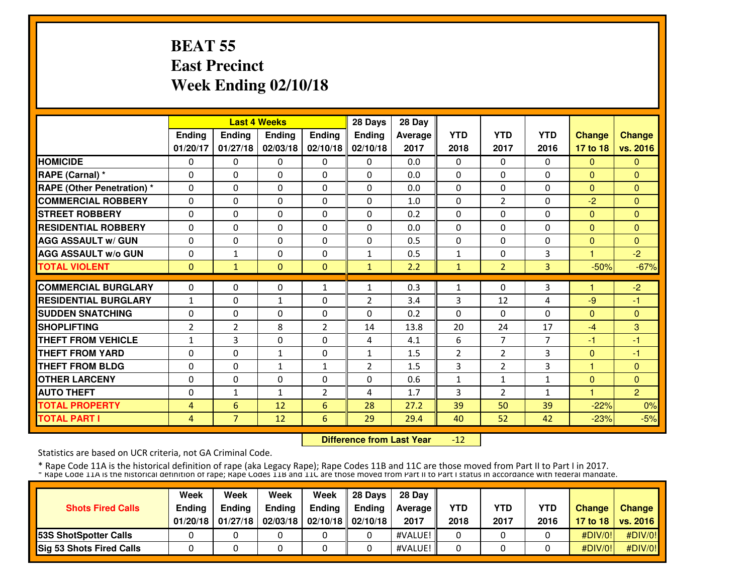# **BEAT 55 East PrecinctWeek Ending 02/10/18**

|                                   |                |                | <b>Last 4 Weeks</b> |                | 28 Days        | 28 Day  |            |                |                |               |                |
|-----------------------------------|----------------|----------------|---------------------|----------------|----------------|---------|------------|----------------|----------------|---------------|----------------|
|                                   | Ending         | Ending         | Ending              | Ending         | <b>Ending</b>  | Average | <b>YTD</b> | <b>YTD</b>     | <b>YTD</b>     | <b>Change</b> | <b>Change</b>  |
|                                   | 01/20/17       | 01/27/18       | 02/03/18            | 02/10/18       | 02/10/18       | 2017    | 2018       | 2017           | 2016           | 17 to 18      | vs. 2016       |
| <b>HOMICIDE</b>                   | $\Omega$       | 0              | $\Omega$            | $\Omega$       | $\Omega$       | 0.0     | $\Omega$   | $\Omega$       | $\Omega$       | $\Omega$      | $\Omega$       |
| RAPE (Carnal) *                   | $\Omega$       | $\Omega$       | $\Omega$            | $\Omega$       | $\Omega$       | 0.0     | $\Omega$   | 0              | $\Omega$       | $\Omega$      | $\Omega$       |
| <b>RAPE (Other Penetration) *</b> | $\Omega$       | $\Omega$       | $\Omega$            | $\Omega$       | $\Omega$       | 0.0     | $\Omega$   | 0              | $\Omega$       | $\Omega$      | $\Omega$       |
| <b>COMMERCIAL ROBBERY</b>         | $\Omega$       | $\Omega$       | $\Omega$            | $\mathbf{0}$   | $\Omega$       | 1.0     | $\Omega$   | $\overline{2}$ | $\Omega$       | $-2$          | $\Omega$       |
| <b>STREET ROBBERY</b>             | $\Omega$       | $\Omega$       | $\Omega$            | $\Omega$       | $\Omega$       | 0.2     | $\Omega$   | 0              | $\Omega$       | $\Omega$      | $\Omega$       |
| <b>RESIDENTIAL ROBBERY</b>        | 0              | $\Omega$       | 0                   | $\Omega$       | 0              | 0.0     | $\Omega$   | 0              | $\Omega$       | $\Omega$      | $\Omega$       |
| <b>AGG ASSAULT w/ GUN</b>         | $\Omega$       | $\Omega$       | 0                   | $\mathbf{0}$   | $\Omega$       | 0.5     | $\Omega$   | 0              | 0              | $\mathbf{0}$  | $\mathbf{0}$   |
| <b>AGG ASSAULT W/o GUN</b>        | $\Omega$       | $\mathbf{1}$   | $\Omega$            | $\mathbf{0}$   | $\mathbf{1}$   | 0.5     | 1          | 0              | 3              |               | $-2$           |
| <b>TOTAL VIOLENT</b>              | $\Omega$       | $\mathbf{1}$   | $\Omega$            | $\mathbf{0}$   | $\mathbf{1}$   | 2.2     | 1          | $\overline{2}$ | 3              | $-50%$        | $-67%$         |
| <b>COMMERCIAL BURGLARY</b>        | $\Omega$       | $\Omega$       | $\Omega$            | 1              | 1              | 0.3     | 1          | 0              | 3              | 1             | $-2$           |
| <b>RESIDENTIAL BURGLARY</b>       | $\mathbf{1}$   | $\Omega$       | $1\,$               | $\mathbf{0}$   | $\overline{2}$ | 3.4     | 3          | 12             | 4              | $-9$          | $-1$           |
| <b>SUDDEN SNATCHING</b>           | $\Omega$       | $\Omega$       | $\Omega$            | $\Omega$       | 0              | 0.2     | $\Omega$   | 0              | $\Omega$       | $\Omega$      | $\Omega$       |
| <b>SHOPLIFTING</b>                | 2              | $\overline{2}$ | 8                   | 2              | 14             | 13.8    | 20         | 24             | 17             | $-4$          | 3              |
| <b>THEFT FROM VEHICLE</b>         | 1              | 3              | $\Omega$            | $\Omega$       | 4              | 4.1     | 6          | 7              | $\overline{7}$ | $-1$          | $-1$           |
| <b>THEFT FROM YARD</b>            | 0              | $\Omega$       | $\mathbf{1}$        | 0              | $\mathbf{1}$   | 1.5     | 2          | $\overline{2}$ | 3              | $\mathbf{0}$  | -1             |
| <b>THEFT FROM BLDG</b>            | $\Omega$       | $\Omega$       | $\mathbf{1}$        | $\mathbf{1}$   | $\overline{2}$ | 1.5     | 3          | $\overline{2}$ | 3              | 1             | $\Omega$       |
| <b>OTHER LARCENY</b>              | $\Omega$       | $\Omega$       | $\Omega$            | $\Omega$       | 0              | 0.6     | 1          | 1              | 1              | $\Omega$      | $\mathbf{0}$   |
| <b>AUTO THEFT</b>                 | $\Omega$       | $\mathbf{1}$   | $\mathbf{1}$        | $\overline{2}$ | 4              | 1.7     | 3          | $\overline{2}$ | $\mathbf{1}$   | 1             | $\overline{2}$ |
| <b>TOTAL PROPERTY</b>             | 4              | 6              | 12                  | 6              | 28             | 27.2    | 39         | 50             | 39             | $-22%$        | 0%             |
| <b>TOTAL PART I</b>               | $\overline{4}$ | $7^{\circ}$    | 12                  | 6              | 29             | 29.4    | 40         | 52             | 42             | $-23%$        | $-5%$          |

 **Difference from Last Year**-12

Statistics are based on UCR criteria, not GA Criminal Code.

|                                 | Week          | Week          | Week          | Week                           | 28 Davs | 28 Dav     |            |            |            |               |                     |
|---------------------------------|---------------|---------------|---------------|--------------------------------|---------|------------|------------|------------|------------|---------------|---------------------|
| <b>Shots Fired Calls</b>        | <b>Endina</b> | <b>Endina</b> | <b>Ending</b> | Ending                         | Endina  | Average II | <b>YTD</b> | <b>YTD</b> | <b>YTD</b> | <b>Change</b> | <b>Change</b>       |
|                                 | 01/20/18      | 01/27/18      |               | 02/03/18   02/10/18   02/10/18 |         | 2017       | 2018       | 2017       | 2016       |               | 17 to 18   vs. 2016 |
| <b>153S ShotSpotter Calls</b>   |               |               |               |                                |         | #VALUE!    |            |            |            | #DIV/0!       | #DIV/0!             |
| <b>Sig 53 Shots Fired Calls</b> |               |               |               |                                |         | #VALUE!    |            |            |            | #DIV/0!       | #DIV/0!             |